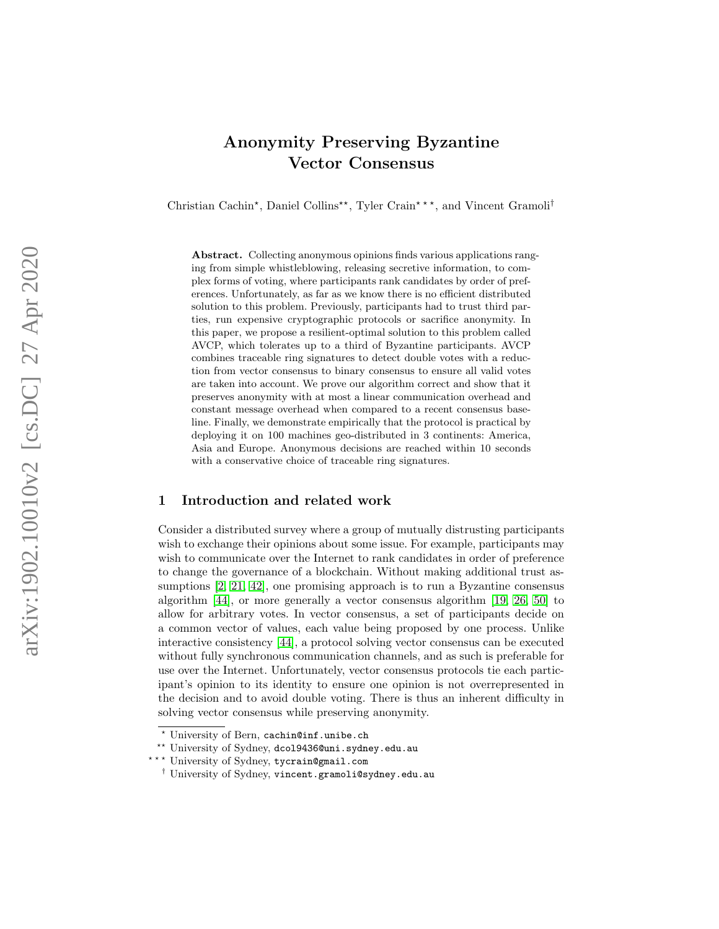# <span id="page-0-0"></span>Anonymity Preserving Byzantine Vector Consensus

Christian Cachin<sup>\*</sup>, Daniel Collins<sup>\*\*</sup>, Tyler Crain<sup>\*\*\*</sup>, and Vincent Gramoli<sup>†</sup>

Abstract. Collecting anonymous opinions finds various applications ranging from simple whistleblowing, releasing secretive information, to complex forms of voting, where participants rank candidates by order of preferences. Unfortunately, as far as we know there is no efficient distributed solution to this problem. Previously, participants had to trust third parties, run expensive cryptographic protocols or sacrifice anonymity. In this paper, we propose a resilient-optimal solution to this problem called AVCP, which tolerates up to a third of Byzantine participants. AVCP combines traceable ring signatures to detect double votes with a reduction from vector consensus to binary consensus to ensure all valid votes are taken into account. We prove our algorithm correct and show that it preserves anonymity with at most a linear communication overhead and constant message overhead when compared to a recent consensus baseline. Finally, we demonstrate empirically that the protocol is practical by deploying it on 100 machines geo-distributed in 3 continents: America, Asia and Europe. Anonymous decisions are reached within 10 seconds with a conservative choice of traceable ring signatures.

#### 1 Introduction and related work

Consider a distributed survey where a group of mutually distrusting participants wish to exchange their opinions about some issue. For example, participants may wish to communicate over the Internet to rank candidates in order of preference to change the governance of a blockchain. Without making additional trust assumptions [\[2,](#page-20-0) [21,](#page-21-0) [42\]](#page-22-0), one promising approach is to run a Byzantine consensus algorithm [\[44\]](#page-22-1), or more generally a vector consensus algorithm [\[19,](#page-21-1) [26,](#page-21-2) [50\]](#page-23-0) to allow for arbitrary votes. In vector consensus, a set of participants decide on a common vector of values, each value being proposed by one process. Unlike interactive consistency [\[44\]](#page-22-1), a protocol solving vector consensus can be executed without fully synchronous communication channels, and as such is preferable for use over the Internet. Unfortunately, vector consensus protocols tie each participant's opinion to its identity to ensure one opinion is not overrepresented in the decision and to avoid double voting. There is thus an inherent difficulty in solving vector consensus while preserving anonymity.

<sup>?</sup> University of Bern, cachin@inf.unibe.ch

<sup>\*\*</sup> University of Sydney, dco19436@uni.sydney.edu.au

<sup>\*\*\*</sup> University of Sydney, tycrain@gmail.com

<sup>†</sup> University of Sydney, vincent.gramoli@sydney.edu.au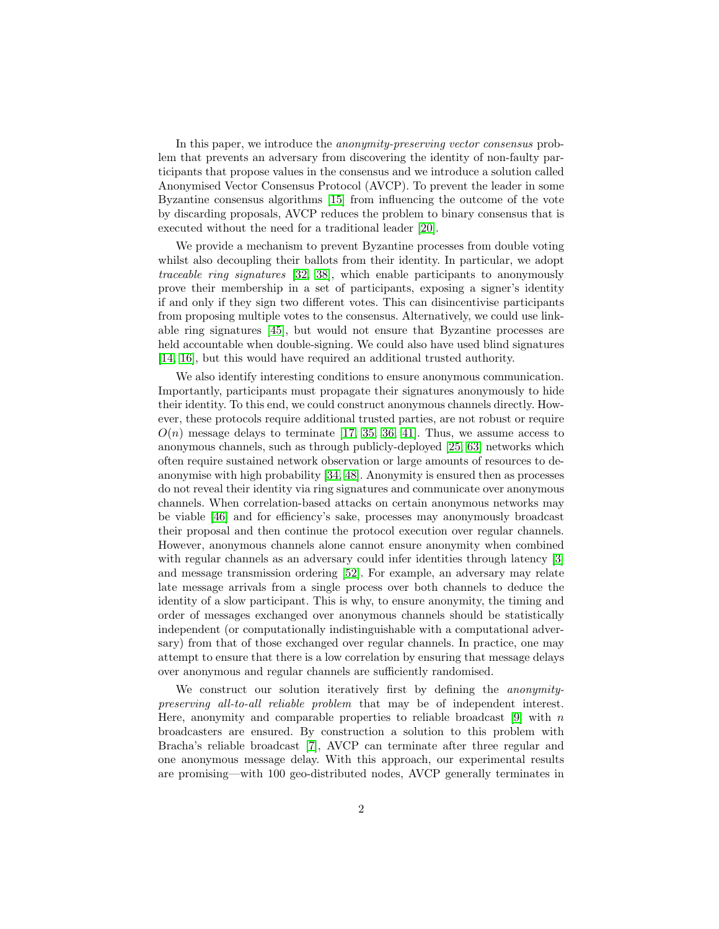In this paper, we introduce the anonymity-preserving vector consensus problem that prevents an adversary from discovering the identity of non-faulty participants that propose values in the consensus and we introduce a solution called Anonymised Vector Consensus Protocol (AVCP). To prevent the leader in some Byzantine consensus algorithms [\[15\]](#page-21-3) from influencing the outcome of the vote by discarding proposals, AVCP reduces the problem to binary consensus that is executed without the need for a traditional leader [\[20\]](#page-21-4).

We provide a mechanism to prevent Byzantine processes from double voting whilst also decoupling their ballots from their identity. In particular, we adopt traceable ring signatures [\[32,](#page-22-2) [38\]](#page-22-3), which enable participants to anonymously prove their membership in a set of participants, exposing a signer's identity if and only if they sign two different votes. This can disincentivise participants from proposing multiple votes to the consensus. Alternatively, we could use linkable ring signatures [\[45\]](#page-23-1), but would not ensure that Byzantine processes are held accountable when double-signing. We could also have used blind signatures [\[14,](#page-20-1) [16\]](#page-21-5), but this would have required an additional trusted authority.

We also identify interesting conditions to ensure anonymous communication. Importantly, participants must propagate their signatures anonymously to hide their identity. To this end, we could construct anonymous channels directly. However, these protocols require additional trusted parties, are not robust or require  $O(n)$  message delays to terminate [\[17,](#page-21-6) [35,](#page-22-4) [36,](#page-22-5) [41\]](#page-22-6). Thus, we assume access to anonymous channels, such as through publicly-deployed [\[25,](#page-21-7) [63\]](#page-24-0) networks which often require sustained network observation or large amounts of resources to deanonymise with high probability [\[34,](#page-22-7) [48\]](#page-23-2). Anonymity is ensured then as processes do not reveal their identity via ring signatures and communicate over anonymous channels. When correlation-based attacks on certain anonymous networks may be viable [\[46\]](#page-23-3) and for efficiency's sake, processes may anonymously broadcast their proposal and then continue the protocol execution over regular channels. However, anonymous channels alone cannot ensure anonymity when combined with regular channels as an adversary could infer identities through latency [\[3\]](#page-20-2) and message transmission ordering [\[52\]](#page-23-4). For example, an adversary may relate late message arrivals from a single process over both channels to deduce the identity of a slow participant. This is why, to ensure anonymity, the timing and order of messages exchanged over anonymous channels should be statistically independent (or computationally indistinguishable with a computational adversary) from that of those exchanged over regular channels. In practice, one may attempt to ensure that there is a low correlation by ensuring that message delays over anonymous and regular channels are sufficiently randomised.

We construct our solution iteratively first by defining the *anonymity*preserving all-to-all reliable problem that may be of independent interest. Here, anonymity and comparable properties to reliable broadcast [\[9\]](#page-20-3) with  $n$ broadcasters are ensured. By construction a solution to this problem with Bracha's reliable broadcast [\[7\]](#page-20-4), AVCP can terminate after three regular and one anonymous message delay. With this approach, our experimental results are promising—with 100 geo-distributed nodes, AVCP generally terminates in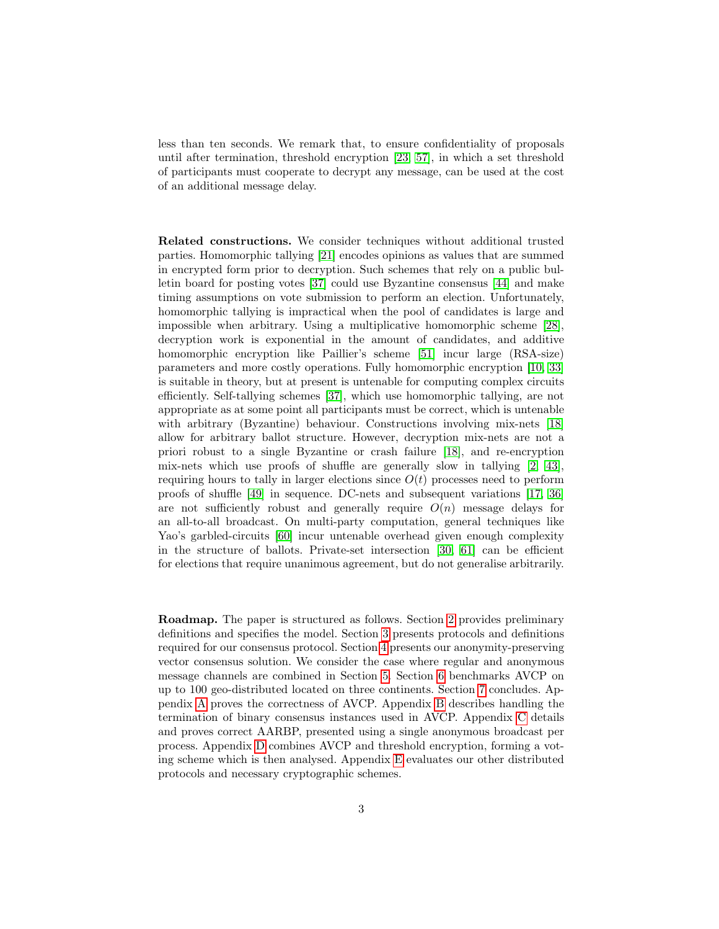less than ten seconds. We remark that, to ensure confidentiality of proposals until after termination, threshold encryption [\[23,](#page-21-8) [57\]](#page-23-5), in which a set threshold of participants must cooperate to decrypt any message, can be used at the cost of an additional message delay.

Related constructions. We consider techniques without additional trusted parties. Homomorphic tallying [\[21\]](#page-21-0) encodes opinions as values that are summed in encrypted form prior to decryption. Such schemes that rely on a public bulletin board for posting votes [\[37\]](#page-22-8) could use Byzantine consensus [\[44\]](#page-22-1) and make timing assumptions on vote submission to perform an election. Unfortunately, homomorphic tallying is impractical when the pool of candidates is large and impossible when arbitrary. Using a multiplicative homomorphic scheme [\[28\]](#page-21-9), decryption work is exponential in the amount of candidates, and additive homomorphic encryption like Paillier's scheme [\[51\]](#page-23-6) incur large (RSA-size) parameters and more costly operations. Fully homomorphic encryption [\[10,](#page-20-5) [33\]](#page-22-9) is suitable in theory, but at present is untenable for computing complex circuits efficiently. Self-tallying schemes [\[37\]](#page-22-8), which use homomorphic tallying, are not appropriate as at some point all participants must be correct, which is untenable with arbitrary (Byzantine) behaviour. Constructions involving mix-nets [\[18\]](#page-21-10) allow for arbitrary ballot structure. However, decryption mix-nets are not a priori robust to a single Byzantine or crash failure [\[18\]](#page-21-10), and re-encryption mix-nets which use proofs of shuffle are generally slow in tallying [\[2,](#page-20-0) [43\]](#page-22-10), requiring hours to tally in larger elections since  $O(t)$  processes need to perform proofs of shuffle [\[49\]](#page-23-7) in sequence. DC-nets and subsequent variations [\[17,](#page-21-6) [36\]](#page-22-5) are not sufficiently robust and generally require  $O(n)$  message delays for an all-to-all broadcast. On multi-party computation, general techniques like Yao's garbled-circuits [\[60\]](#page-24-1) incur untenable overhead given enough complexity in the structure of ballots. Private-set intersection [\[30,](#page-22-11) [61\]](#page-24-2) can be efficient for elections that require unanimous agreement, but do not generalise arbitrarily.

Roadmap. The paper is structured as follows. Section [2](#page-3-0) provides preliminary definitions and specifies the model. Section [3](#page-5-0) presents protocols and definitions required for our consensus protocol. Section [4](#page-11-0) presents our anonymity-preserving vector consensus solution. We consider the case where regular and anonymous message channels are combined in Section [5.](#page-16-0) Section [6](#page-17-0) benchmarks AVCP on up to 100 geo-distributed located on three continents. Section [7](#page-19-0) concludes. Appendix [A](#page-24-3) proves the correctness of AVCP. Appendix [B](#page-28-0) describes handling the termination of binary consensus instances used in AVCP. Appendix [C](#page-29-0) details and proves correct AARBP, presented using a single anonymous broadcast per process. Appendix [D](#page-36-0) combines AVCP and threshold encryption, forming a voting scheme which is then analysed. Appendix [E](#page-41-0) evaluates our other distributed protocols and necessary cryptographic schemes.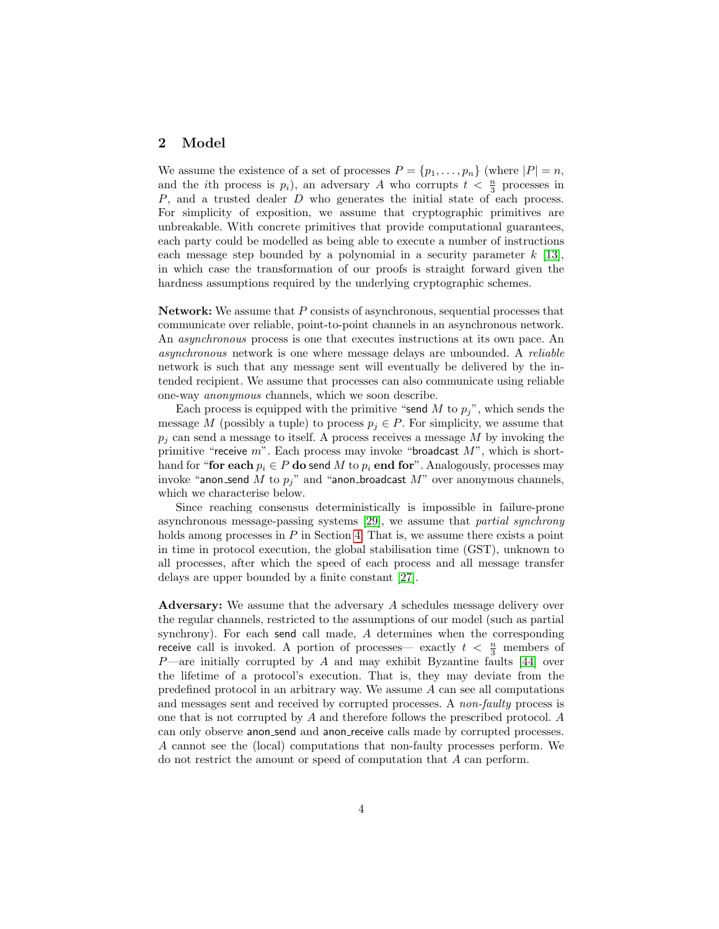## <span id="page-3-0"></span>2 Model

We assume the existence of a set of processes  $P = \{p_1, \ldots, p_n\}$  (where  $|P| = n$ , and the *i*th process is  $p_i$ ), an adversary A who corrupts  $t < \frac{n}{3}$  processes in P, and a trusted dealer D who generates the initial state of each process. For simplicity of exposition, we assume that cryptographic primitives are unbreakable. With concrete primitives that provide computational guarantees, each party could be modelled as being able to execute a number of instructions each message step bounded by a polynomial in a security parameter  $k$  [\[13\]](#page-20-6), in which case the transformation of our proofs is straight forward given the hardness assumptions required by the underlying cryptographic schemes.

Network: We assume that P consists of asynchronous, sequential processes that communicate over reliable, point-to-point channels in an asynchronous network. An *asynchronous* process is one that executes instructions at its own pace. An asynchronous network is one where message delays are unbounded. A reliable network is such that any message sent will eventually be delivered by the intended recipient. We assume that processes can also communicate using reliable one-way anonymous channels, which we soon describe.

Each process is equipped with the primitive "send M to  $p_j$ ", which sends the message M (possibly a tuple) to process  $p_i \in P$ . For simplicity, we assume that  $p_i$  can send a message to itself. A process receives a message M by invoking the primitive "receive  $m$ ". Each process may invoke "broadcast  $M$ ", which is shorthand for "for each  $p_i \in P$  do send M to  $p_i$  end for". Analogously, processes may invoke "anon send M to  $p_j$ " and "anon broadcast M" over anonymous channels, which we characterise below.

Since reaching consensus deterministically is impossible in failure-prone asynchronous message-passing systems [\[29\]](#page-21-11), we assume that partial synchrony holds among processes in  $P$  in Section [4.](#page-11-0) That is, we assume there exists a point in time in protocol execution, the global stabilisation time (GST), unknown to all processes, after which the speed of each process and all message transfer delays are upper bounded by a finite constant [\[27\]](#page-21-12).

Adversary: We assume that the adversary A schedules message delivery over the regular channels, restricted to the assumptions of our model (such as partial synchrony). For each send call made, A determines when the corresponding receive call is invoked. A portion of processes— exactly  $t < \frac{n}{3}$  members of  $P$ —are initially corrupted by A and may exhibit Byzantine faults [\[44\]](#page-22-1) over the lifetime of a protocol's execution. That is, they may deviate from the predefined protocol in an arbitrary way. We assume  $A$  can see all computations and messages sent and received by corrupted processes. A non-faulty process is one that is not corrupted by A and therefore follows the prescribed protocol. A can only observe anon send and anon receive calls made by corrupted processes. A cannot see the (local) computations that non-faulty processes perform. We do not restrict the amount or speed of computation that A can perform.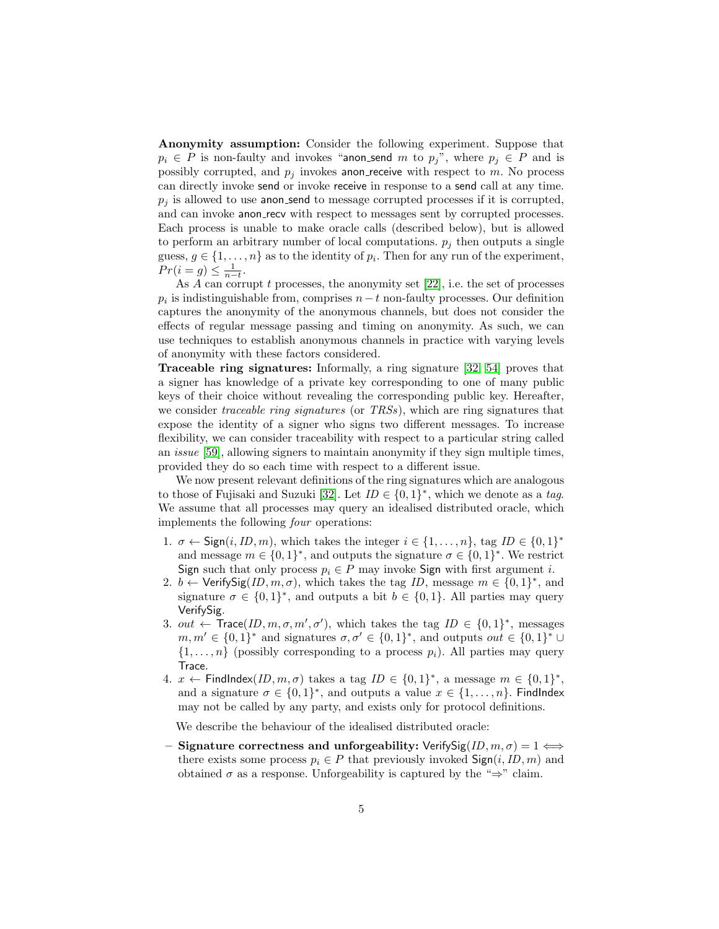Anonymity assumption: Consider the following experiment. Suppose that  $p_i \in P$  is non-faulty and invokes "anon\_send m to  $p_j$ ", where  $p_j \in P$  and is possibly corrupted, and  $p_i$  invokes anon receive with respect to m. No process can directly invoke send or invoke receive in response to a send call at any time.  $p_i$  is allowed to use anon-send to message corrupted processes if it is corrupted, and can invoke anon-recv with respect to messages sent by corrupted processes. Each process is unable to make oracle calls (described below), but is allowed to perform an arbitrary number of local computations.  $p_i$  then outputs a single guess,  $g \in \{1, \ldots, n\}$  as to the identity of  $p_i$ . Then for any run of the experiment,  $Pr(i = g) \leq \frac{1}{n-t}.$ 

As  $A$  can corrupt  $t$  processes, the anonymity set  $[22]$ , i.e. the set of processes  $p_i$  is indistinguishable from, comprises  $n-t$  non-faulty processes. Our definition captures the anonymity of the anonymous channels, but does not consider the effects of regular message passing and timing on anonymity. As such, we can use techniques to establish anonymous channels in practice with varying levels of anonymity with these factors considered.

Traceable ring signatures: Informally, a ring signature [\[32,](#page-22-2) [54\]](#page-23-8) proves that a signer has knowledge of a private key corresponding to one of many public keys of their choice without revealing the corresponding public key. Hereafter, we consider traceable ring signatures (or TRSs), which are ring signatures that expose the identity of a signer who signs two different messages. To increase flexibility, we can consider traceability with respect to a particular string called an issue [\[59\]](#page-23-9), allowing signers to maintain anonymity if they sign multiple times, provided they do so each time with respect to a different issue.

We now present relevant definitions of the ring signatures which are analogous to those of Fujisaki and Suzuki [\[32\]](#page-22-2). Let  $ID \in \{0,1\}^*$ , which we denote as a tag. We assume that all processes may query an idealised distributed oracle, which implements the following four operations:

- 1.  $\sigma \leftarrow$  Sign(*i*, *ID*, *m*), which takes the integer  $i \in \{1, ..., n\}$ , tag *ID*  $\in \{0, 1\}^*$ and message  $m \in \{0,1\}^*$ , and outputs the signature  $\sigma \in \{0,1\}^*$ . We restrict Sign such that only process  $p_i \in P$  may invoke Sign with first argument i.
- 2.  $b \leftarrow$  Verify Sig $(ID, m, \sigma)$ , which takes the tag ID, message  $m \in \{0, 1\}^*$ , and signature  $\sigma \in \{0,1\}^*$ , and outputs a bit  $b \in \{0,1\}$ . All parties may query VerifySig.
- 3. out  $\leftarrow$  Trace(ID,  $m, \sigma, m', \sigma'$ ), which takes the tag ID  $\in \{0, 1\}^*$ , messages  $m, m' \in \{0, 1\}^*$  and signatures  $\sigma, \sigma' \in \{0, 1\}^*$ , and outputs  $out \in \{0, 1\}^* \cup$  $\{1,\ldots,n\}$  (possibly corresponding to a process  $p_i$ ). All parties may query Trace.
- 4.  $x \leftarrow$  FindIndex $(ID, m, \sigma)$  takes a tag  $ID \in \{0, 1\}^*$ , a message  $m \in \{0, 1\}^*$ , and a signature  $\sigma \in \{0,1\}^*$ , and outputs a value  $x \in \{1,\ldots,n\}$ . Findlndex may not be called by any party, and exists only for protocol definitions.

We describe the behaviour of the idealised distributed oracle:

– Signature correctness and unforgeability: VerifySig $(ID, m, \sigma) = 1 \Leftrightarrow$ there exists some process  $p_i \in P$  that previously invoked  $\mathsf{Sign}(i, ID, m)$  and obtained  $\sigma$  as a response. Unforgeability is captured by the " $\Rightarrow$ " claim.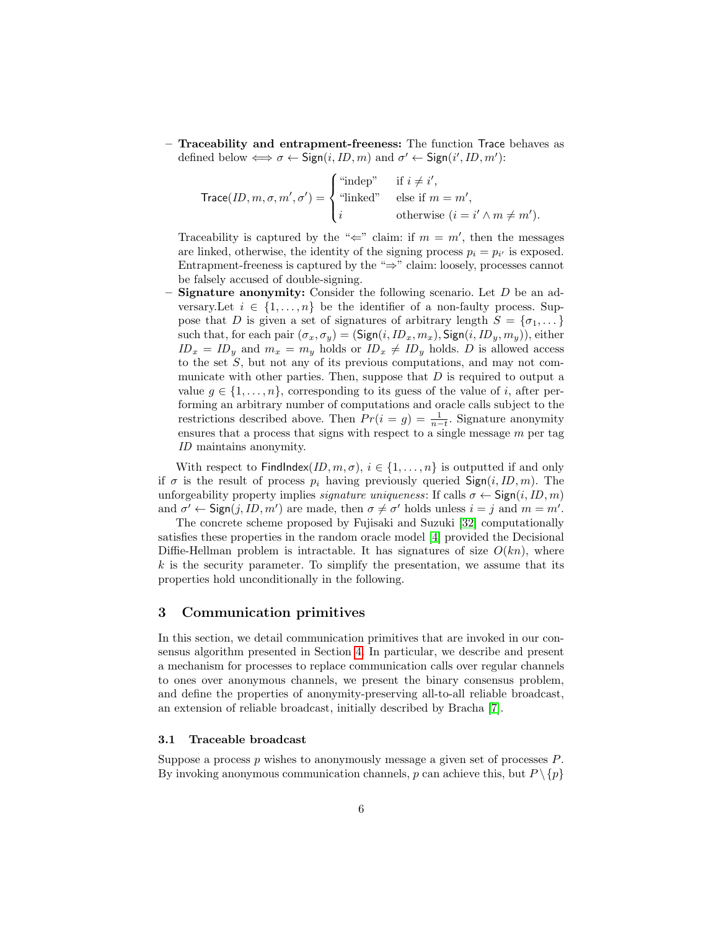– Traceability and entrapment-freeness: The function Trace behaves as defined below  $\Longleftrightarrow \sigma \leftarrow \text{Sign}(i, ID, m)$  and  $\sigma' \leftarrow \text{Sign}(i', ID, m')$ :

$$
\text{Trace}(ID, m, \sigma, m', \sigma') = \begin{cases} \text{``indep''} & \text{if } i \neq i', \\ \text{``inked''} & \text{else if } m = m', \\ i & \text{otherwise } (i = i' \land m \neq m'). \end{cases}
$$

Traceability is captured by the " $\Leftarrow$ " claim: if  $m = m'$ , then the messages are linked, otherwise, the identity of the signing process  $p_i = p_{i'}$  is exposed. Entrapment-freeness is captured by the " $\Rightarrow$ " claim: loosely, processes cannot be falsely accused of double-signing.

**Signature anonymity:** Consider the following scenario. Let  $D$  be an adversary.Let  $i \in \{1, ..., n\}$  be the identifier of a non-faulty process. Suppose that D is given a set of signatures of arbitrary length  $S = \{\sigma_1, \dots\}$ such that, for each pair  $(\sigma_x, \sigma_y) = (\text{Sign}(i, ID_x, m_x), \text{Sign}(i, ID_y, m_y)),$  either  $ID_x = ID_y$  and  $m_x = m_y$  holds or  $ID_x \neq ID_y$  holds. D is allowed access to the set S, but not any of its previous computations, and may not communicate with other parties. Then, suppose that  $D$  is required to output a value  $g \in \{1, \ldots, n\}$ , corresponding to its guess of the value of i, after performing an arbitrary number of computations and oracle calls subject to the restrictions described above. Then  $Pr(i = g) = \frac{1}{n-t}$ . Signature anonymity ensures that a process that signs with respect to a single message  $m$  per tag ID maintains anonymity.

With respect to FindIndex(ID,  $m, \sigma$ ),  $i \in \{1, ..., n\}$  is outputted if and only if  $\sigma$  is the result of process  $p_i$  having previously queried  $\mathsf{Sign}(i, ID, m)$ . The unforgeability property implies *signature uniqueness*: If calls  $\sigma \leftarrow \text{Sign}(i, ID, m)$ and  $\sigma' \leftarrow \text{Sign}(j, ID, m')$  are made, then  $\sigma \neq \sigma'$  holds unless  $i = j$  and  $m = m'$ .

The concrete scheme proposed by Fujisaki and Suzuki [\[32\]](#page-22-2) computationally satisfies these properties in the random oracle model [\[4\]](#page-20-7) provided the Decisional Diffie-Hellman problem is intractable. It has signatures of size  $O(kn)$ , where  $k$  is the security parameter. To simplify the presentation, we assume that its properties hold unconditionally in the following.

## <span id="page-5-0"></span>3 Communication primitives

In this section, we detail communication primitives that are invoked in our consensus algorithm presented in Section [4.](#page-11-0) In particular, we describe and present a mechanism for processes to replace communication calls over regular channels to ones over anonymous channels, we present the binary consensus problem, and define the properties of anonymity-preserving all-to-all reliable broadcast, an extension of reliable broadcast, initially described by Bracha [\[7\]](#page-20-4).

#### 3.1 Traceable broadcast

Suppose a process  $p$  wishes to anonymously message a given set of processes  $P$ . By invoking anonymous communication channels, p can achieve this, but  $P \setminus \{p\}$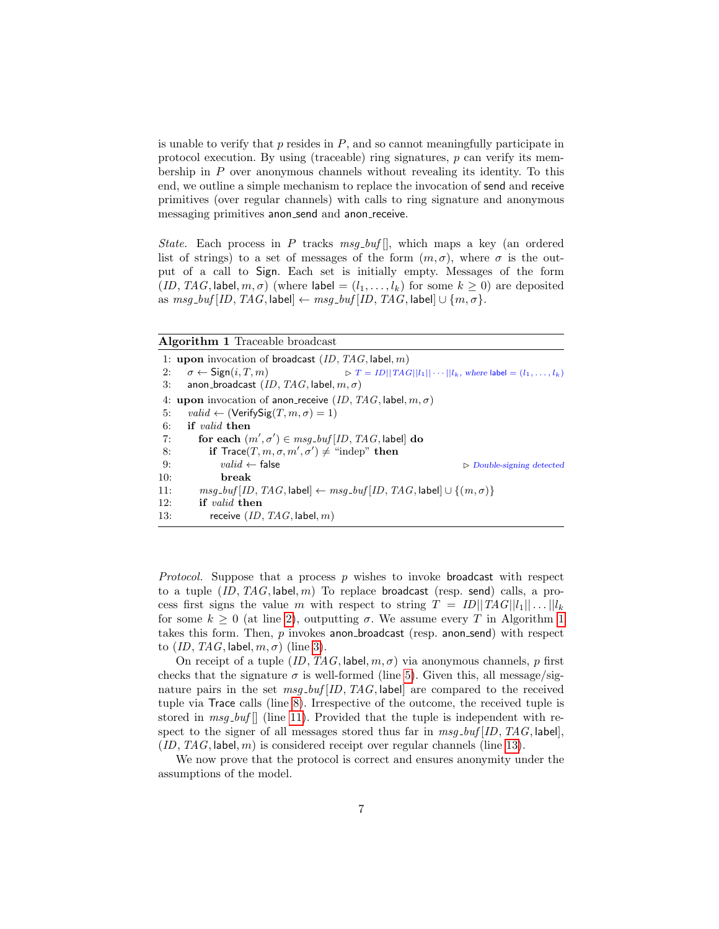is unable to verify that  $p$  resides in  $P$ , and so cannot meaningfully participate in protocol execution. By using (traceable) ring signatures,  $p$  can verify its membership in P over anonymous channels without revealing its identity. To this end, we outline a simple mechanism to replace the invocation of send and receive primitives (over regular channels) with calls to ring signature and anonymous messaging primitives anon send and anon receive.

State. Each process in P tracks  $msg\_buf[]$ , which maps a key (an ordered list of strings) to a set of messages of the form  $(m, \sigma)$ , where  $\sigma$  is the output of a call to Sign. Each set is initially empty. Messages of the form  $(ID, TAG, label, m, \sigma)$  (where label =  $(l_1, \ldots, l_k)$  for some  $k \geq 0$ ) are deposited as  $msg\_buf[ID, TAG, label] \leftarrow msg\_buf[ID, TAG, label] \cup \{m, \sigma\}.$ 

<span id="page-6-0"></span>Algorithm 1 Traceable broadcast

1: upon invocation of broadcast  $(ID, TAG, label, m)$ 2:  $\sigma \leftarrow \text{Sign}(i, T, m)$   $\triangleright T = ID||TAG||l_1|| \cdots ||l_k$ , where label  $=(l_1, \ldots, l_k)$ 3: anon\_broadcast  $(ID, TAG, label, m, \sigma)$ 4: upon invocation of anon-receive  $(ID, TAG, label, m, \sigma)$ 5:  $valid \leftarrow (VerifySig(T, m, \sigma) = 1)$ 6: if valid then 7: for each  $(m', \sigma') \in msg\_buf[ID, TAG, \text{label}]$  do 8: if  $Trace(T, m, \sigma, m', \sigma') \neq$  "indep" then 9:  $valid \leftarrow false$  B Double-signing detected 10: break 11:  $msg\_buf[ID, TAG, label] \leftarrow msg\_buf[ID, TAG, label] \cup \{(m, \sigma)\}$ 12: if valid then 13: receive  $(ID, TAG, label, m)$ 

*Protocol.* Suppose that a process  $p$  wishes to invoke **broadcast** with respect to a tuple  $(ID, TAG, label, m)$  To replace broadcast (resp. send) calls, a process first signs the value m with respect to string  $T = ID||TAG||l_1|| \dots ||l_k$ for some  $k \geq 0$  (at line [2\)](#page-6-0), outputting  $\sigma$ . We assume every T in Algorithm [1](#page-6-0) takes this form. Then,  $p$  invokes anon broadcast (resp. anon send) with respect to  $(ID, TAG, label, m, \sigma)$  (line [3\)](#page-6-0).

On receipt of a tuple  $(ID, TAG, label, m, \sigma)$  via anonymous channels, p first checks that the signature  $\sigma$  is well-formed (line [5\)](#page-6-0). Given this, all message/signature pairs in the set  $msg\_buf[ID, TAG, label]$  are compared to the received tuple via Trace calls (line [8\)](#page-6-0). Irrespective of the outcome, the received tuple is stored in  $msg\_buf$  (line [11\)](#page-6-0). Provided that the tuple is independent with respect to the signer of all messages stored thus far in  $msg\_buf[ID, TAG, label]$ ,  $(ID, TAG, label, m)$  is considered receipt over regular channels (line [13\)](#page-6-0).

<span id="page-6-1"></span>We now prove that the protocol is correct and ensures anonymity under the assumptions of the model.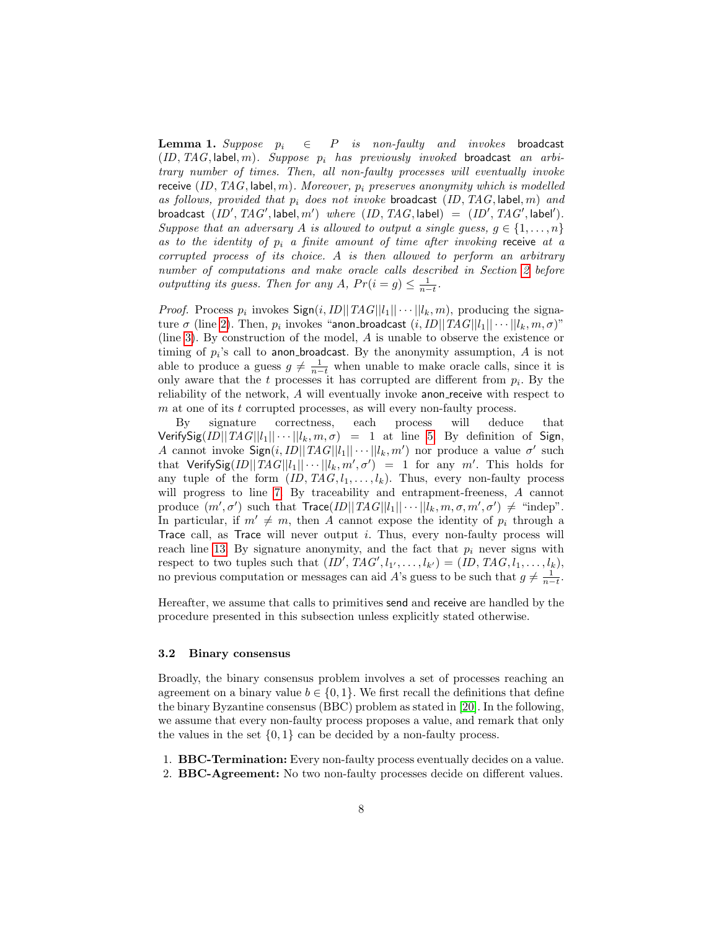**Lemma 1.** Suppose  $p_i \in P$  is non-faulty and invokes broadcast  $(ID, TAG, label, m)$ . Suppose  $p_i$  has previously invoked broadcast an arbitrary number of times. Then, all non-faulty processes will eventually invoke receive  $(ID, TAG, label, m)$ . Moreover,  $p_i$  preserves anonymity which is modelled as follows, provided that  $p_i$  does not invoke broadcast  $(ID, TAG, label, m)$  and broadcast  $(ID', TAG', \text{label}, m')$  where  $(ID, TAG, \text{label}) = (ID', TAG', \text{label}^{\prime})$ . Suppose that an adversary A is allowed to output a single guess,  $g \in \{1, \ldots, n\}$ as to the identity of  $p_i$  a finite amount of time after invoking receive at a corrupted process of its choice. A is then allowed to perform an arbitrary number of computations and make oracle calls described in Section [2](#page-3-0) before outputting its guess. Then for any A,  $Pr(i = g) \leq \frac{1}{n-t}$ .

*Proof.* Process  $p_i$  invokes  $\textsf{Sign}(i, ID||TAG||l_1|| \cdots ||l_k, m)$ , producing the signature  $\sigma$  (line [2\)](#page-6-0). Then,  $p_i$  invokes "anon\_broadcast  $(i, ID||TAG||l_1|| \cdots ||l_k, m, \sigma)$ " (line [3\)](#page-6-0). By construction of the model, A is unable to observe the existence or timing of  $p_i$ 's call to anon broadcast. By the anonymity assumption,  $A$  is not able to produce a guess  $g \neq \frac{1}{n-t}$  when unable to make oracle calls, since it is only aware that the  $t$  processes it has corrupted are different from  $p_i$ . By the reliability of the network, A will eventually invoke anon-receive with respect to  $m$  at one of its t corrupted processes, as will every non-faulty process.

By signature correctness, each process will deduce that Verify Sig(ID||TAG||l<sub>1</sub>||  $\cdots$  ||l<sub>k</sub>,  $m, \sigma$ ) = 1 at line [5.](#page-6-0) By definition of Sign, A cannot invoke  $\textsf{Sign}(i, ID||TAG||l_1|| \cdots ||l_k, m')$  nor produce a value  $\sigma'$  such that VerifySig $(ID || TAG||l_1 || \cdots || l_k, m', \sigma') = 1$  for any m'. This holds for any tuple of the form  $(ID, TAG, l_1, \ldots, l_k)$ . Thus, every non-faulty process will progress to line [7.](#page-6-0) By traceability and entrapment-freeness, A cannot produce  $(m', \sigma')$  such that  $\text{Trace}(ID || TAG || l_1 || \cdots || l_k, m, \sigma, m', \sigma') \neq \text{``indep''}.$ In particular, if  $m' \neq m$ , then A cannot expose the identity of  $p_i$  through a Trace call, as Trace will never output  $i$ . Thus, every non-faulty process will reach line [13.](#page-6-0) By signature anonymity, and the fact that  $p_i$  never signs with respect to two tuples such that  $(ID', TAG', l_{1'}, \ldots, l_{k'}) = (ID, TAG, l_1, \ldots, l_k),$ no previous computation or messages can aid A's guess to be such that  $g \neq \frac{1}{n-t}$ .

Hereafter, we assume that calls to primitives send and receive are handled by the procedure presented in this subsection unless explicitly stated otherwise.

#### 3.2 Binary consensus

Broadly, the binary consensus problem involves a set of processes reaching an agreement on a binary value  $b \in \{0, 1\}$ . We first recall the definitions that define the binary Byzantine consensus (BBC) problem as stated in [\[20\]](#page-21-4). In the following, we assume that every non-faulty process proposes a value, and remark that only the values in the set  $\{0,1\}$  can be decided by a non-faulty process.

1. BBC-Termination: Every non-faulty process eventually decides on a value. 2. BBC-Agreement: No two non-faulty processes decide on different values.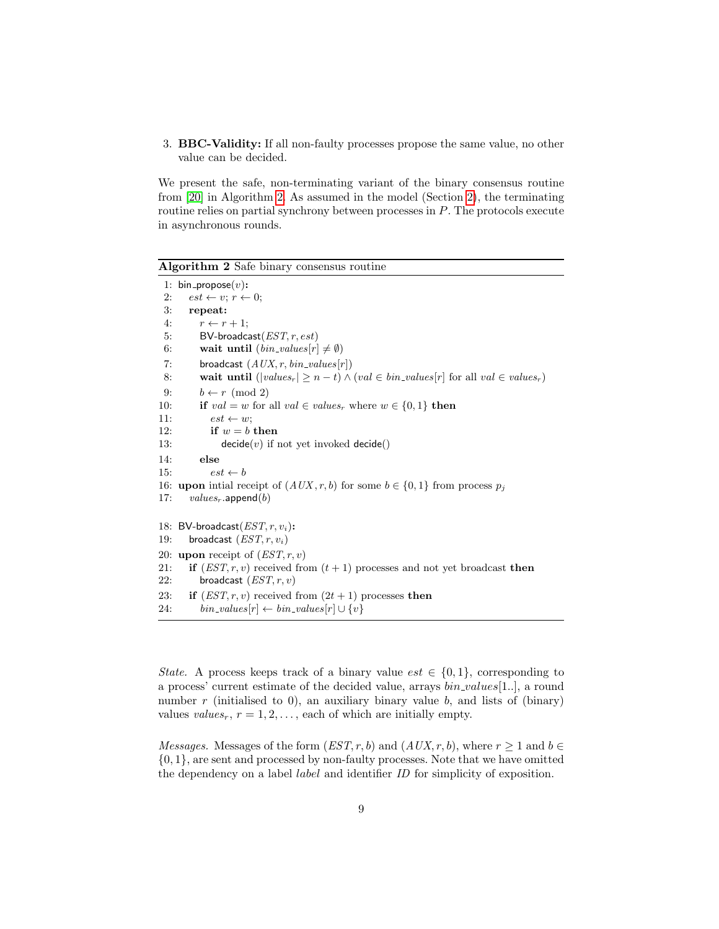3. BBC-Validity: If all non-faulty processes propose the same value, no other value can be decided.

We present the safe, non-terminating variant of the binary consensus routine from [\[20\]](#page-21-4) in Algorithm [2.](#page-8-0) As assumed in the model (Section [2\)](#page-3-0), the terminating routine relies on partial synchrony between processes in P. The protocols execute in asynchronous rounds.

<span id="page-8-0"></span>Algorithm 2 Safe binary consensus routine

|     | 1: $bin\_propose(v)$ :                                                                        |
|-----|-----------------------------------------------------------------------------------------------|
| 2:  | $est \leftarrow v$ ; $r \leftarrow 0$ ;                                                       |
| 3:  | repeat:                                                                                       |
| 4:  | $r \leftarrow r + 1$                                                                          |
| 5:  | BV-broadcast $(EST, r, est)$                                                                  |
| 6:  | wait until $(bin\_values[r] \neq \emptyset)$                                                  |
| 7:  | broadcast $(AUX, r, bin\_values[r])$                                                          |
| 8:  | wait until $( values_r  \geq n-t) \wedge (val \in bin\_values[r]$ for all $val \in values_r)$ |
| 9:  | $b \leftarrow r \pmod{2}$                                                                     |
| 10: | if $val = w$ for all $val \in values_r$ where $w \in \{0, 1\}$ then                           |
| 11: | $est \leftarrow w$                                                                            |
| 12: | if $w = b$ then                                                                               |
| 13: | $decide(v)$ if not yet invoked decide()                                                       |
| 14: | else                                                                                          |
| 15: | $est \leftarrow b$                                                                            |
|     | 16: <b>upon</b> initial receipt of $(AUX, r, b)$ for some $b \in \{0, 1\}$ from process $p_j$ |
| 17: | $values_r$ .append $(b)$                                                                      |
|     | 18: BV-broadcast $(EST, r, v_i)$ :                                                            |
| 19: | broadcast $(EST, r, v_i)$                                                                     |
|     |                                                                                               |
|     | 20: upon receipt of $(EST, r, v)$                                                             |
| 21: | <b>if</b> $(EST, r, v)$ received from $(t + 1)$ processes and not yet broadcast <b>then</b>   |
| 22: | broadcast $(EST, r, v)$                                                                       |
| 23: | if $(EST, r, v)$ received from $(2t + 1)$ processes then                                      |
| 24: | $bin\_values[r] \leftarrow bin\_values[r] \cup \{v\}$                                         |

State. A process keeps track of a binary value  $est \in \{0,1\}$ , corresponding to a process' current estimate of the decided value, arrays  $bin\_values[1..]$ , a round number  $r$  (initialised to 0), an auxiliary binary value  $b$ , and lists of (binary) values values<sub>r</sub>,  $r = 1, 2, \ldots$ , each of which are initially empty.

*Messages.* Messages of the form  $(EST, r, b)$  and  $(AUX, r, b)$ , where  $r \ge 1$  and  $b \in$ {0, 1}, are sent and processed by non-faulty processes. Note that we have omitted the dependency on a label *label* and identifier *ID* for simplicity of exposition.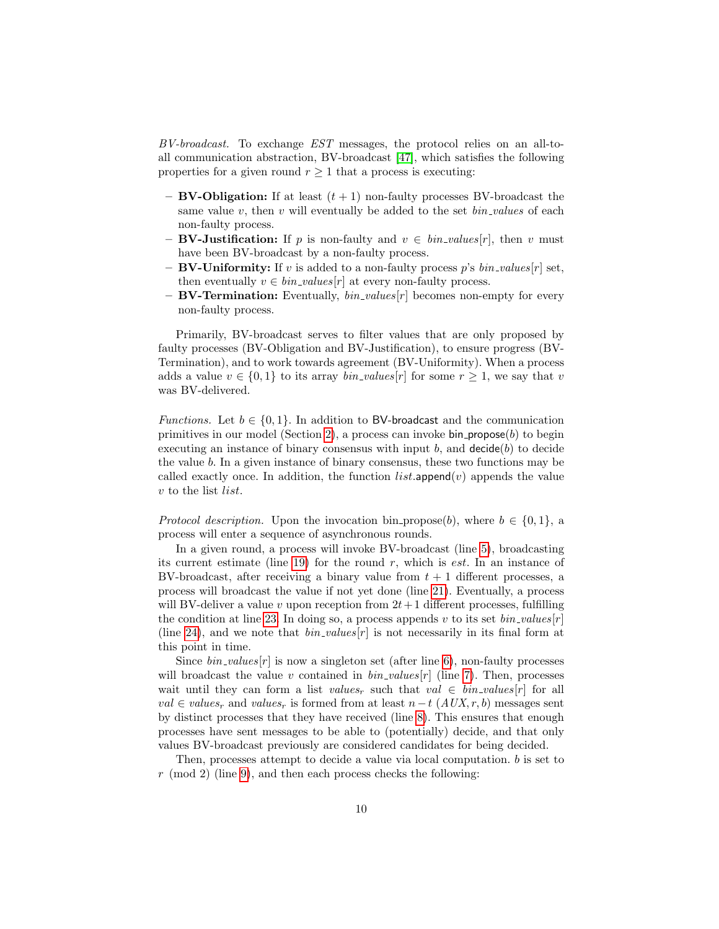BV-broadcast. To exchange EST messages, the protocol relies on an all-toall communication abstraction, BV-broadcast [\[47\]](#page-23-10), which satisfies the following properties for a given round  $r \geq 1$  that a process is executing:

- $-$  BV-Obligation: If at least  $(t+1)$  non-faulty processes BV-broadcast the same value v, then v will eventually be added to the set  $bin\_values$  of each non-faulty process.
- **BV-Justification:** If p is non-faulty and  $v \in bin\_values[r]$ , then v must have been BV-broadcast by a non-faulty process.
- BV-Uniformity: If v is added to a non-faulty process p's  $bin\_values[r]$  set, then eventually  $v \in bin\_values[r]$  at every non-faulty process.
- **BV-Termination:** Eventually,  $bin\_values[r]$  becomes non-empty for every non-faulty process.

Primarily, BV-broadcast serves to filter values that are only proposed by faulty processes (BV-Obligation and BV-Justification), to ensure progress (BV-Termination), and to work towards agreement (BV-Uniformity). When a process adds a value  $v \in \{0,1\}$  to its array *bin\_values*[r] for some  $r \geq 1$ , we say that v was BV-delivered.

*Functions.* Let  $b \in \{0,1\}$ . In addition to BV-broadcast and the communication primitives in our model (Section [2\)](#page-3-0), a process can invoke bin propose $(b)$  to begin executing an instance of binary consensus with input b, and  $\text{decide}(b)$  to decide the value b. In a given instance of binary consensus, these two functions may be called exactly once. In addition, the function  $list.append(v)$  appends the value v to the list list.

*Protocol description.* Upon the invocation bin propose(b), where  $b \in \{0, 1\}$ , a process will enter a sequence of asynchronous rounds.

In a given round, a process will invoke BV-broadcast (line [5\)](#page-8-0), broadcasting its current estimate (line [19\)](#page-8-0) for the round  $r$ , which is *est*. In an instance of BV-broadcast, after receiving a binary value from  $t + 1$  different processes, a process will broadcast the value if not yet done (line [21\)](#page-8-0). Eventually, a process will BV-deliver a value v upon reception from  $2t+1$  different processes, fulfilling the condition at line [23.](#page-8-0) In doing so, a process appends v to its set  $bin\_values[r]$ (line [24\)](#page-8-0), and we note that  $bin\_values[r]$  is not necessarily in its final form at this point in time.

Since  $bin\_values[r]$  is now a singleton set (after line [6\)](#page-8-0), non-faulty processes will broadcast the value v contained in  $bin\_values[r]$  (line [7\)](#page-8-0). Then, processes wait until they can form a list values<sub>r</sub> such that val  $\in bin\_values[r]$  for all *val* ∈ *values<sub>r</sub>* and *values<sub>r</sub>* is formed from at least  $n-t$  (*AUX, r, b*) messages sent by distinct processes that they have received (line [8\)](#page-8-0). This ensures that enough processes have sent messages to be able to (potentially) decide, and that only values BV-broadcast previously are considered candidates for being decided.

Then, processes attempt to decide a value via local computation. b is set to  $r \pmod{2}$  (line [9\)](#page-8-0), and then each process checks the following: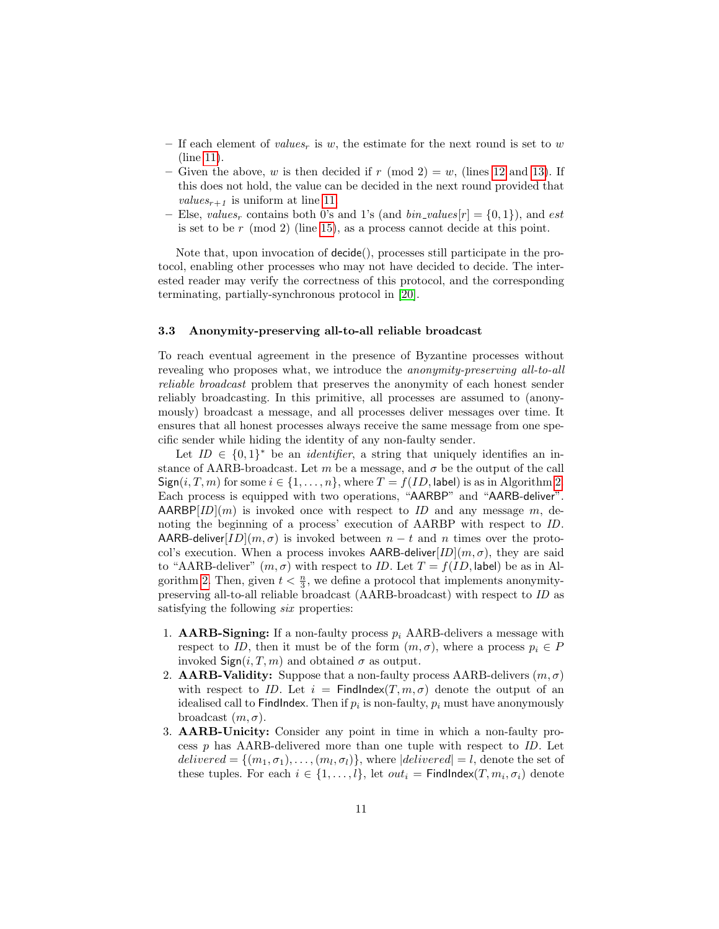- If each element of values<sub>r</sub> is w, the estimate for the next round is set to w (line [11\)](#page-8-0).
- Given the above, w is then decided if r (mod 2) = w, (lines [12](#page-8-0) and [13\)](#page-8-0). If this does not hold, the value can be decided in the next round provided that *values*<sub> $r+1$ </sub> is uniform at line [11.](#page-8-0)
- Else, values<sub>r</sub> contains both 0's and 1's (and  $bin\_values[r] = \{0, 1\}$ ), and est is set to be  $r \pmod{2}$  (line [15\)](#page-8-0), as a process cannot decide at this point.

Note that, upon invocation of decide(), processes still participate in the protocol, enabling other processes who may not have decided to decide. The interested reader may verify the correctness of this protocol, and the corresponding terminating, partially-synchronous protocol in [\[20\]](#page-21-4).

#### 3.3 Anonymity-preserving all-to-all reliable broadcast

To reach eventual agreement in the presence of Byzantine processes without revealing who proposes what, we introduce the anonymity-preserving all-to-all reliable broadcast problem that preserves the anonymity of each honest sender reliably broadcasting. In this primitive, all processes are assumed to (anonymously) broadcast a message, and all processes deliver messages over time. It ensures that all honest processes always receive the same message from one specific sender while hiding the identity of any non-faulty sender.

Let  $ID \in \{0,1\}^*$  be an *identifier*, a string that uniquely identifies an instance of AARB-broadcast. Let m be a message, and  $\sigma$  be the output of the call  $Sign(i, T, m)$  for some  $i \in \{1, ..., n\}$ , where  $T = f(ID, \text{label})$  is as in Algorithm [2.](#page-8-0) Each process is equipped with two operations, "AARBP" and "AARB-deliver".  $AARBP[ID](m)$  is invoked once with respect to ID and any message m, denoting the beginning of a process' execution of AARBP with respect to ID. AARB-deliver $[ID](m, \sigma)$  is invoked between  $n - t$  and n times over the protocol's execution. When a process invokes AARB-deliver[ $ID|(m, \sigma)$ , they are said to "AARB-deliver"  $(m, \sigma)$  with respect to *ID*. Let  $T = f(ID, \text{label})$  be as in Al-gorithm [2.](#page-8-0) Then, given  $t < \frac{n}{3}$ , we define a protocol that implements anonymitypreserving all-to-all reliable broadcast (AARB-broadcast) with respect to ID as satisfying the following *six* properties:

- 1. **AARB-Signing:** If a non-faulty process  $p_i$  AARB-delivers a message with respect to ID, then it must be of the form  $(m, \sigma)$ , where a process  $p_i \in P$ invoked  $\textsf{Sign}(i, T, m)$  and obtained  $\sigma$  as output.
- 2. **AARB-Validity:** Suppose that a non-faulty process AARB-delivers  $(m, \sigma)$ with respect to ID. Let  $i =$  Findlndex $(T, m, \sigma)$  denote the output of an idealised call to FindIndex. Then if  $p_i$  is non-faulty,  $p_i$  must have anonymously broadcast  $(m, \sigma)$ .
- 3. AARB-Unicity: Consider any point in time in which a non-faulty process p has AARB-delivered more than one tuple with respect to ID. Let  $delivered = \{(m_1, \sigma_1), \ldots, (m_l, \sigma_l)\},$  where  $|delivered| = l$ , denote the set of these tuples. For each  $i \in \{1, ..., l\}$ , let  $out_i =$  FindIndex $(T, m_i, \sigma_i)$  denote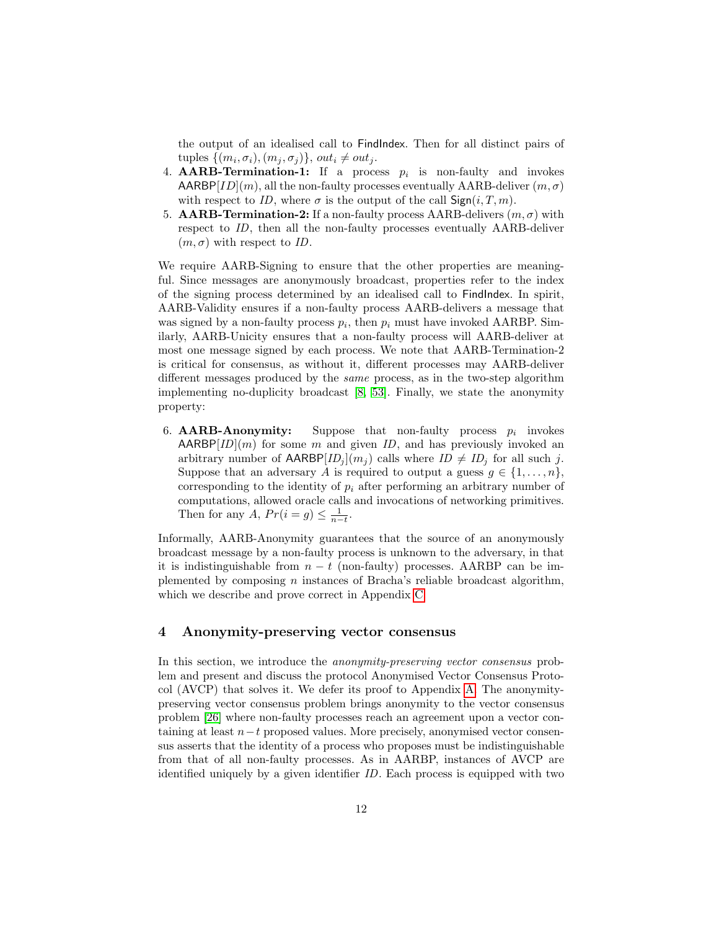the output of an idealised call to FindIndex. Then for all distinct pairs of tuples  $\{(m_i, \sigma_i), (m_j, \sigma_j)\}, \text{ out}_i \neq \text{out}_j.$ 

- 4. **AARB-Termination-1:** If a process  $p_i$  is non-faulty and invokes  $AARBP[ID](m)$ , all the non-faulty processes eventually  $AARB$ -deliver  $(m, \sigma)$ with respect to ID, where  $\sigma$  is the output of the call  $\mathsf{Sign}(i, T, m)$ .
- 5. **AARB-Termination-2:** If a non-faulty process AARB-delivers  $(m, \sigma)$  with respect to ID, then all the non-faulty processes eventually AARB-deliver  $(m, \sigma)$  with respect to *ID*.

We require AARB-Signing to ensure that the other properties are meaningful. Since messages are anonymously broadcast, properties refer to the index of the signing process determined by an idealised call to FindIndex. In spirit, AARB-Validity ensures if a non-faulty process AARB-delivers a message that was signed by a non-faulty process  $p_i$ , then  $p_i$  must have invoked AARBP. Similarly, AARB-Unicity ensures that a non-faulty process will AARB-deliver at most one message signed by each process. We note that AARB-Termination-2 is critical for consensus, as without it, different processes may AARB-deliver different messages produced by the same process, as in the two-step algorithm implementing no-duplicity broadcast [\[8,](#page-20-8) [53\]](#page-23-11). Finally, we state the anonymity property:

6. **AARB-Anonymity:** Suppose that non-faulty process  $p_i$  invokes  $AARBP[ID](m)$  for some m and given ID, and has previously invoked an arbitrary number of  $\mathsf{AARBP}[ID_j](m_j)$  calls where  $ID \neq ID_j$  for all such j. Suppose that an adversary A is required to output a guess  $g \in \{1, \ldots, n\}$ , corresponding to the identity of  $p_i$  after performing an arbitrary number of computations, allowed oracle calls and invocations of networking primitives. Then for any A,  $Pr(i = g) \leq \frac{1}{n-t}$ .

Informally, AARB-Anonymity guarantees that the source of an anonymously broadcast message by a non-faulty process is unknown to the adversary, in that it is indistinguishable from  $n - t$  (non-faulty) processes. AARBP can be implemented by composing  $n$  instances of Bracha's reliable broadcast algorithm, which we describe and prove correct in Appendix [C.](#page-29-0)

## <span id="page-11-0"></span>4 Anonymity-preserving vector consensus

In this section, we introduce the anonymity-preserving vector consensus problem and present and discuss the protocol Anonymised Vector Consensus Protocol (AVCP) that solves it. We defer its proof to Appendix [A.](#page-24-3) The anonymitypreserving vector consensus problem brings anonymity to the vector consensus problem [\[26\]](#page-21-2) where non-faulty processes reach an agreement upon a vector containing at least  $n-t$  proposed values. More precisely, anonymised vector consensus asserts that the identity of a process who proposes must be indistinguishable from that of all non-faulty processes. As in AARBP, instances of AVCP are identified uniquely by a given identifier ID. Each process is equipped with two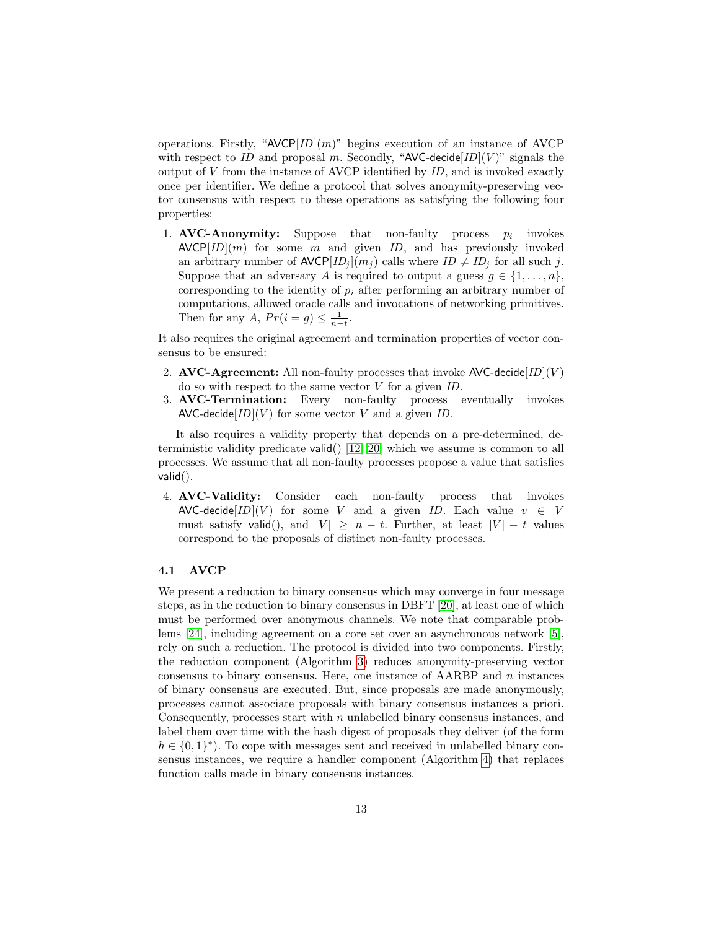operations. Firstly, " $AVCP[ID](m)$ " begins execution of an instance of AVCP with respect to ID and proposal m. Secondly, "AVC-decide  $ID|(V)$ " signals the output of  $V$  from the instance of AVCP identified by  $ID$ , and is invoked exactly once per identifier. We define a protocol that solves anonymity-preserving vector consensus with respect to these operations as satisfying the following four properties:

1. AVC-Anonymity: Suppose that non-faulty process  $p_i$ invokes  $AVCP[ID](m)$  for some m and given ID, and has previously invoked an arbitrary number of  $\mathsf{AVCP}[ID_j](m_j)$  calls where  $ID \neq ID_j$  for all such j. Suppose that an adversary A is required to output a guess  $g \in \{1, \ldots, n\}$ , corresponding to the identity of  $p_i$  after performing an arbitrary number of computations, allowed oracle calls and invocations of networking primitives. Then for any A,  $Pr(i = g) \leq \frac{1}{n-t}$ .

It also requires the original agreement and termination properties of vector consensus to be ensured:

- 2. AVC-Agreement: All non-faulty processes that invoke  $\mathsf{AVC}\text{-}\mathsf{decide}[ID](V)$ do so with respect to the same vector  $V$  for a given  $ID$ .
- 3. AVC-Termination: Every non-faulty process eventually invokes AVC-decide $[ID](V)$  for some vector V and a given ID.

It also requires a validity property that depends on a pre-determined, deterministic validity predicate valid() [\[12,](#page-20-9) [20\]](#page-21-4) which we assume is common to all processes. We assume that all non-faulty processes propose a value that satisfies valid().

4. AVC-Validity: Consider each non-faulty process that invokes AVC-decide $[ID](V)$  for some V and a given ID. Each value  $v \in V$ must satisfy valid(), and  $|V| \geq n - t$ . Further, at least  $|V| - t$  values correspond to the proposals of distinct non-faulty processes.

#### 4.1 AVCP

We present a reduction to binary consensus which may converge in four message steps, as in the reduction to binary consensus in DBFT [\[20\]](#page-21-4), at least one of which must be performed over anonymous channels. We note that comparable problems [\[24\]](#page-21-14), including agreement on a core set over an asynchronous network [\[5\]](#page-20-10), rely on such a reduction. The protocol is divided into two components. Firstly, the reduction component (Algorithm [3\)](#page-14-0) reduces anonymity-preserving vector consensus to binary consensus. Here, one instance of  $AARBP$  and n instances of binary consensus are executed. But, since proposals are made anonymously, processes cannot associate proposals with binary consensus instances a priori. Consequently, processes start with  $n$  unlabelled binary consensus instances, and label them over time with the hash digest of proposals they deliver (of the form  $h \in \{0,1\}^*$ ). To cope with messages sent and received in unlabelled binary consensus instances, we require a handler component (Algorithm [4\)](#page-15-0) that replaces function calls made in binary consensus instances.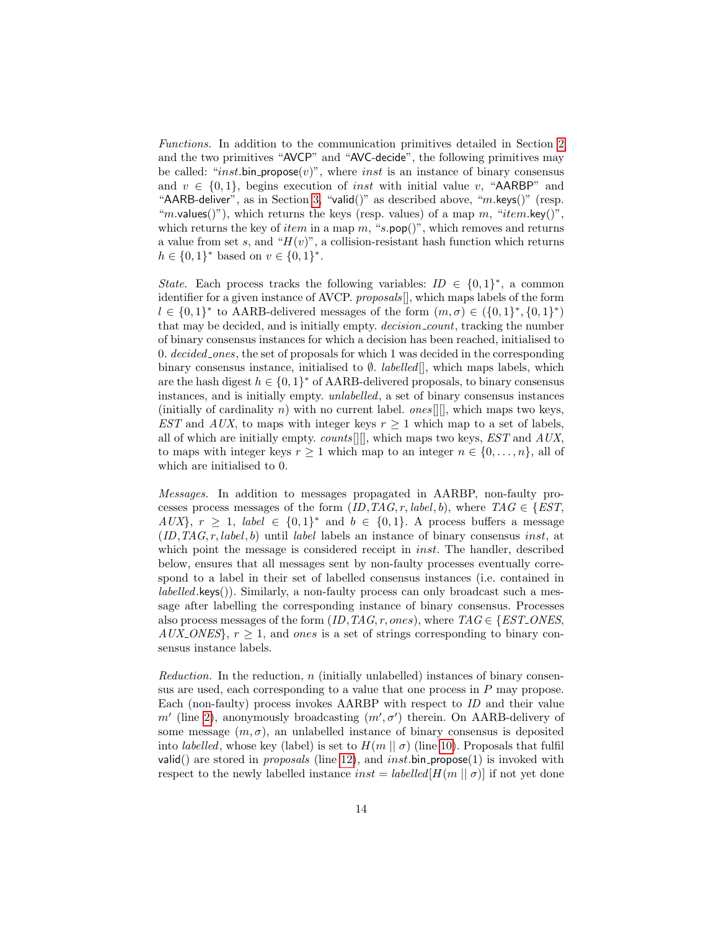Functions. In addition to the communication primitives detailed in Section [2](#page-3-0) and the two primitives "AVCP" and "AVC-decide", the following primitives may be called: "*inst*.bin\_propose(v)", where *inst* is an instance of binary consensus and  $v \in \{0, 1\}$ , begins execution of *inst* with initial value v, "AARBP" and "AARB-deliver", as in Section [3,](#page-5-0) "valid()" as described above, "m.keys()" (resp. "*m*.values()"), which returns the keys (resp. values) of a map m, "*item.key*()", which returns the key of *item* in a map m, "s.pop()", which removes and returns a value from set s, and " $H(v)$ ", a collision-resistant hash function which returns  $h \in \{0,1\}^*$  based on  $v \in \{0,1\}^*$ .

State. Each process tracks the following variables:  $ID \in \{0,1\}^*$ , a common identifier for a given instance of AVCP. proposals[], which maps labels of the form  $l \in \{0,1\}^*$  to AARB-delivered messages of the form  $(m,\sigma) \in (\{0,1\}^*, \{0,1\}^*)$ that may be decided, and is initially empty. *decision\_count*, tracking the number of binary consensus instances for which a decision has been reached, initialised to 0. decided ones, the set of proposals for which 1 was decided in the corresponding binary consensus instance, initialised to  $\emptyset$ . *labelled*[], which maps labels, which are the hash digest  $h \in \{0,1\}^*$  of AARB-delivered proposals, to binary consensus instances, and is initially empty. unlabelled, a set of binary consensus instances (initially of cardinality n) with no current label.  $ones[$ [], which maps two keys, EST and AUX, to maps with integer keys  $r \geq 1$  which map to a set of labels, all of which are initially empty.  $counts[$ ]], which maps two keys,  $EST$  and  $AUX$ , to maps with integer keys  $r \geq 1$  which map to an integer  $n \in \{0, \ldots, n\}$ , all of which are initialised to 0.

Messages. In addition to messages propagated in AARBP, non-faulty processes process messages of the form  $(ID, TAG, r, label, b)$ , where  $TAG \in \{EST$ ,  $AUX$ ,  $r \geq 1$ , label  $\in \{0,1\}^*$  and  $b \in \{0,1\}$ . A process buffers a message  $(ID, TAG, r, label, b)$  until label labels an instance of binary consensus *inst*, at which point the message is considered receipt in *inst*. The handler, described below, ensures that all messages sent by non-faulty processes eventually correspond to a label in their set of labelled consensus instances (i.e. contained in  $labeled.keys()$ . Similarly, a non-faulty process can only broadcast such a message after labelling the corresponding instance of binary consensus. Processes also process messages of the form  $(ID, TAG, r, ones),$  where  $TAG \in \{EST\_ONES,$  $AUX\_{ONES}$ ,  $r > 1$ , and ones is a set of strings corresponding to binary consensus instance labels.

Reduction. In the reduction,  $n$  (initially unlabelled) instances of binary consensus are used, each corresponding to a value that one process in  $P$  may propose. Each (non-faulty) process invokes AARBP with respect to ID and their value  $m'$  (line [2\)](#page-14-0), anonymously broadcasting  $(m', \sigma')$  therein. On AARB-delivery of some message  $(m, \sigma)$ , an unlabelled instance of binary consensus is deposited into *labelled*, whose key (label) is set to  $H(m || \sigma)$  (line [10\)](#page-14-0). Proposals that fulfil valid() are stored in *proposals* (line [12\)](#page-14-0), and *inst*.bin propose(1) is invoked with respect to the newly labelled instance  $inst = labelled[H(m || \sigma)]$  if not yet done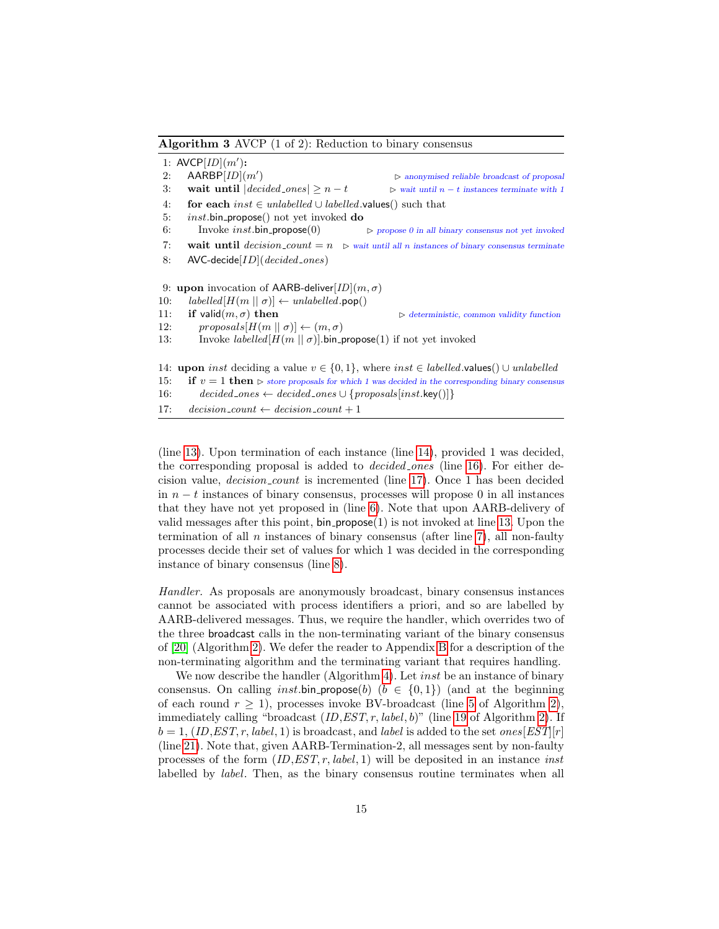<span id="page-14-0"></span>Algorithm 3 AVCP (1 of 2): Reduction to binary consensus

1: AVCP $[ID](m')$ : 2:  $AARBP[*ID*](*m*$  $\triangleright$  anonymised reliable broadcast of proposal 3: wait until  $|decided\_{ones}| \geq n-t$   $\triangleright$  wait until n − t instances terminate with 1 4: for each inst  $\in$  unlabelled ∪ labelled values() such that 5: *inst.*bin\_propose() not yet invoked **do** 6: Invoke inst. bin propose (0)  $\triangleright$  propose 0 in all binary consensus not yet invoked 7: wait until  $decision\_count = n$   $\triangleright$  wait until all n instances of binary consensus terminate 8:  $AVC-decide[ID](decided\_ones)$ 9: upon invocation of AARB-deliver[ $ID|(m, \sigma)$ ] 10:  $labelled[H(m || \sigma)] \leftarrow unlabeled(po)}$ 11: if valid $(m, \sigma)$  then  $\triangleright$  deterministic, common validity function 12:  $\text{proposals}[H(m \mid \sigma)] \leftarrow (m, \sigma)$ 13: Invoke *labelled*  $[H(m || \sigma)]$ .bin\_propose(1) if not yet invoked 14: upon inst deciding a value  $v \in \{0, 1\}$ , where inst  $\in$  labelled.values()  $\cup$  unlabelled 15: if  $v = 1$  then  $\triangleright$  store proposals for which 1 was decided in the corresponding binary consensus 16: decided\_ones ← decided\_ones  $\cup$  {proposals[inst.key()]} 17: decision\_count  $\leftarrow$  decision\_count + 1

(line [13\)](#page-14-0). Upon termination of each instance (line [14\)](#page-14-0), provided 1 was decided, the corresponding proposal is added to decided ones (line [16\)](#page-14-0). For either decision value, decision count is incremented (line [17\)](#page-14-0). Once 1 has been decided in  $n - t$  instances of binary consensus, processes will propose 0 in all instances that they have not yet proposed in (line [6\)](#page-14-0). Note that upon AARB-delivery of valid messages after this point,  $bin\_propose(1)$  is not invoked at line [13.](#page-14-0) Upon the termination of all  $n$  instances of binary consensus (after line [7\)](#page-14-0), all non-faulty processes decide their set of values for which 1 was decided in the corresponding instance of binary consensus (line [8\)](#page-14-0).

Handler. As proposals are anonymously broadcast, binary consensus instances cannot be associated with process identifiers a priori, and so are labelled by AARB-delivered messages. Thus, we require the handler, which overrides two of the three broadcast calls in the non-terminating variant of the binary consensus of [\[20\]](#page-21-4) (Algorithm [2\)](#page-8-0). We defer the reader to Appendix [B](#page-28-0) for a description of the non-terminating algorithm and the terminating variant that requires handling.

We now describe the handler (Algorithm [4\)](#page-15-0). Let *inst* be an instance of binary consensus. On calling *inst* bin propose(b) ( $b \in \{0, 1\}$ ) (and at the beginning of each round  $r \geq 1$ ), processes invoke BV-broadcast (line [5](#page-8-0) of Algorithm [2\)](#page-8-0), immediately calling "broadcast  $(ID, EST, r, label, b)$ " (line [19](#page-8-0) of Algorithm [2\)](#page-8-0). If  $b = 1$ , (ID, EST, r, label, 1) is broadcast, and label is added to the set ones  $[EST][r]$ (line [21\)](#page-15-0). Note that, given AARB-Termination-2, all messages sent by non-faulty processes of the form  $(ID, EST, r, label, 1)$  will be deposited in an instance *inst* labelled by *label*. Then, as the binary consensus routine terminates when all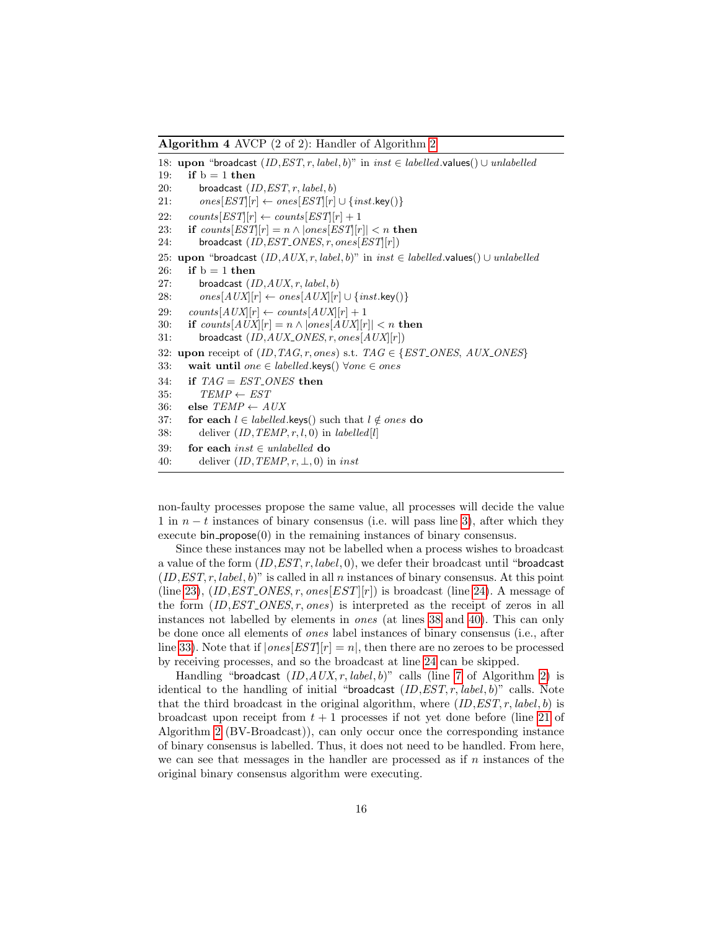<span id="page-15-0"></span>Algorithm 4 AVCP (2 of 2): Handler of Algorithm [2](#page-8-0)

18: upon "broadcast  $(ID, EST, r, label, b)$ " in inst ∈ labelled.values()  $\cup$  unlabelled 19: if  $b = 1$  then 20: broadcast  $(ID, EST, r, label, b)$ 21:  $ones[EST][r] \leftarrow ones[EST][r] \cup \{inst.\text{key}()\}$ 22: counts[EST][r]  $\leftarrow$  counts[EST][r] + 1 23: if  $counts[EST][r] = n \wedge |ones[EST][r]| < n$  then 24: broadcast  $(ID, EST\_ONES, r, ones[EST[r])$ 25: upon "broadcast  $(ID, AUX, r, label, b)$ " in  $inst \in labelled$ .values() ∪ unlabelled 26: if  $b = 1$  then 27: broadcast  $(ID, AUX, r, label, b)$ 28:  $ones[AUX][r] \leftarrow ones[AUX][r] \cup \{inst.\text{key}() \}$ 29:  $counts[AUX][r] \leftarrow counts[AUX][r] + 1$ 30: if  $counts[AUX][r] = n \wedge |ones[AUX][r]| < n$  then 31: broadcast  $(ID, AUX\_ONES, r, ones[AUX] [r])$ 32: upon receipt of  $(ID, TAG, r, ones)$  s.t.  $TAG \in \{EST\_ONES, AUX\_ONES\}$ 33: wait until one ∈ labelled.keys()  $\forall one \in ones$ 34: if  $TAG = EST\_ONES$  then 35:  $TEMP \leftarrow EST$ 36: else  $\textit{TEMP} \leftarrow \textit{AUX}$ 37: for each  $l \in \text{labelled}$ .keys() such that  $l \notin ones$  do 38: deliver  $(ID, TEMP, r, l, 0)$  in *labelled*[*l*] 39: for each inst  $\in$  unlabelled do 40: deliver  $(ID, TEMP, r, \perp, 0)$  in inst

non-faulty processes propose the same value, all processes will decide the value 1 in  $n - t$  instances of binary consensus (i.e. will pass line [3\)](#page-14-0), after which they execute  $\binom{1}{r}$  in the remaining instances of binary consensus.

Since these instances may not be labelled when a process wishes to broadcast a value of the form  $(ID, EST, r, label, 0)$ , we defer their broadcast until "broadcast"  $(ID, EST, r, label, b)$ " is called in all n instances of binary consensus. At this point (line [23\)](#page-15-0),  $(ID, EST_ONES, r, ones[EST][r])$  is broadcast (line [24\)](#page-15-0). A message of the form  $(ID, EST\_ONES, r, ones)$  is interpreted as the receipt of zeros in all instances not labelled by elements in ones (at lines [38](#page-15-0) and [40\)](#page-15-0). This can only be done once all elements of ones label instances of binary consensus (i.e., after line [33\)](#page-15-0). Note that if  $|ones[EST][r] = n|$ , then there are no zeroes to be processed by receiving processes, and so the broadcast at line [24](#page-15-0) can be skipped.

Handling "broadcast  $(ID, AUX, r, label, b)$ " calls (line [7](#page-8-0) of Algorithm [2\)](#page-8-0) is identical to the handling of initial "broadcast  $(ID, EST, r, label, b)$ " calls. Note that the third broadcast in the original algorithm, where  $(ID, EST, r, label, b)$  is broadcast upon receipt from  $t + 1$  processes if not yet done before (line [21](#page-8-0) of Algorithm [2](#page-8-0) (BV-Broadcast)), can only occur once the corresponding instance of binary consensus is labelled. Thus, it does not need to be handled. From here, we can see that messages in the handler are processed as if  $n$  instances of the original binary consensus algorithm were executing.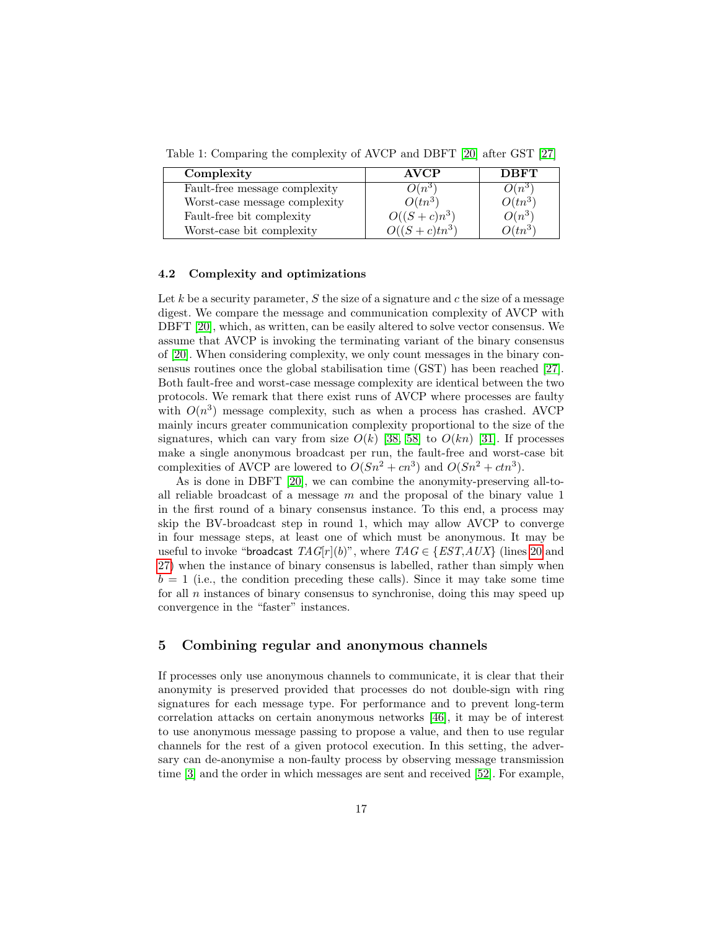Table 1: Comparing the complexity of AVCP and DBFT [\[20\]](#page-21-4) after GST [\[27\]](#page-21-12)

| Complexity                    | <b>AVCP</b>      | <b>DBFT</b> |
|-------------------------------|------------------|-------------|
| Fault-free message complexity | $O(n^3)$         | $O(n^3)$    |
| Worst-case message complexity | $O(tn^3)$        | $O(tn^3)$   |
| Fault-free bit complexity     | $O((S+c)n^3)$    | $O(n^3)$    |
| Worst-case bit complexity     | $O((S+c)tn^{3})$ | $O(tn^3)$   |

#### 4.2 Complexity and optimizations

Let k be a security parameter,  $S$  the size of a signature and  $c$  the size of a message digest. We compare the message and communication complexity of AVCP with DBFT [\[20\]](#page-21-4), which, as written, can be easily altered to solve vector consensus. We assume that AVCP is invoking the terminating variant of the binary consensus of [\[20\]](#page-21-4). When considering complexity, we only count messages in the binary consensus routines once the global stabilisation time (GST) has been reached [\[27\]](#page-21-12). Both fault-free and worst-case message complexity are identical between the two protocols. We remark that there exist runs of AVCP where processes are faulty with  $O(n^3)$  message complexity, such as when a process has crashed. AVCP mainly incurs greater communication complexity proportional to the size of the signatures, which can vary from size  $O(k)$  [\[38,](#page-22-3) [58\]](#page-23-12) to  $O(kn)$  [\[31\]](#page-22-12). If processes make a single anonymous broadcast per run, the fault-free and worst-case bit complexities of AVCP are lowered to  $O(Sn^2 + cn^3)$  and  $O(Sn^2 + ctn^3)$ .

As is done in DBFT [\[20\]](#page-21-4), we can combine the anonymity-preserving all-toall reliable broadcast of a message  $m$  and the proposal of the binary value 1 in the first round of a binary consensus instance. To this end, a process may skip the BV-broadcast step in round 1, which may allow AVCP to converge in four message steps, at least one of which must be anonymous. It may be useful to invoke "broadcast  $TAG[r](b)$ ", where  $TAG \in \{EST, AUX\}$  (lines [20](#page-15-0) and [27\)](#page-15-0) when the instance of binary consensus is labelled, rather than simply when  $b = 1$  (i.e., the condition preceding these calls). Since it may take some time for all  $n$  instances of binary consensus to synchronise, doing this may speed up convergence in the "faster" instances.

## <span id="page-16-0"></span>5 Combining regular and anonymous channels

If processes only use anonymous channels to communicate, it is clear that their anonymity is preserved provided that processes do not double-sign with ring signatures for each message type. For performance and to prevent long-term correlation attacks on certain anonymous networks [\[46\]](#page-23-3), it may be of interest to use anonymous message passing to propose a value, and then to use regular channels for the rest of a given protocol execution. In this setting, the adversary can de-anonymise a non-faulty process by observing message transmission time [\[3\]](#page-20-2) and the order in which messages are sent and received [\[52\]](#page-23-4). For example,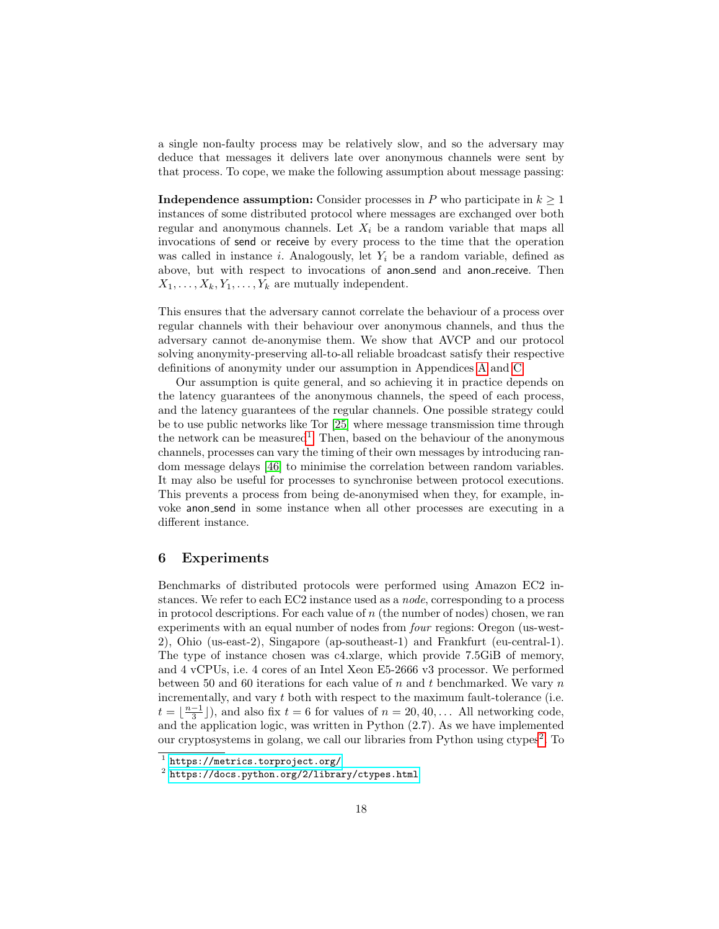a single non-faulty process may be relatively slow, and so the adversary may deduce that messages it delivers late over anonymous channels were sent by that process. To cope, we make the following assumption about message passing:

**Independence assumption:** Consider processes in P who participate in  $k \geq 1$ instances of some distributed protocol where messages are exchanged over both regular and anonymous channels. Let  $X_i$  be a random variable that maps all invocations of send or receive by every process to the time that the operation was called in instance i. Analogously, let  $Y_i$  be a random variable, defined as above, but with respect to invocations of anon\_send and anon\_receive. Then  $X_1, \ldots, X_k, Y_1, \ldots, Y_k$  are mutually independent.

This ensures that the adversary cannot correlate the behaviour of a process over regular channels with their behaviour over anonymous channels, and thus the adversary cannot de-anonymise them. We show that AVCP and our protocol solving anonymity-preserving all-to-all reliable broadcast satisfy their respective definitions of anonymity under our assumption in Appendices [A](#page-24-3) and [C.](#page-29-0)

Our assumption is quite general, and so achieving it in practice depends on the latency guarantees of the anonymous channels, the speed of each process, and the latency guarantees of the regular channels. One possible strategy could be to use public networks like Tor [\[25\]](#page-21-7) where message transmission time through the network can be measured<sup>[1](#page-0-0)</sup>. Then, based on the behaviour of the anonymous channels, processes can vary the timing of their own messages by introducing random message delays [\[46\]](#page-23-3) to minimise the correlation between random variables. It may also be useful for processes to synchronise between protocol executions. This prevents a process from being de-anonymised when they, for example, invoke anon send in some instance when all other processes are executing in a different instance.

## <span id="page-17-0"></span>6 Experiments

Benchmarks of distributed protocols were performed using Amazon EC2 instances. We refer to each EC2 instance used as a node, corresponding to a process in protocol descriptions. For each value of  $n$  (the number of nodes) chosen, we ran experiments with an equal number of nodes from four regions: Oregon (us-west-2), Ohio (us-east-2), Singapore (ap-southeast-1) and Frankfurt (eu-central-1). The type of instance chosen was c4.xlarge, which provide 7.5GiB of memory, and 4 vCPUs, i.e. 4 cores of an Intel Xeon E5-2666 v3 processor. We performed between 50 and 60 iterations for each value of n and t benchmarked. We vary  $n$ incrementally, and vary t both with respect to the maximum fault-tolerance (i.e.  $t = \lfloor \frac{n-1}{3} \rfloor$ ), and also fix  $t = 6$  for values of  $n = 20, 40, \ldots$  All networking code, and the application logic, was written in Python (2.7). As we have implemented our cryptosystems in golang, we call our libraries from Python using ctypes<sup>[2](#page-0-0)</sup>. To

<sup>1</sup> <https://metrics.torproject.org/>

 $^2$  <https://docs.python.org/2/library/ctypes.html>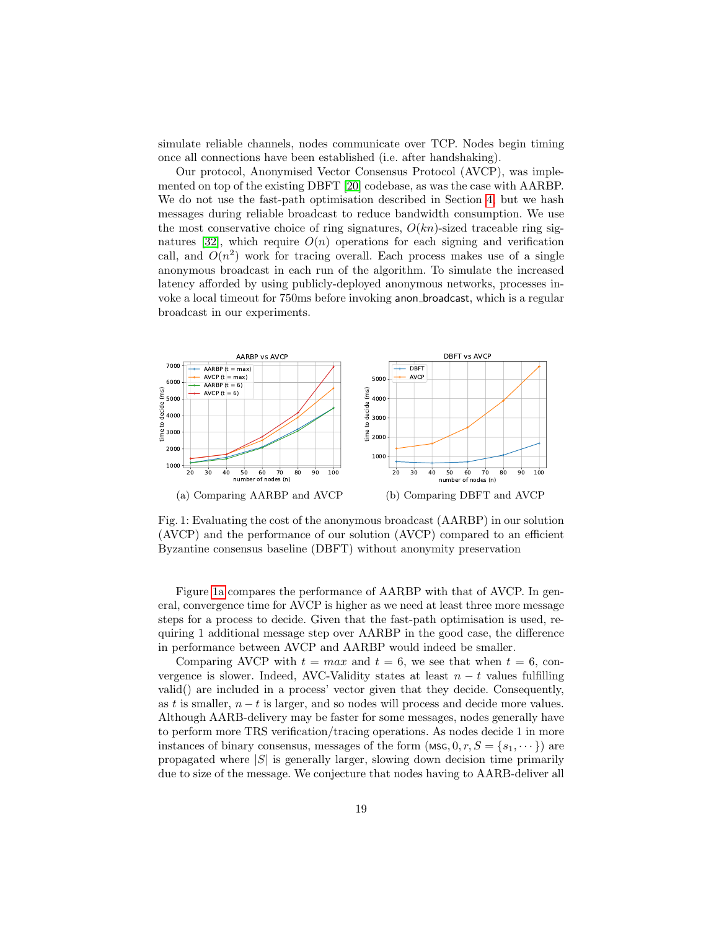simulate reliable channels, nodes communicate over TCP. Nodes begin timing once all connections have been established (i.e. after handshaking).

Our protocol, Anonymised Vector Consensus Protocol (AVCP), was implemented on top of the existing DBFT [\[20\]](#page-21-4) codebase, as was the case with AARBP. We do not use the fast-path optimisation described in Section [4,](#page-11-0) but we hash messages during reliable broadcast to reduce bandwidth consumption. We use the most conservative choice of ring signatures,  $O(kn)$ -sized traceable ring sig-natures [\[32\]](#page-22-2), which require  $O(n)$  operations for each signing and verification call, and  $O(n^2)$  work for tracing overall. Each process makes use of a single anonymous broadcast in each run of the algorithm. To simulate the increased latency afforded by using publicly-deployed anonymous networks, processes invoke a local timeout for 750ms before invoking anon broadcast, which is a regular broadcast in our experiments.

<span id="page-18-0"></span>

Fig. 1: Evaluating the cost of the anonymous broadcast (AARBP) in our solution (AVCP) and the performance of our solution (AVCP) compared to an efficient Byzantine consensus baseline (DBFT) without anonymity preservation

Figure [1a](#page-18-0) compares the performance of AARBP with that of AVCP. In general, convergence time for AVCP is higher as we need at least three more message steps for a process to decide. Given that the fast-path optimisation is used, requiring 1 additional message step over AARBP in the good case, the difference in performance between AVCP and AARBP would indeed be smaller.

Comparing AVCP with  $t = max$  and  $t = 6$ , we see that when  $t = 6$ , convergence is slower. Indeed, AVC-Validity states at least  $n - t$  values fulfilling valid() are included in a process' vector given that they decide. Consequently, as t is smaller,  $n - t$  is larger, and so nodes will process and decide more values. Although AARB-delivery may be faster for some messages, nodes generally have to perform more TRS verification/tracing operations. As nodes decide 1 in more instances of binary consensus, messages of the form  $(MSG, 0, r, S = \{s_1, \dots\})$  are propagated where  $|S|$  is generally larger, slowing down decision time primarily due to size of the message. We conjecture that nodes having to AARB-deliver all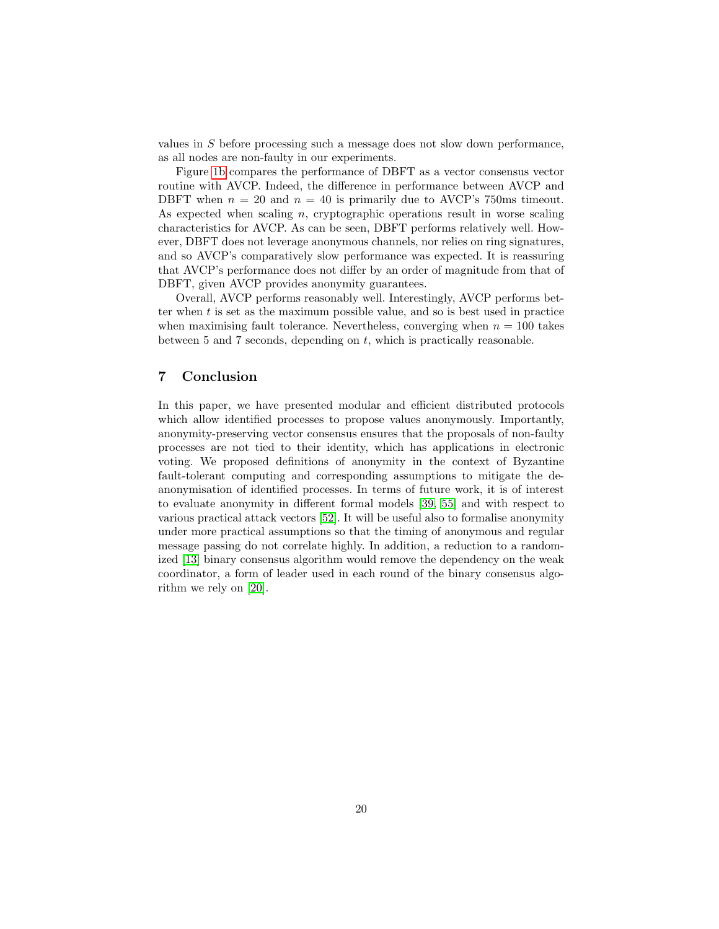values in S before processing such a message does not slow down performance, as all nodes are non-faulty in our experiments.

Figure [1b](#page-18-0) compares the performance of DBFT as a vector consensus vector routine with AVCP. Indeed, the difference in performance between AVCP and DBFT when  $n = 20$  and  $n = 40$  is primarily due to AVCP's 750ms timeout. As expected when scaling  $n$ , cryptographic operations result in worse scaling characteristics for AVCP. As can be seen, DBFT performs relatively well. However, DBFT does not leverage anonymous channels, nor relies on ring signatures, and so AVCP's comparatively slow performance was expected. It is reassuring that AVCP's performance does not differ by an order of magnitude from that of DBFT, given AVCP provides anonymity guarantees.

Overall, AVCP performs reasonably well. Interestingly, AVCP performs better when t is set as the maximum possible value, and so is best used in practice when maximising fault tolerance. Nevertheless, converging when  $n = 100$  takes between 5 and 7 seconds, depending on t, which is practically reasonable.

## <span id="page-19-0"></span>7 Conclusion

In this paper, we have presented modular and efficient distributed protocols which allow identified processes to propose values anonymously. Importantly, anonymity-preserving vector consensus ensures that the proposals of non-faulty processes are not tied to their identity, which has applications in electronic voting. We proposed definitions of anonymity in the context of Byzantine fault-tolerant computing and corresponding assumptions to mitigate the deanonymisation of identified processes. In terms of future work, it is of interest to evaluate anonymity in different formal models [\[39,](#page-22-13) [55\]](#page-23-13) and with respect to various practical attack vectors [\[52\]](#page-23-4). It will be useful also to formalise anonymity under more practical assumptions so that the timing of anonymous and regular message passing do not correlate highly. In addition, a reduction to a randomized [\[13\]](#page-20-6) binary consensus algorithm would remove the dependency on the weak coordinator, a form of leader used in each round of the binary consensus algorithm we rely on [\[20\]](#page-21-4).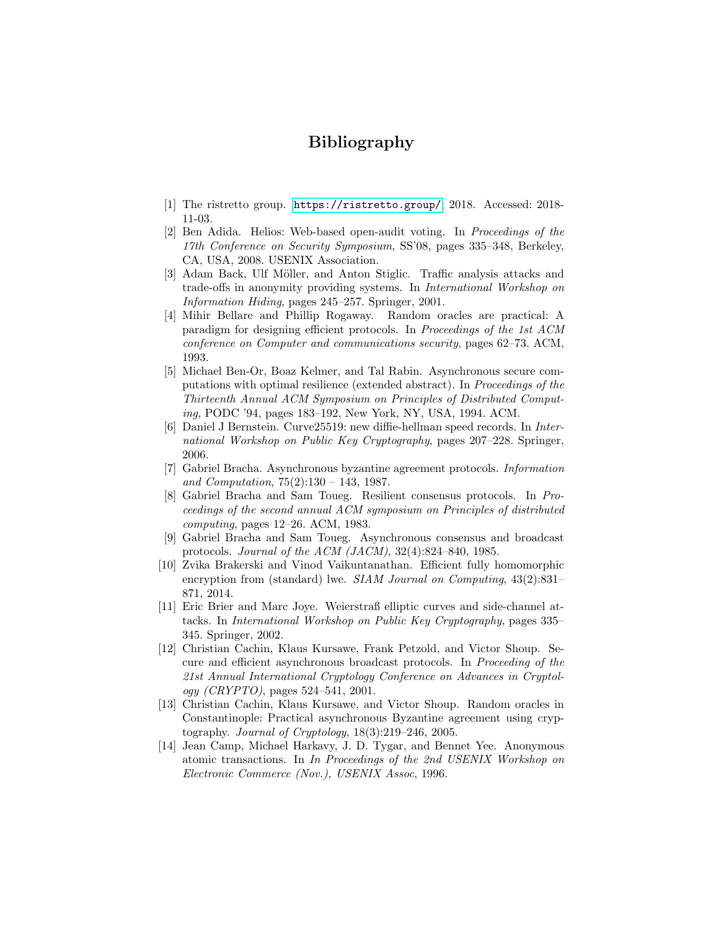## Bibliography

- <span id="page-20-12"></span>[1] The ristretto group. <https://ristretto.group/>, 2018. Accessed: 2018- 11-03.
- <span id="page-20-0"></span>[2] Ben Adida. Helios: Web-based open-audit voting. In Proceedings of the 17th Conference on Security Symposium, SS'08, pages 335–348, Berkeley, CA, USA, 2008. USENIX Association.
- <span id="page-20-2"></span>[3] Adam Back, Ulf Möller, and Anton Stiglic. Traffic analysis attacks and trade-offs in anonymity providing systems. In International Workshop on Information Hiding, pages 245–257. Springer, 2001.
- <span id="page-20-7"></span>[4] Mihir Bellare and Phillip Rogaway. Random oracles are practical: A paradigm for designing efficient protocols. In Proceedings of the 1st ACM conference on Computer and communications security, pages 62–73. ACM, 1993.
- <span id="page-20-10"></span>[5] Michael Ben-Or, Boaz Kelmer, and Tal Rabin. Asynchronous secure computations with optimal resilience (extended abstract). In Proceedings of the Thirteenth Annual ACM Symposium on Principles of Distributed Computing, PODC '94, pages 183–192, New York, NY, USA, 1994. ACM.
- <span id="page-20-11"></span>[6] Daniel J Bernstein. Curve25519: new diffie-hellman speed records. In International Workshop on Public Key Cryptography, pages 207–228. Springer, 2006.
- <span id="page-20-4"></span>[7] Gabriel Bracha. Asynchronous byzantine agreement protocols. Information and Computation, 75(2):130 – 143, 1987.
- <span id="page-20-8"></span>[8] Gabriel Bracha and Sam Toueg. Resilient consensus protocols. In Proceedings of the second annual ACM symposium on Principles of distributed computing, pages 12–26. ACM, 1983.
- <span id="page-20-3"></span>[9] Gabriel Bracha and Sam Toueg. Asynchronous consensus and broadcast protocols. Journal of the ACM (JACM), 32(4):824–840, 1985.
- <span id="page-20-5"></span>[10] Zvika Brakerski and Vinod Vaikuntanathan. Efficient fully homomorphic encryption from (standard) lwe. *SIAM Journal on Computing*, 43(2):831– 871, 2014.
- <span id="page-20-13"></span>[11] Eric Brier and Marc Joye. Weierstraß elliptic curves and side-channel attacks. In International Workshop on Public Key Cryptography, pages 335– 345. Springer, 2002.
- <span id="page-20-9"></span>[12] Christian Cachin, Klaus Kursawe, Frank Petzold, and Victor Shoup. Secure and efficient asynchronous broadcast protocols. In Proceeding of the 21st Annual International Cryptology Conference on Advances in Cryptol $ogy (CRYPTO)$ , pages 524–541, 2001.
- <span id="page-20-6"></span>[13] Christian Cachin, Klaus Kursawe, and Victor Shoup. Random oracles in Constantinople: Practical asynchronous Byzantine agreement using cryptography. Journal of Cryptology, 18(3):219–246, 2005.
- <span id="page-20-1"></span>[14] Jean Camp, Michael Harkavy, J. D. Tygar, and Bennet Yee. Anonymous atomic transactions. In In Proceedings of the 2nd USENIX Workshop on Electronic Commerce (Nov.), USENIX Assoc, 1996.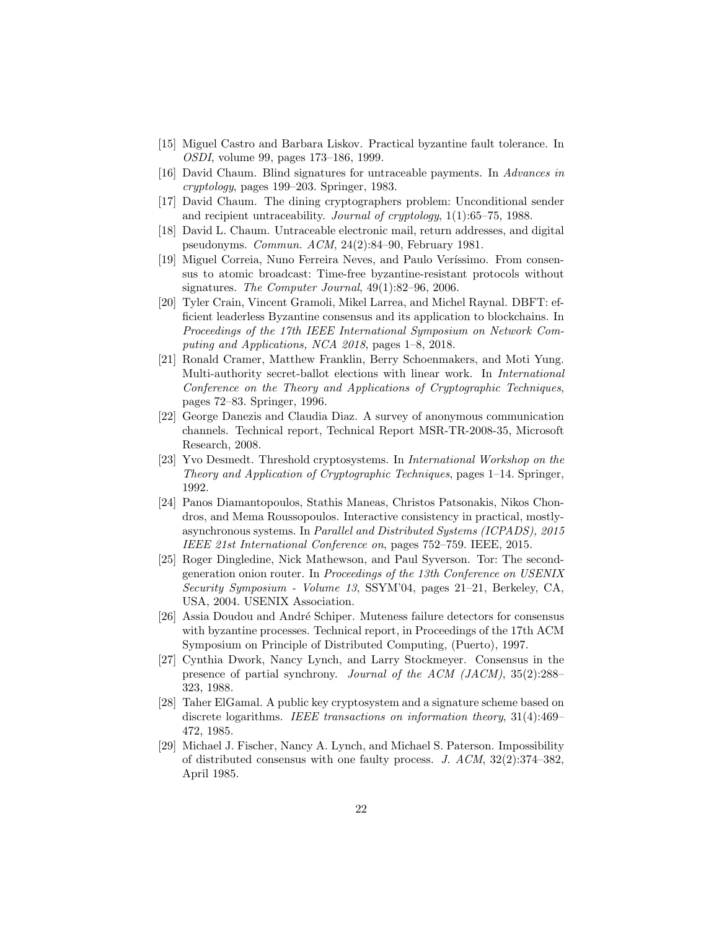- <span id="page-21-3"></span>[15] Miguel Castro and Barbara Liskov. Practical byzantine fault tolerance. In OSDI, volume 99, pages 173–186, 1999.
- <span id="page-21-5"></span>[16] David Chaum. Blind signatures for untraceable payments. In Advances in cryptology, pages 199–203. Springer, 1983.
- <span id="page-21-6"></span>[17] David Chaum. The dining cryptographers problem: Unconditional sender and recipient untraceability. Journal of cryptology, 1(1):65–75, 1988.
- <span id="page-21-10"></span>[18] David L. Chaum. Untraceable electronic mail, return addresses, and digital pseudonyms. Commun. ACM, 24(2):84–90, February 1981.
- <span id="page-21-1"></span>[19] Miguel Correia, Nuno Ferreira Neves, and Paulo Veríssimo. From consensus to atomic broadcast: Time-free byzantine-resistant protocols without signatures. The Computer Journal,  $49(1):82-96$ ,  $2006$ .
- <span id="page-21-4"></span>[20] Tyler Crain, Vincent Gramoli, Mikel Larrea, and Michel Raynal. DBFT: efficient leaderless Byzantine consensus and its application to blockchains. In Proceedings of the 17th IEEE International Symposium on Network Computing and Applications, NCA 2018, pages 1–8, 2018.
- <span id="page-21-0"></span>[21] Ronald Cramer, Matthew Franklin, Berry Schoenmakers, and Moti Yung. Multi-authority secret-ballot elections with linear work. In International Conference on the Theory and Applications of Cryptographic Techniques, pages 72–83. Springer, 1996.
- <span id="page-21-13"></span>[22] George Danezis and Claudia Diaz. A survey of anonymous communication channels. Technical report, Technical Report MSR-TR-2008-35, Microsoft Research, 2008.
- <span id="page-21-8"></span>[23] Yvo Desmedt. Threshold cryptosystems. In International Workshop on the Theory and Application of Cryptographic Techniques, pages 1–14. Springer, 1992.
- <span id="page-21-14"></span>[24] Panos Diamantopoulos, Stathis Maneas, Christos Patsonakis, Nikos Chondros, and Mema Roussopoulos. Interactive consistency in practical, mostlyasynchronous systems. In Parallel and Distributed Systems (ICPADS), 2015 IEEE 21st International Conference on, pages 752–759. IEEE, 2015.
- <span id="page-21-7"></span>[25] Roger Dingledine, Nick Mathewson, and Paul Syverson. Tor: The secondgeneration onion router. In Proceedings of the 13th Conference on USENIX Security Symposium - Volume 13, SSYM'04, pages 21–21, Berkeley, CA, USA, 2004. USENIX Association.
- <span id="page-21-2"></span>[26] Assia Doudou and André Schiper. Muteness failure detectors for consensus with byzantine processes. Technical report, in Proceedings of the 17th ACM Symposium on Principle of Distributed Computing, (Puerto), 1997.
- <span id="page-21-12"></span>[27] Cynthia Dwork, Nancy Lynch, and Larry Stockmeyer. Consensus in the presence of partial synchrony. Journal of the ACM (JACM), 35(2):288– 323, 1988.
- <span id="page-21-9"></span>[28] Taher ElGamal. A public key cryptosystem and a signature scheme based on discrete logarithms. IEEE transactions on information theory, 31(4):469– 472, 1985.
- <span id="page-21-11"></span>[29] Michael J. Fischer, Nancy A. Lynch, and Michael S. Paterson. Impossibility of distributed consensus with one faulty process. J. ACM, 32(2):374–382, April 1985.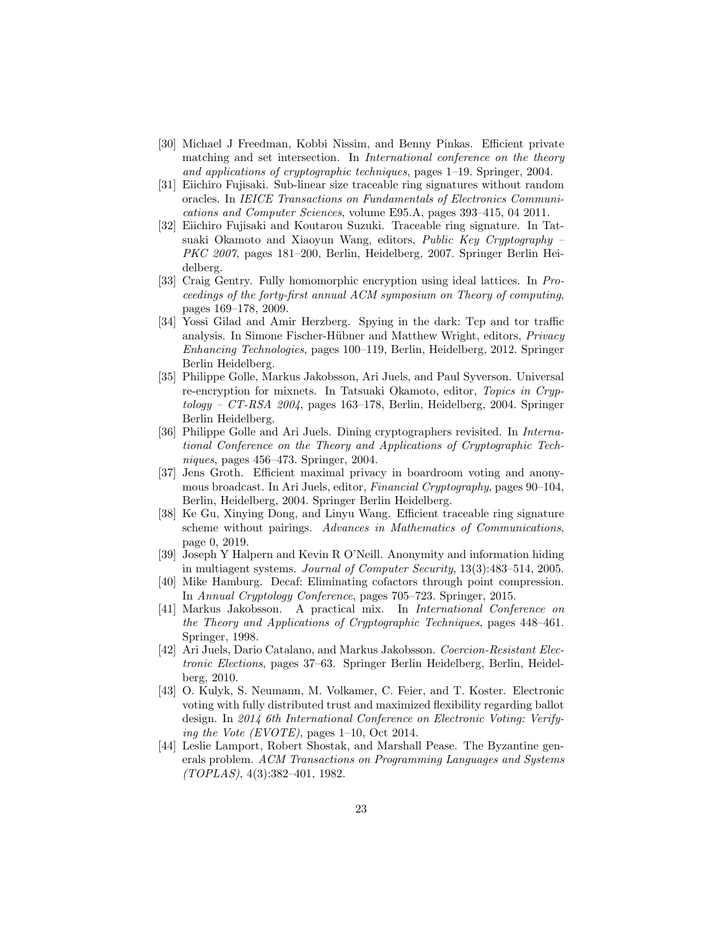- <span id="page-22-11"></span>[30] Michael J Freedman, Kobbi Nissim, and Benny Pinkas. Efficient private matching and set intersection. In *International conference on the theory* and applications of cryptographic techniques, pages 1–19. Springer, 2004.
- <span id="page-22-12"></span>[31] Eiichiro Fujisaki. Sub-linear size traceable ring signatures without random oracles. In IEICE Transactions on Fundamentals of Electronics Communications and Computer Sciences, volume E95.A, pages 393–415, 04 2011.
- <span id="page-22-2"></span>[32] Eiichiro Fujisaki and Koutarou Suzuki. Traceable ring signature. In Tatsuaki Okamoto and Xiaoyun Wang, editors, Public Key Cryptography – PKC 2007, pages 181–200, Berlin, Heidelberg, 2007. Springer Berlin Heidelberg.
- <span id="page-22-9"></span>[33] Craig Gentry. Fully homomorphic encryption using ideal lattices. In Proceedings of the forty-first annual ACM symposium on Theory of computing, pages 169–178, 2009.
- <span id="page-22-7"></span>[34] Yossi Gilad and Amir Herzberg. Spying in the dark: Tcp and tor traffic analysis. In Simone Fischer-Hübner and Matthew Wright, editors, Privacy Enhancing Technologies, pages 100–119, Berlin, Heidelberg, 2012. Springer Berlin Heidelberg.
- <span id="page-22-4"></span>[35] Philippe Golle, Markus Jakobsson, Ari Juels, and Paul Syverson. Universal re-encryption for mixnets. In Tatsuaki Okamoto, editor, Topics in Cryp $tology - CT-RSA$  2004, pages 163–178, Berlin, Heidelberg, 2004. Springer Berlin Heidelberg.
- <span id="page-22-5"></span>[36] Philippe Golle and Ari Juels. Dining cryptographers revisited. In *Interna*tional Conference on the Theory and Applications of Cryptographic Techniques, pages 456–473. Springer, 2004.
- <span id="page-22-8"></span>[37] Jens Groth. Efficient maximal privacy in boardroom voting and anonymous broadcast. In Ari Juels, editor, *Financial Cryptography*, pages 90–104, Berlin, Heidelberg, 2004. Springer Berlin Heidelberg.
- <span id="page-22-3"></span>[38] Ke Gu, Xinying Dong, and Linyu Wang. Efficient traceable ring signature scheme without pairings. Advances in Mathematics of Communications, page 0, 2019.
- <span id="page-22-13"></span>[39] Joseph Y Halpern and Kevin R O'Neill. Anonymity and information hiding in multiagent systems. Journal of Computer Security, 13(3):483–514, 2005.
- <span id="page-22-14"></span>[40] Mike Hamburg. Decaf: Eliminating cofactors through point compression. In Annual Cryptology Conference, pages 705–723. Springer, 2015.
- <span id="page-22-6"></span>[41] Markus Jakobsson. A practical mix. In International Conference on the Theory and Applications of Cryptographic Techniques, pages 448–461. Springer, 1998.
- <span id="page-22-0"></span>[42] Ari Juels, Dario Catalano, and Markus Jakobsson. Coercion-Resistant Electronic Elections, pages 37–63. Springer Berlin Heidelberg, Berlin, Heidelberg, 2010.
- <span id="page-22-10"></span>[43] O. Kulyk, S. Neumann, M. Volkamer, C. Feier, and T. Koster. Electronic voting with fully distributed trust and maximized flexibility regarding ballot design. In 2014 6th International Conference on Electronic Voting: Verifying the Vote (EVOTE), pages  $1-10$ , Oct 2014.
- <span id="page-22-1"></span>[44] Leslie Lamport, Robert Shostak, and Marshall Pease. The Byzantine generals problem. ACM Transactions on Programming Languages and Systems (TOPLAS), 4(3):382–401, 1982.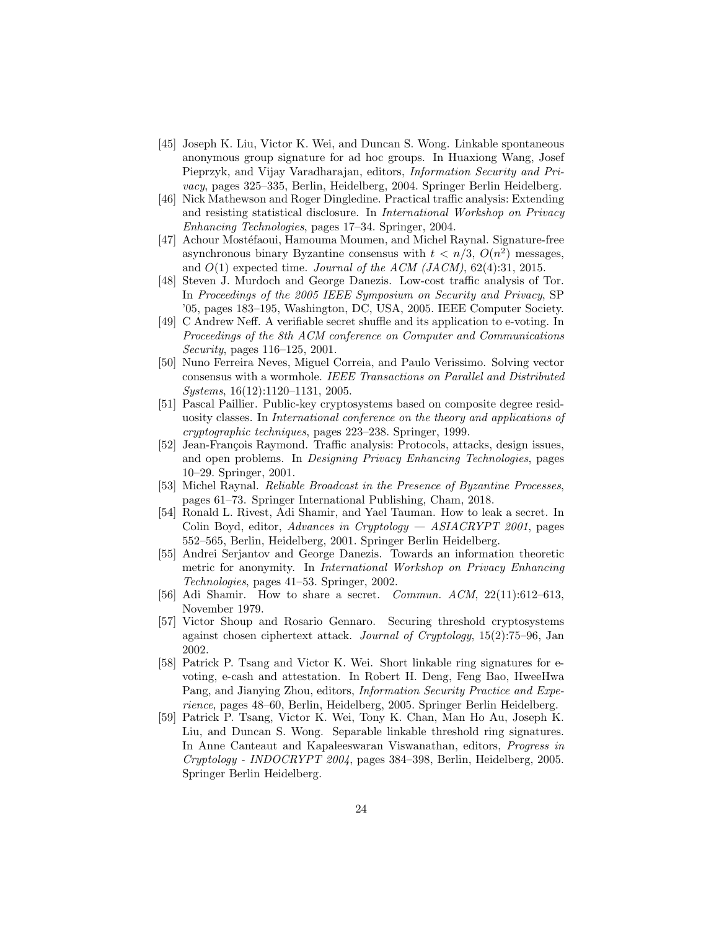- <span id="page-23-1"></span>[45] Joseph K. Liu, Victor K. Wei, and Duncan S. Wong. Linkable spontaneous anonymous group signature for ad hoc groups. In Huaxiong Wang, Josef Pieprzyk, and Vijay Varadharajan, editors, Information Security and Privacy, pages 325–335, Berlin, Heidelberg, 2004. Springer Berlin Heidelberg.
- <span id="page-23-3"></span>[46] Nick Mathewson and Roger Dingledine. Practical traffic analysis: Extending and resisting statistical disclosure. In International Workshop on Privacy Enhancing Technologies, pages 17–34. Springer, 2004.
- <span id="page-23-10"></span>[47] Achour Mostéfaoui, Hamouma Moumen, and Michel Raynal. Signature-free asynchronous binary Byzantine consensus with  $t < n/3$ ,  $O(n^2)$  messages, and  $O(1)$  expected time. Journal of the ACM (JACM), 62(4):31, 2015.
- <span id="page-23-2"></span>[48] Steven J. Murdoch and George Danezis. Low-cost traffic analysis of Tor. In Proceedings of the 2005 IEEE Symposium on Security and Privacy, SP '05, pages 183–195, Washington, DC, USA, 2005. IEEE Computer Society.
- <span id="page-23-7"></span>[49] C Andrew Neff. A verifiable secret shuffle and its application to e-voting. In Proceedings of the 8th ACM conference on Computer and Communications Security, pages 116–125, 2001.
- <span id="page-23-0"></span>[50] Nuno Ferreira Neves, Miguel Correia, and Paulo Verissimo. Solving vector consensus with a wormhole. IEEE Transactions on Parallel and Distributed Systems, 16(12):1120–1131, 2005.
- <span id="page-23-6"></span>[51] Pascal Paillier. Public-key cryptosystems based on composite degree residuosity classes. In International conference on the theory and applications of cryptographic techniques, pages 223–238. Springer, 1999.
- <span id="page-23-4"></span>[52] Jean-François Raymond. Traffic analysis: Protocols, attacks, design issues, and open problems. In Designing Privacy Enhancing Technologies, pages 10–29. Springer, 2001.
- <span id="page-23-11"></span>[53] Michel Raynal. Reliable Broadcast in the Presence of Byzantine Processes, pages 61–73. Springer International Publishing, Cham, 2018.
- <span id="page-23-8"></span>[54] Ronald L. Rivest, Adi Shamir, and Yael Tauman. How to leak a secret. In Colin Boyd, editor, Advances in Cryptology  $-$  ASIACRYPT 2001, pages 552–565, Berlin, Heidelberg, 2001. Springer Berlin Heidelberg.
- <span id="page-23-13"></span>[55] Andrei Serjantov and George Danezis. Towards an information theoretic metric for anonymity. In International Workshop on Privacy Enhancing Technologies, pages 41–53. Springer, 2002.
- <span id="page-23-14"></span>[56] Adi Shamir. How to share a secret. *Commun. ACM*, 22(11):612-613, November 1979.
- <span id="page-23-5"></span>[57] Victor Shoup and Rosario Gennaro. Securing threshold cryptosystems against chosen ciphertext attack. Journal of Cryptology, 15(2):75–96, Jan 2002.
- <span id="page-23-12"></span>[58] Patrick P. Tsang and Victor K. Wei. Short linkable ring signatures for evoting, e-cash and attestation. In Robert H. Deng, Feng Bao, HweeHwa Pang, and Jianying Zhou, editors, *Information Security Practice and Expe*rience, pages 48–60, Berlin, Heidelberg, 2005. Springer Berlin Heidelberg.
- <span id="page-23-9"></span>[59] Patrick P. Tsang, Victor K. Wei, Tony K. Chan, Man Ho Au, Joseph K. Liu, and Duncan S. Wong. Separable linkable threshold ring signatures. In Anne Canteaut and Kapaleeswaran Viswanathan, editors, Progress in Cryptology - INDOCRYPT 2004, pages 384–398, Berlin, Heidelberg, 2005. Springer Berlin Heidelberg.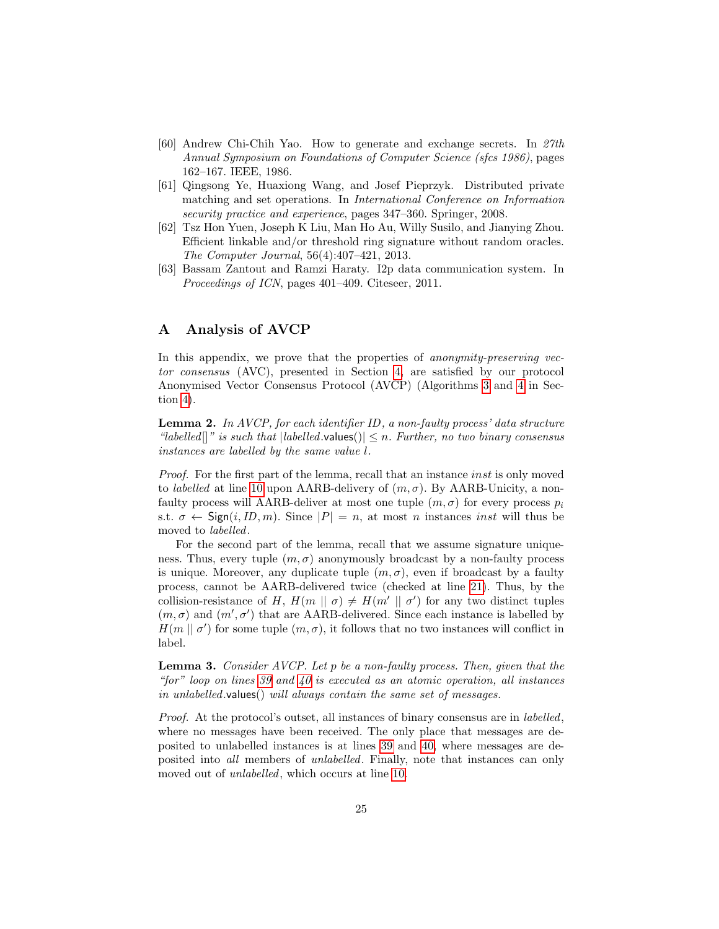- <span id="page-24-1"></span>[60] Andrew Chi-Chih Yao. How to generate and exchange secrets. In 27th Annual Symposium on Foundations of Computer Science (sfcs 1986), pages 162–167. IEEE, 1986.
- <span id="page-24-2"></span>[61] Qingsong Ye, Huaxiong Wang, and Josef Pieprzyk. Distributed private matching and set operations. In International Conference on Information security practice and experience, pages 347–360. Springer, 2008.
- <span id="page-24-6"></span>[62] Tsz Hon Yuen, Joseph K Liu, Man Ho Au, Willy Susilo, and Jianying Zhou. Efficient linkable and/or threshold ring signature without random oracles. The Computer Journal, 56(4):407–421, 2013.
- <span id="page-24-0"></span>[63] Bassam Zantout and Ramzi Haraty. I2p data communication system. In Proceedings of ICN, pages 401–409. Citeseer, 2011.

## <span id="page-24-3"></span>A Analysis of AVCP

In this appendix, we prove that the properties of *anonymity-preserving vec*tor consensus (AVC), presented in Section [4,](#page-11-0) are satisfied by our protocol Anonymised Vector Consensus Protocol (AVCP) (Algorithms [3](#page-14-0) and [4](#page-15-0) in Section [4\)](#page-11-0).

<span id="page-24-5"></span>**Lemma 2.** In AVCP, for each identifier ID, a non-faulty process' data structure "labelled]]" is such that  $|labeled.values()| \leq n$ . Further, no two binary consensus instances are labelled by the same value l.

*Proof.* For the first part of the lemma, recall that an instance *inst* is only moved to *labelled* at line [10](#page-14-0) upon AARB-delivery of  $(m, \sigma)$ . By AARB-Unicity, a nonfaulty process will AARB-deliver at most one tuple  $(m, \sigma)$  for every process  $p_i$ s.t.  $\sigma \leftarrow$  Sign $(i, ID, m)$ . Since  $|P| = n$ , at most *n* instances *inst* will thus be moved to labelled.

For the second part of the lemma, recall that we assume signature uniqueness. Thus, every tuple  $(m, \sigma)$  anonymously broadcast by a non-faulty process is unique. Moreover, any duplicate tuple  $(m, \sigma)$ , even if broadcast by a faulty process, cannot be AARB-delivered twice (checked at line [21\)](#page-30-0). Thus, by the collision-resistance of H,  $H(m \mid \sigma) \neq H(m' \mid \sigma')$  for any two distinct tuples  $(m, \sigma)$  and  $(m', \sigma')$  that are AARB-delivered. Since each instance is labelled by  $H(m \mid \sigma')$  for some tuple  $(m, \sigma)$ , it follows that no two instances will conflict in label.

Lemma 3. Consider AVCP. Let p be a non-faulty process. Then, given that the "for" loop on lines [39](#page-15-0) and [40](#page-15-0) is executed as an atomic operation, all instances in unlabelled.values() will always contain the same set of messages.

<span id="page-24-4"></span>Proof. At the protocol's outset, all instances of binary consensus are in labelled, where no messages have been received. The only place that messages are deposited to unlabelled instances is at lines [39](#page-15-0) and [40,](#page-15-0) where messages are deposited into all members of unlabelled. Finally, note that instances can only moved out of unlabelled, which occurs at line [10.](#page-14-0)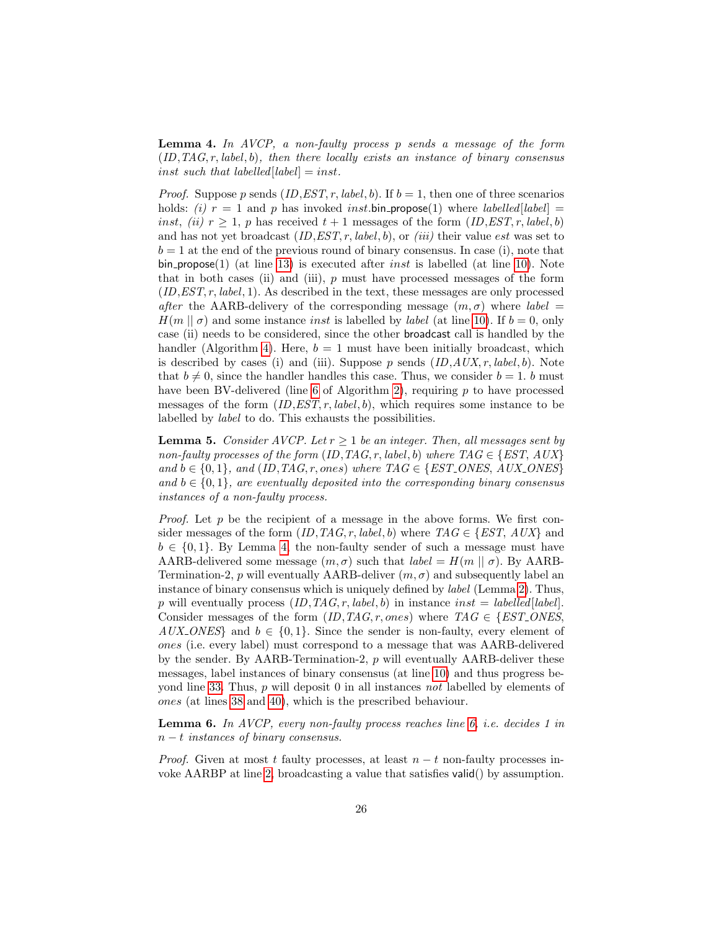**Lemma 4.** In AVCP, a non-faulty process  $p$  sends a message of the form  $(ID, TAG, r, label, b)$ , then there locally exists an instance of binary consensus inst such that labelled  $[label] = inst.$ 

*Proof.* Suppose p sends  $(ID, EST, r, label, b)$ . If  $b = 1$ , then one of three scenarios holds: (i)  $r = 1$  and p has invoked inst. bin propose(1) where *labelled*[*label*] = inst, (ii)  $r > 1$ , p has received  $t + 1$  messages of the form  $(ID, EST, r, label, b)$ and has not yet broadcast  $(ID, EST, r, label, b)$ , or  $(iii)$  their value est was set to  $b = 1$  at the end of the previous round of binary consensus. In case (i), note that bin propose(1) (at line [13\)](#page-14-0) is executed after *inst* is labelled (at line [10\)](#page-14-0). Note that in both cases (ii) and (iii),  $p$  must have processed messages of the form  $(ID, EST, r, label, 1)$ . As described in the text, these messages are only processed after the AARB-delivery of the corresponding message  $(m, \sigma)$  where *label* =  $H(m || \sigma)$  and some instance *inst* is labelled by *label* (at line [10\)](#page-14-0). If  $b = 0$ , only case (ii) needs to be considered, since the other broadcast call is handled by the handler (Algorithm [4\)](#page-15-0). Here,  $b = 1$  must have been initially broadcast, which is described by cases (i) and (iii). Suppose  $p$  sends  $(ID, AUX, r, label, b)$ . Note that  $b \neq 0$ , since the handler handles this case. Thus, we consider  $b = 1$ . b must have been BV-delivered (line [6](#page-8-0) of Algorithm [2\)](#page-8-0), requiring  $p$  to have processed messages of the form  $(ID, EST, r, label, b)$ , which requires some instance to be labelled by label to do. This exhausts the possibilities.

<span id="page-25-0"></span>**Lemma 5.** Consider AVCP. Let  $r > 1$  be an integer. Then, all messages sent by non-faulty processes of the form (ID, TAG, r, label, b) where  $TAG \in \{EST, AUX\}$ and  $b \in \{0, 1\}$ , and  $(ID, TAG, r, ones)$  where  $TAG \in \{EST\_ONES, AUX\_ONES\}$ and  $b \in \{0, 1\}$ , are eventually deposited into the corresponding binary consensus instances of a non-faulty process.

*Proof.* Let p be the recipient of a message in the above forms. We first consider messages of the form  $(ID, TAG, r, label, b)$  where  $TAG \in \{EST, AUX\}$  and  $b \in \{0,1\}$ . By Lemma [4,](#page-24-4) the non-faulty sender of such a message must have AARB-delivered some message  $(m, \sigma)$  such that  $label = H(m || \sigma)$ . By AARB-Termination-2, p will eventually AARB-deliver  $(m, \sigma)$  and subsequently label an instance of binary consensus which is uniquely defined by *label* (Lemma [2\)](#page-24-5). Thus, p will eventually process  $(ID, TAG, r, label, b)$  in instance  $inst = labelled|label|$ . Consider messages of the form  $(ID, TAG, r, ones)$  where  $TAG \in \{EST\_ONES,$ AUX\_ONES} and  $b \in \{0, 1\}$ . Since the sender is non-faulty, every element of ones (i.e. every label) must correspond to a message that was AARB-delivered by the sender. By AARB-Termination-2,  $p$  will eventually AARB-deliver these messages, label instances of binary consensus (at line [10\)](#page-14-0) and thus progress beyond line [33.](#page-15-0) Thus, p will deposit 0 in all instances not labelled by elements of ones (at lines [38](#page-15-0) and [40\)](#page-15-0), which is the prescribed behaviour.

<span id="page-25-1"></span>**Lemma 6.** In AVCP, every non-faulty process reaches line [6,](#page-14-0) i.e. decides 1 in  $n - t$  instances of binary consensus.

*Proof.* Given at most t faulty processes, at least  $n - t$  non-faulty processes invoke AARBP at line [2,](#page-14-0) broadcasting a value that satisfies valid() by assumption.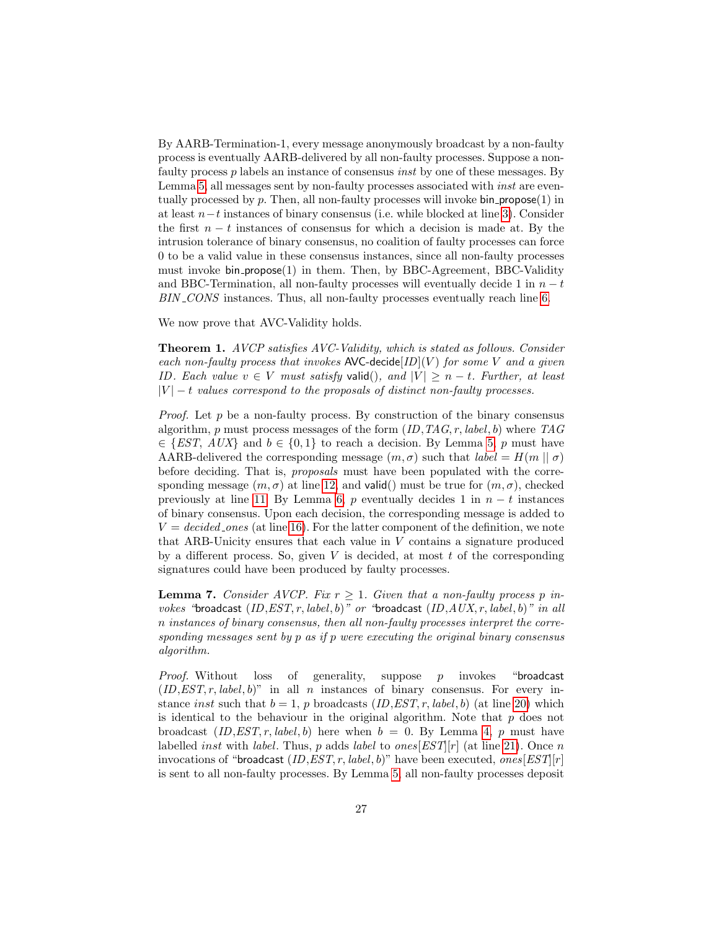By AARB-Termination-1, every message anonymously broadcast by a non-faulty process is eventually AARB-delivered by all non-faulty processes. Suppose a nonfaulty process p labels an instance of consensus inst by one of these messages. By Lemma [5,](#page-25-0) all messages sent by non-faulty processes associated with *inst* are eventually processed by  $p$ . Then, all non-faulty processes will invoke bin propose $(1)$  in at least n−t instances of binary consensus (i.e. while blocked at line [3\)](#page-14-0). Consider the first  $n - t$  instances of consensus for which a decision is made at. By the intrusion tolerance of binary consensus, no coalition of faulty processes can force 0 to be a valid value in these consensus instances, since all non-faulty processes must invoke bin propose(1) in them. Then, by BBC-Agreement, BBC-Validity and BBC-Termination, all non-faulty processes will eventually decide 1 in  $n - t$ BIN CONS instances. Thus, all non-faulty processes eventually reach line [6.](#page-14-0)

We now prove that AVC-Validity holds.

Theorem 1. AVCP satisfies AVC-Validity, which is stated as follows. Consider each non-faulty process that invokes AVC-decide  $ID|(V)$  for some V and a given ID. Each value  $v \in V$  must satisfy valid(), and  $|V| \ge n - t$ . Further, at least  $|V| - t$  values correspond to the proposals of distinct non-faulty processes.

*Proof.* Let p be a non-faulty process. By construction of the binary consensus algorithm, p must process messages of the form  $(ID, TAG, r, label, b)$  where  $TAG$  $\in$  {EST, AUX} and  $b \in \{0,1\}$  to reach a decision. By Lemma [5,](#page-25-0) p must have AARB-delivered the corresponding message  $(m, \sigma)$  such that  $label = H(m || \sigma)$ before deciding. That is, proposals must have been populated with the corresponding message  $(m, \sigma)$  at line [12,](#page-14-0) and valid() must be true for  $(m, \sigma)$ , checked previously at line [11.](#page-14-0) By Lemma [6,](#page-25-1) p eventually decides 1 in  $n - t$  instances of binary consensus. Upon each decision, the corresponding message is added to  $V = decided\_ones$  (at line [16\)](#page-14-0). For the latter component of the definition, we note that ARB-Unicity ensures that each value in V contains a signature produced by a different process. So, given  $V$  is decided, at most  $t$  of the corresponding signatures could have been produced by faulty processes.

<span id="page-26-0"></span>**Lemma 7.** Consider AVCP. Fix  $r \geq 1$ . Given that a non-faulty process p invokes "broadcast  $(ID, EST, r, label, b)"$  or "broadcast  $(ID, AUX, r, label, b)"$  in all n instances of binary consensus, then all non-faulty processes interpret the corresponding messages sent by p as if p were executing the original binary consensus algorithm.

*Proof.* Without loss of generality, suppose  $p$  invokes "broadcast"  $(ID, EST, r, label, b)$ " in all n instances of binary consensus. For every instance *inst* such that  $b = 1$ , p broadcasts  $(ID, EST, r, label, b)$  (at line [20\)](#page-15-0) which is identical to the behaviour in the original algorithm. Note that  $p$  does not broadcast  $(ID, EST, r, label, b)$  here when  $b = 0$ . By Lemma [4,](#page-24-4) p must have labelled *inst* with *label*. Thus, p adds *label* to *ones*[EST][r] (at line [21\)](#page-15-0). Once n invocations of "broadcast  $(ID, EST, r, label, b)$ " have been executed, ones  $[EST|r]$ is sent to all non-faulty processes. By Lemma [5,](#page-25-0) all non-faulty processes deposit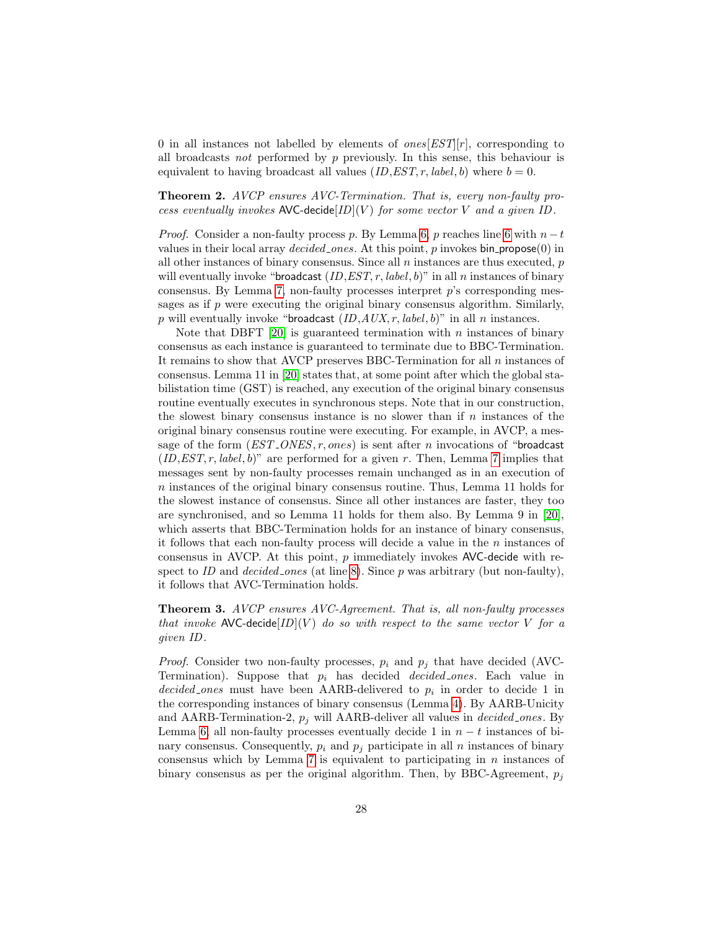0 in all instances not labelled by elements of  $ones[EST][r]$ , corresponding to all broadcasts not performed by  $p$  previously. In this sense, this behaviour is equivalent to having broadcast all values  $(ID, EST, r, label, b)$  where  $b = 0$ .

Theorem 2. AVCP ensures AVC-Termination. That is, every non-faulty process eventually invokes AVC-decide  $ID|(V)$  for some vector V and a given ID.

*Proof.* Consider a non-faulty process p. By Lemma [6,](#page-25-1) p reaches line [6](#page-14-0) with  $n-t$ values in their local array *decided ones*. At this point,  $p$  invokes bin propose $(0)$  in all other instances of binary consensus. Since all  $n$  instances are thus executed,  $p$ will eventually invoke "broadcast  $(ID, EST, r, label, b)$ " in all n instances of binary consensus. By Lemma [7,](#page-26-0) non-faulty processes interpret  $p$ 's corresponding messages as if  $p$  were executing the original binary consensus algorithm. Similarly, p will eventually invoke "broadcast  $(ID, AUX, r, label, b)$ " in all n instances.

Note that DBFT [\[20\]](#page-21-4) is guaranteed termination with  $n$  instances of binary consensus as each instance is guaranteed to terminate due to BBC-Termination. It remains to show that AVCP preserves BBC-Termination for all  $n$  instances of consensus. Lemma 11 in [\[20\]](#page-21-4) states that, at some point after which the global stabilistation time (GST) is reached, any execution of the original binary consensus routine eventually executes in synchronous steps. Note that in our construction, the slowest binary consensus instance is no slower than if  $n$  instances of the original binary consensus routine were executing. For example, in AVCP, a message of the form  $(EST\_ONES, r, ones)$  is sent after *n* invocations of "broadcast"  $(ID, EST, r, label, b)"$  are performed for a given r. Then, Lemma [7](#page-26-0) implies that messages sent by non-faulty processes remain unchanged as in an execution of n instances of the original binary consensus routine. Thus, Lemma 11 holds for the slowest instance of consensus. Since all other instances are faster, they too are synchronised, and so Lemma 11 holds for them also. By Lemma 9 in [\[20\]](#page-21-4), which asserts that BBC-Termination holds for an instance of binary consensus, it follows that each non-faulty process will decide a value in the  $n$  instances of consensus in AVCP. At this point,  $p$  immediately invokes AVC-decide with respect to ID and *decided ones* (at line [8\)](#page-14-0). Since  $p$  was arbitrary (but non-faulty), it follows that AVC-Termination holds.

Theorem 3. AVCP ensures AVC-Agreement. That is, all non-faulty processes that invoke AVC-decide  $[ID](V)$  do so with respect to the same vector V for a given ID .

*Proof.* Consider two non-faulty processes,  $p_i$  and  $p_j$  that have decided (AVC-Termination). Suppose that  $p_i$  has decided *decided ones*. Each value in decided ones must have been AARB-delivered to  $p_i$  in order to decide 1 in the corresponding instances of binary consensus (Lemma [4\)](#page-24-4). By AARB-Unicity and AARB-Termination-2,  $p_j$  will AARB-deliver all values in *decided ones*. By Lemma [6,](#page-25-1) all non-faulty processes eventually decide 1 in  $n - t$  instances of binary consensus. Consequently,  $p_i$  and  $p_j$  participate in all n instances of binary consensus which by Lemma [7](#page-26-0) is equivalent to participating in  $n$  instances of binary consensus as per the original algorithm. Then, by BBC-Agreement,  $p_j$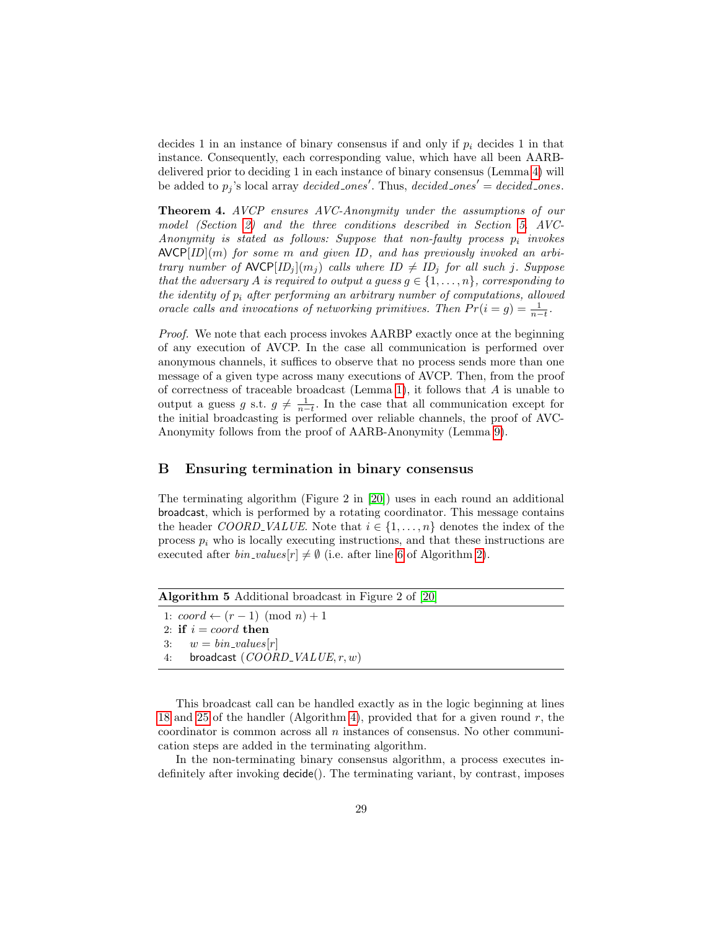decides 1 in an instance of binary consensus if and only if  $p_i$  decides 1 in that instance. Consequently, each corresponding value, which have all been AARBdelivered prior to deciding 1 in each instance of binary consensus (Lemma [4\)](#page-24-4) will be added to  $p_j$ 's local array *decided ones'*. Thus, *decided ones'* = *decided ones*.

Theorem 4. AVCP ensures AVC-Anonymity under the assumptions of our model (Section [2\)](#page-3-0) and the three conditions described in Section [5.](#page-16-0) AVC-Anonymity is stated as follows: Suppose that non-faulty process  $p_i$  invokes  $\text{AVCP}[ID](m)$  for some m and given ID, and has previously invoked an arbitrary number of  $\mathsf{AVCP}[ID_j](m_j)$  calls where  $ID \neq ID_j$  for all such j. Suppose that the adversary A is required to output a guess  $g \in \{1, \ldots, n\}$ , corresponding to the identity of  $p_i$  after performing an arbitrary number of computations, allowed oracle calls and invocations of networking primitives. Then  $Pr(i = g) = \frac{1}{n-t}$ .

Proof. We note that each process invokes AARBP exactly once at the beginning of any execution of AVCP. In the case all communication is performed over anonymous channels, it suffices to observe that no process sends more than one message of a given type across many executions of AVCP. Then, from the proof of correctness of traceable broadcast (Lemma [1\)](#page-6-1), it follows that  $A$  is unable to output a guess g s.t.  $g \neq \frac{1}{n-t}$ . In the case that all communication except for the initial broadcasting is performed over reliable channels, the proof of AVC-Anonymity follows from the proof of AARB-Anonymity (Lemma [9\)](#page-32-0).

## <span id="page-28-0"></span>B Ensuring termination in binary consensus

The terminating algorithm (Figure 2 in [\[20\]](#page-21-4)) uses in each round an additional broadcast, which is performed by a rotating coordinator. This message contains the header COORD VALUE. Note that  $i \in \{1, \ldots, n\}$  denotes the index of the process  $p_i$  who is locally executing instructions, and that these instructions are executed after  $bin\_values[r] \neq \emptyset$  (i.e. after line [6](#page-8-0) of Algorithm [2\)](#page-8-0).

| <b>Algorithm 5</b> Additional broadcast in Figure 2 of $[20]$ |  |  |  |
|---------------------------------------------------------------|--|--|--|
| 1: $coord \leftarrow (r-1) \pmod{n}+1$                        |  |  |  |
| 2: if $i = coord$ then                                        |  |  |  |
| 3: $w = bin\_values[r]$                                       |  |  |  |
| broadcast $(COORD_VALLUE, r, w)$<br>4:                        |  |  |  |
|                                                               |  |  |  |

This broadcast call can be handled exactly as in the logic beginning at lines [18](#page-15-0) and [25](#page-15-0) of the handler (Algorithm [4\)](#page-15-0), provided that for a given round  $r$ , the coordinator is common across all  $n$  instances of consensus. No other communication steps are added in the terminating algorithm.

In the non-terminating binary consensus algorithm, a process executes indefinitely after invoking decide(). The terminating variant, by contrast, imposes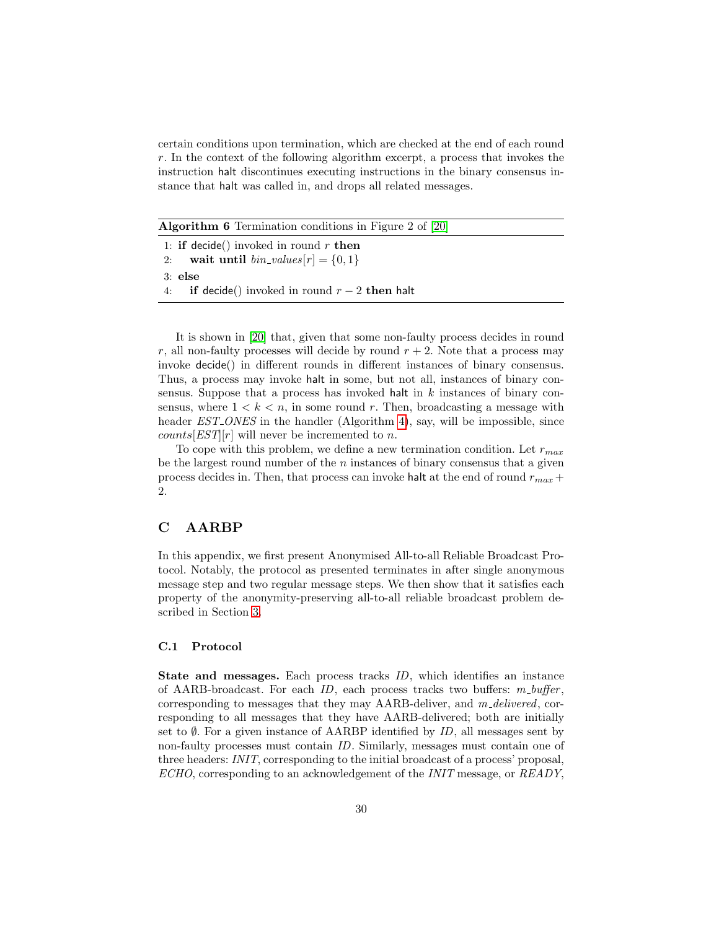certain conditions upon termination, which are checked at the end of each round r. In the context of the following algorithm excerpt, a process that invokes the instruction halt discontinues executing instructions in the binary consensus instance that halt was called in, and drops all related messages.

Algorithm 6 Termination conditions in Figure 2 of [\[20\]](#page-21-4)

| 1: if decide() invoked in round $r$ then        |  |  |
|-------------------------------------------------|--|--|
| 2: wait until $bin\_values[r] = \{0,1\}$        |  |  |
| $3:$ else                                       |  |  |
| 4: if decide() invoked in round $r-2$ then halt |  |  |

It is shown in [\[20\]](#page-21-4) that, given that some non-faulty process decides in round r, all non-faulty processes will decide by round  $r + 2$ . Note that a process may invoke decide() in different rounds in different instances of binary consensus. Thus, a process may invoke halt in some, but not all, instances of binary consensus. Suppose that a process has invoked halt in  $k$  instances of binary consensus, where  $1 < k < n$ , in some round r. Then, broadcasting a message with header *EST\_ONES* in the handler (Algorithm [4\)](#page-15-0), say, will be impossible, since *counts*[ $EST[r]$ ] will never be incremented to *n*.

To cope with this problem, we define a new termination condition. Let  $r_{max}$ be the largest round number of the  $n$  instances of binary consensus that a given process decides in. Then, that process can invoke halt at the end of round  $r_{max}$ + 2.

#### <span id="page-29-0"></span>C AARBP

In this appendix, we first present Anonymised All-to-all Reliable Broadcast Protocol. Notably, the protocol as presented terminates in after single anonymous message step and two regular message steps. We then show that it satisfies each property of the anonymity-preserving all-to-all reliable broadcast problem described in Section [3.](#page-5-0)

#### C.1 Protocol

State and messages. Each process tracks ID, which identifies an instance of AARB-broadcast. For each  $ID$ , each process tracks two buffers:  $m\_buffer$ , corresponding to messages that they may AARB-deliver, and  $m$ -delivered, corresponding to all messages that they have AARB-delivered; both are initially set to  $\emptyset$ . For a given instance of AARBP identified by ID, all messages sent by non-faulty processes must contain ID. Similarly, messages must contain one of three headers: INIT, corresponding to the initial broadcast of a process' proposal, ECHO, corresponding to an acknowledgement of the INIT message, or READY,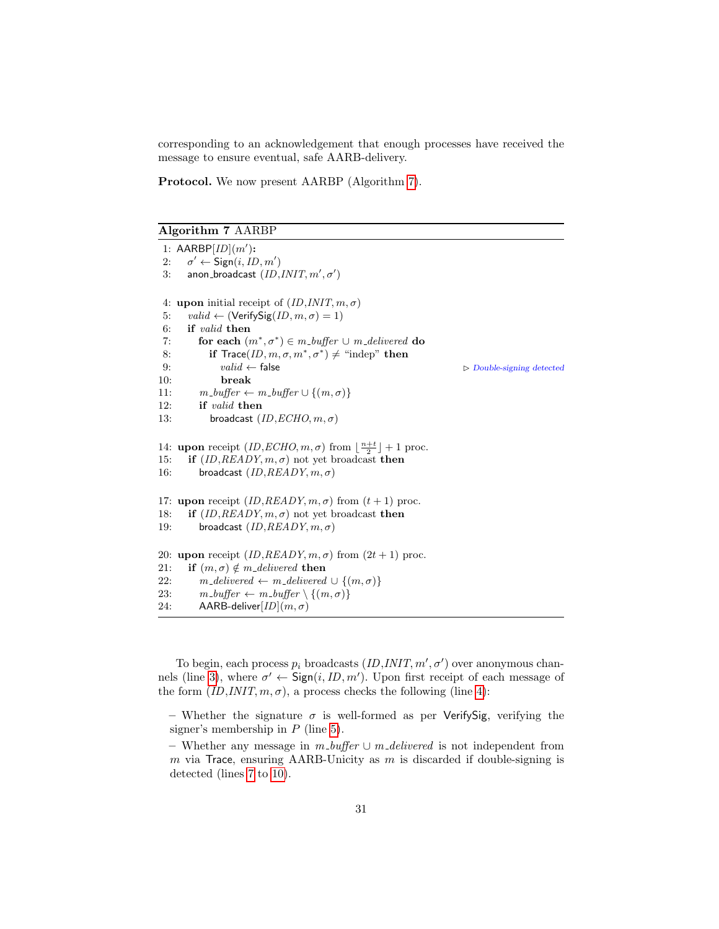corresponding to an acknowledgement that enough processes have received the message to ensure eventual, safe AARB-delivery.

Protocol. We now present AARBP (Algorithm [7\)](#page-30-0).

<span id="page-30-0"></span>Algorithm 7 AARBP

```
1: AARBP[ID](m'):
2:v' \leftarrow Sign(i, ID, m')3: anon_broadcast (ID, INT, m', \sigma')4: upon initial receipt of (ID, INT, m, \sigma)5: valid \leftarrow (VerifySig(ID, m, \sigma) = 1)6: if valid then
 7: for each (m^*, \sigma^*) \in m_b buffer \cup m_delivered do
 8: if Trace(ID, m, \sigma, m^*, \sigma^*) \neq "indep" then
9: valid \leftarrow false \triangleright Double-signing detected
10: break
11: m\_buffer \leftarrow m\_buffer \cup \{(m, \sigma)\}12: if valid then
13: broadcast (ID, ECHO, m, \sigma)14: upon receipt (ID, ECHO, m, \sigma) from \lfloor \frac{n+t}{2} \rfloor + 1 proc.
15: if (ID, READY, m, \sigma) not yet broadcast then
16: broadcast (ID, READV, m, \sigma)17: upon receipt (ID, READY, m, \sigma) from (t + 1) proc.
18: if (ID, READY, m, \sigma) not yet broadcast then
19: broadcast (ID, READV, m, \sigma)20: upon receipt (ID, READY, m, \sigma) from (2t + 1) proc.
21: if (m, \sigma) \notin m delivered then
22: m\_delivered \leftarrow m\_delivered \cup \{(m, \sigma)\}23: m\_buffer \leftarrow m\_buffer \setminus \{(m, \sigma)\}24: AARB-deliver[ID](m, \sigma)
```
To begin, each process  $p_i$  broadcasts  $(ID, INT, m', \sigma')$  over anonymous chan-nels (line [3\)](#page-30-0), where  $\sigma' \leftarrow \text{Sign}(i, ID, m')$ . Upon first receipt of each message of the form  $(ID, INT, m, \sigma)$ , a process checks the following (line [4\)](#page-30-0):

– Whether the signature  $\sigma$  is well-formed as per Verify Sig, verifying the signer's membership in  $P$  (line [5\)](#page-30-0).

– Whether any message in  $m\_buffer \cup m\_delivered$  is not independent from m via Trace, ensuring AARB-Unicity as  $m$  is discarded if double-signing is detected (lines [7](#page-30-0) to [10\)](#page-30-0).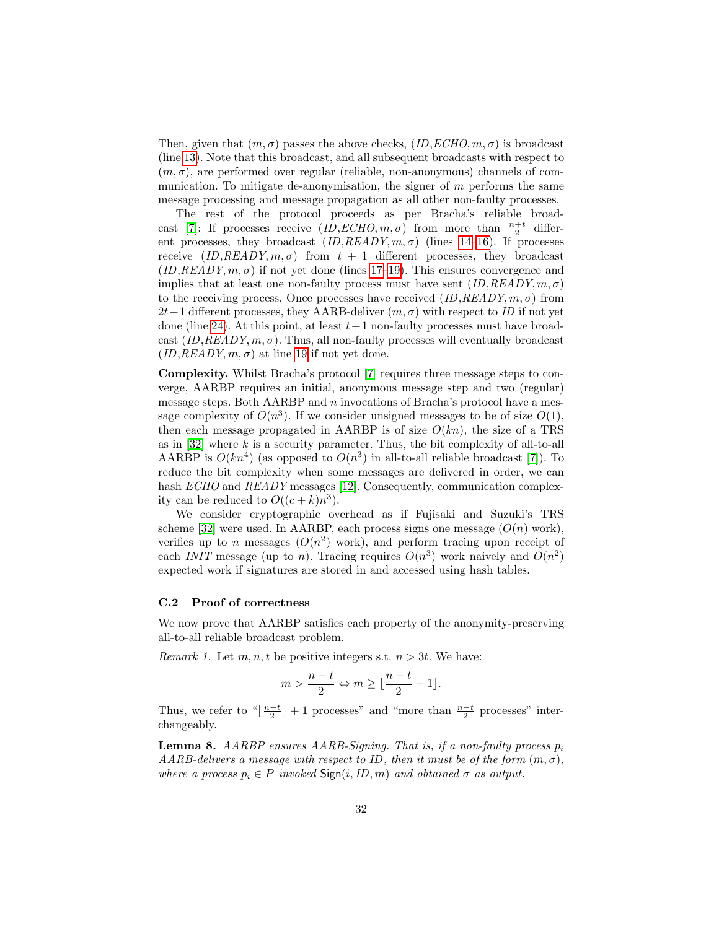Then, given that  $(m, \sigma)$  passes the above checks,  $(ID, ECHO, m, \sigma)$  is broadcast (line [13\)](#page-30-0). Note that this broadcast, and all subsequent broadcasts with respect to  $(m, \sigma)$ , are performed over regular (reliable, non-anonymous) channels of communication. To mitigate de-anonymisation, the signer of  $m$  performs the same message processing and message propagation as all other non-faulty processes.

The rest of the protocol proceeds as per Bracha's reliable broad-cast [\[7\]](#page-20-4): If processes receive  $(ID, ECHO, m, \sigma)$  from more than  $\frac{n+t}{2}$  different processes, they broadcast  $(ID, READY, m, \sigma)$  (lines [14–16\)](#page-30-0). If processes receive  $(ID, READY, m, \sigma)$  from  $t + 1$  different processes, they broadcast  $(ID, READY, m, \sigma)$  if not yet done (lines [17–19\)](#page-30-0). This ensures convergence and implies that at least one non-faulty process must have sent  $(ID, READY, m, \sigma)$ to the receiving process. Once processes have received  $(ID, READY, m, \sigma)$  from  $2t+1$  different processes, they AARB-deliver  $(m, \sigma)$  with respect to ID if not yet done (line [24\)](#page-30-0). At this point, at least  $t+1$  non-faulty processes must have broadcast  $(ID, READY, m, \sigma)$ . Thus, all non-faulty processes will eventually broadcast  $(ID, READV, m, \sigma)$  at line [19](#page-30-0) if not yet done.

Complexity. Whilst Bracha's protocol [\[7\]](#page-20-4) requires three message steps to converge, AARBP requires an initial, anonymous message step and two (regular) message steps. Both  $AARBP$  and n invocations of Bracha's protocol have a message complexity of  $O(n^3)$ . If we consider unsigned messages to be of size  $O(1)$ , then each message propagated in AARBP is of size  $O(kn)$ , the size of a TRS as in  $[32]$  where k is a security parameter. Thus, the bit complexity of all-to-all AARBP is  $O(kn^4)$  (as opposed to  $O(n^3)$  in all-to-all reliable broadcast [\[7\]](#page-20-4)). To reduce the bit complexity when some messages are delivered in order, we can hash *ECHO* and *READY* messages [\[12\]](#page-20-9). Consequently, communication complexity can be reduced to  $O((c+k)n^3)$ .

We consider cryptographic overhead as if Fujisaki and Suzuki's TRS scheme [\[32\]](#page-22-2) were used. In AARBP, each process signs one message  $(O(n)$  work), verifies up to n messages  $(O(n^2)$  work), and perform tracing upon receipt of each INIT message (up to n). Tracing requires  $O(n^3)$  work naively and  $O(n^2)$ expected work if signatures are stored in and accessed using hash tables.

#### C.2 Proof of correctness

We now prove that AARBP satisfies each property of the anonymity-preserving all-to-all reliable broadcast problem.

*Remark 1.* Let  $m, n, t$  be positive integers s.t.  $n > 3t$ . We have:

$$
m > \frac{n-t}{2} \Leftrightarrow m \ge \lfloor \frac{n-t}{2} + 1 \rfloor.
$$

Thus, we refer to " $\lfloor \frac{n-t}{2} \rfloor + 1$  processes" and "more than  $\frac{n-t}{2}$  processes" interchangeably.

<span id="page-31-0"></span>**Lemma 8.** AARBP ensures AARB-Signing. That is, if a non-faulty process  $p_i$ AARB-delivers a message with respect to ID, then it must be of the form  $(m, \sigma)$ , where a process  $p_i \in P$  invoked  $\text{Sign}(i, ID, m)$  and obtained  $\sigma$  as output.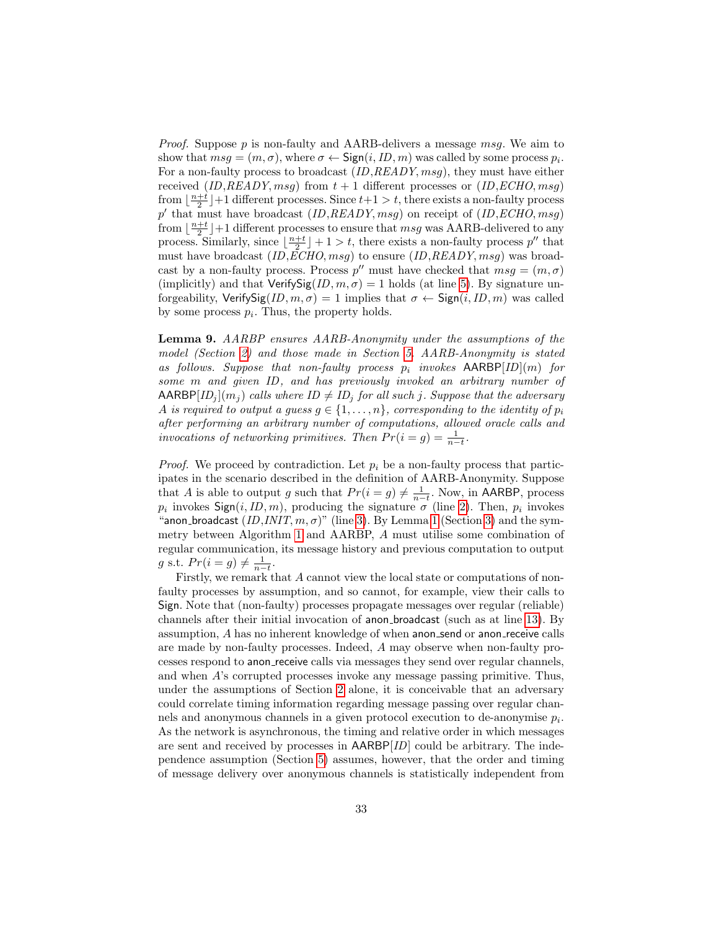*Proof.* Suppose p is non-faulty and AARB-delivers a message msg. We aim to show that  $msg = (m, \sigma)$ , where  $\sigma \leftarrow \textsf{Sign}(i, ID, m)$  was called by some process  $p_i$ . For a non-faulty process to broadcast *(ID,READY, msg)*, they must have either received  $(ID, READY, msg)$  from  $t + 1$  different processes or  $(ID, ECHO, msg)$ from  $\lfloor \frac{n+t}{2} \rfloor + 1$  different processes. Since  $t+1 > t$ , there exists a non-faulty process p' that must have broadcast  $(ID, READY, msg)$  on receipt of  $(ID, ECHO, msg)$ from  $\lfloor \frac{n+t}{2} \rfloor + 1$  different processes to ensure that  $msg$  was AARB-delivered to any process. Similarly, since  $\lfloor \frac{n+t}{2} \rfloor + 1 > t$ , there exists a non-faulty process  $p''$  that must have broadcast  $(ID, ECHO, msg)$  to ensure  $(ID, READY, msg)$  was broadcast by a non-faulty process. Process  $p''$  must have checked that  $msg = (m, \sigma)$ (implicitly) and that  $VerifySig(ID, m, \sigma) = 1$  holds (at line [5\)](#page-30-0). By signature unforgeability, VerifySig $(ID, m, \sigma) = 1$  implies that  $\sigma \leftarrow$  Sign $(i, ID, m)$  was called by some process  $p_i$ . Thus, the property holds.

<span id="page-32-0"></span>Lemma 9. AARBP ensures AARB-Anonymity under the assumptions of the model (Section [2\)](#page-3-0) and those made in Section [5.](#page-16-0) AARB-Anonymity is stated as follows. Suppose that non-faulty process  $p_i$  invokes AARBP[ID](m) for some m and given ID, and has previously invoked an arbitrary number of  $\mathsf{AARBP}[ID_j](m_j)$  calls where  $ID \neq ID_j$  for all such j. Suppose that the adversary A is required to output a guess  $g \in \{1, \ldots, n\}$ , corresponding to the identity of  $p_i$ after performing an arbitrary number of computations, allowed oracle calls and invocations of networking primitives. Then  $Pr(i = g) = \frac{1}{n-t}$ .

*Proof.* We proceed by contradiction. Let  $p_i$  be a non-faulty process that participates in the scenario described in the definition of AARB-Anonymity. Suppose that A is able to output g such that  $Pr(i = g) \neq \frac{1}{n-t}$ . Now, in AARBP, process  $p_i$  invokes  $\mathsf{Sign}(i, ID, m)$ , producing the signature  $\sigma$  (line [2\)](#page-30-0). Then,  $p_i$  invokes "anon\_broadcast  $(ID, INT, m, \sigma)$ " (line [3\)](#page-5-0). By Lemma [1](#page-6-1) (Section 3) and the symmetry between Algorithm [1](#page-6-0) and AARBP, A must utilise some combination of regular communication, its message history and previous computation to output g s.t.  $Pr(i = g) \neq \frac{1}{n-t}$ .

Firstly, we remark that A cannot view the local state or computations of nonfaulty processes by assumption, and so cannot, for example, view their calls to Sign. Note that (non-faulty) processes propagate messages over regular (reliable) channels after their initial invocation of anon broadcast (such as at line [13\)](#page-30-0). By assumption, A has no inherent knowledge of when anon send or anon receive calls are made by non-faulty processes. Indeed, A may observe when non-faulty processes respond to anon receive calls via messages they send over regular channels, and when A's corrupted processes invoke any message passing primitive. Thus, under the assumptions of Section [2](#page-3-0) alone, it is conceivable that an adversary could correlate timing information regarding message passing over regular channels and anonymous channels in a given protocol execution to de-anonymise  $p_i$ . As the network is asynchronous, the timing and relative order in which messages are sent and received by processes in  $AARBP[ID]$  could be arbitrary. The independence assumption (Section [5\)](#page-16-0) assumes, however, that the order and timing of message delivery over anonymous channels is statistically independent from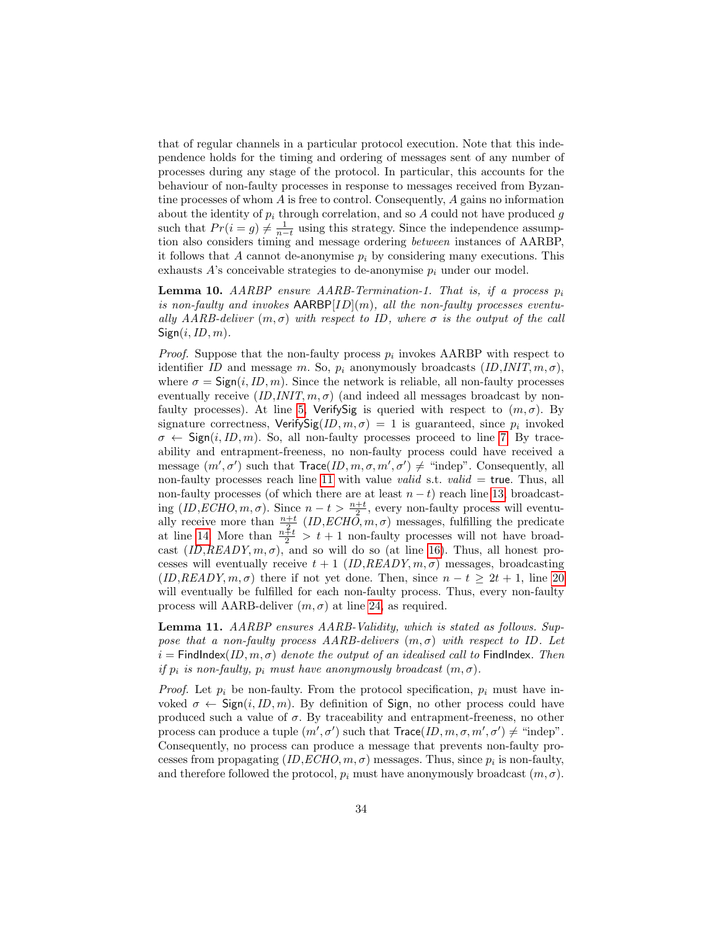that of regular channels in a particular protocol execution. Note that this independence holds for the timing and ordering of messages sent of any number of processes during any stage of the protocol. In particular, this accounts for the behaviour of non-faulty processes in response to messages received from Byzantine processes of whom A is free to control. Consequently, A gains no information about the identity of  $p_i$  through correlation, and so A could not have produced g such that  $Pr(i = g) \neq \frac{1}{n-t}$  using this strategy. Since the independence assumption also considers timing and message ordering between instances of AARBP, it follows that A cannot de-anonymise  $p_i$  by considering many executions. This exhausts  $A$ 's conceivable strategies to de-anonymise  $p_i$  under our model.

<span id="page-33-0"></span>**Lemma 10.** AARBP ensure AARB-Termination-1. That is, if a process  $p_i$ is non-faulty and invokes  $AARBP[ID](m)$ , all the non-faulty processes eventually AARB-deliver  $(m, \sigma)$  with respect to ID, where  $\sigma$  is the output of the call  $Sign(i, ID, m)$ .

*Proof.* Suppose that the non-faulty process  $p_i$  invokes AARBP with respect to identifier ID and message m. So,  $p_i$  anonymously broadcasts  $(ID, INT, m, \sigma)$ , where  $\sigma = \text{Sign}(i, ID, m)$ . Since the network is reliable, all non-faulty processes eventually receive  $(ID, INT, m, \sigma)$  (and indeed all messages broadcast by non-faulty processes). At line [5,](#page-30-0) VerifySig is queried with respect to  $(m, \sigma)$ . By signature correctness,  $VerifySig(ID, m, \sigma) = 1$  is guaranteed, since  $p_i$  invoked  $\sigma \leftarrow$  Sign(i, ID, m). So, all non-faulty processes proceed to line [7.](#page-30-0) By traceability and entrapment-freeness, no non-faulty process could have received a message  $(m', \sigma')$  such that  $Trace(ID, m, \sigma, m', \sigma') \neq$  "indep". Consequently, all non-faulty processes reach line [11](#page-30-0) with value *valid* s.t. *valid* = true. Thus, all non-faulty processes (of which there are at least  $n - t$ ) reach line [13,](#page-30-0) broadcasting  $(ID, ECHO, m, \sigma)$ . Since  $n - t > \frac{n+t}{2}$ , every non-faulty process will eventually receive more than  $\frac{n+t}{2}$   $(ID, ECH\tilde{O}, m, \sigma)$  messages, fulfilling the predicate at line [14.](#page-30-0) More than  $\frac{n\tilde{t}t}{2} > t + 1$  non-faulty processes will not have broadcast  $(ID, READY, m, \sigma)$ , and so will do so (at line [16\)](#page-30-0). Thus, all honest processes will eventually receive  $t + 1$  (*ID,READY, m,*  $\sigma$ ) messages, broadcasting  $(ID, READY, m, \sigma)$  there if not yet done. Then, since  $n - t \geq 2t + 1$ , line [20](#page-30-0) will eventually be fulfilled for each non-faulty process. Thus, every non-faulty process will AARB-deliver  $(m, \sigma)$  at line [24,](#page-30-0) as required.

<span id="page-33-2"></span>Lemma 11. AARBP ensures AARB-Validity, which is stated as follows. Suppose that a non-faulty process  $AARB$ -delivers  $(m, \sigma)$  with respect to ID. Let  $i =$  FindIndex(ID,  $m, \sigma$ ) denote the output of an idealised call to FindIndex. Then if  $p_i$  is non-faulty,  $p_i$  must have anonymously broadcast  $(m, \sigma)$ .

<span id="page-33-1"></span>*Proof.* Let  $p_i$  be non-faulty. From the protocol specification,  $p_i$  must have invoked  $\sigma \leftarrow \text{Sign}(i, ID, m)$ . By definition of Sign, no other process could have produced such a value of  $\sigma$ . By traceability and entrapment-freeness, no other process can produce a tuple  $(m', \sigma')$  such that  $Trace(ID, m, \sigma, m', \sigma') \neq$  "indep". Consequently, no process can produce a message that prevents non-faulty processes from propagating  $(ID, ECHO, m, \sigma)$  messages. Thus, since  $p_i$  is non-faulty, and therefore followed the protocol,  $p_i$  must have anonymously broadcast  $(m, \sigma)$ .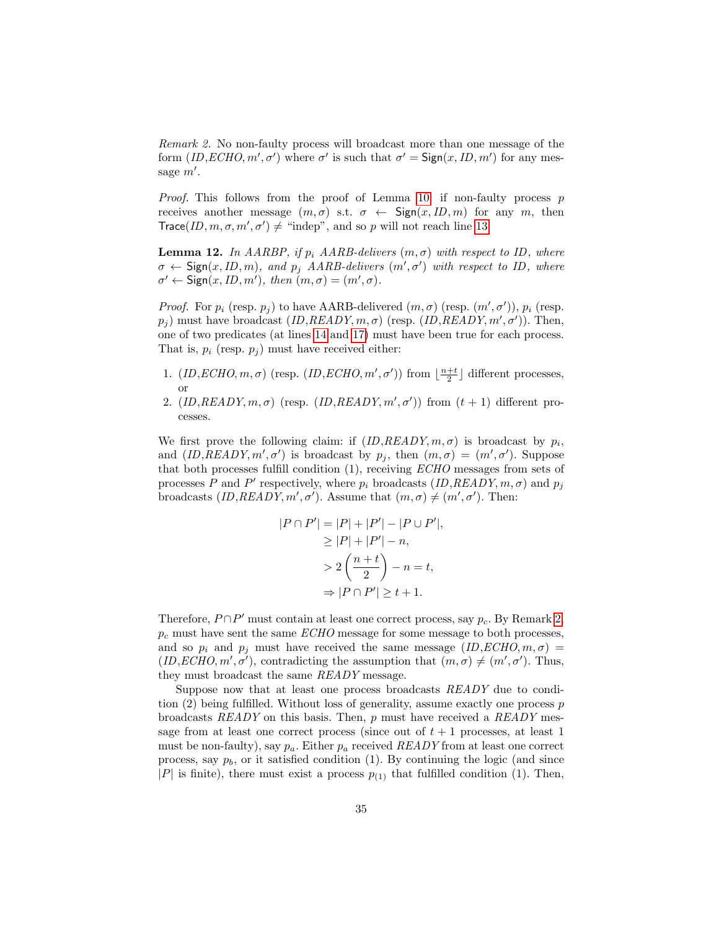Remark 2. No non-faulty process will broadcast more than one message of the form  $(ID, ECHO, m', \sigma')$  where  $\sigma'$  is such that  $\sigma' = \text{Sign}(x, ID, m')$  for any message  $m'$ .

*Proof.* This follows from the proof of Lemma [10:](#page-33-0) if non-faulty process p receives another message  $(m, \sigma)$  s.t.  $\sigma \leftarrow$  Sign $(x, ID, m)$  for any m, then  $Trace(ID, m, \sigma, m', \sigma') \neq$  "indep", and so p will not reach line [13.](#page-30-0)

<span id="page-34-0"></span>**Lemma 12.** In AARBP, if  $p_i$  AARB-delivers  $(m, \sigma)$  with respect to ID, where  $\sigma \leftarrow$  Sign(x, ID, m), and  $p_j$  AARB-delivers  $(m', \sigma')$  with respect to ID, where  $\sigma' \leftarrow$  Sign $(x, ID, m')$ , then  $(m, \sigma) = (m', \sigma)$ .

*Proof.* For  $p_i$  (resp.  $p_j$ ) to have AARB-delivered  $(m, \sigma)$  (resp.  $(m', \sigma')$ ),  $p_i$  (resp.  $p_j$ ) must have broadcast  $(ID, READY, m, \sigma)$  (resp.  $(ID, READY, m', \sigma')$ ). Then, one of two predicates (at lines [14](#page-30-0) and [17\)](#page-30-0) must have been true for each process. That is,  $p_i$  (resp.  $p_j$ ) must have received either:

- 1.  $(ID, ECHO, m, \sigma)$  (resp.  $(ID, ECHO, m', \sigma')$ ) from  $\lfloor \frac{n+t}{2} \rfloor$  different processes, or
- 2.  $(ID, READV, m, \sigma)$  (resp.  $(ID, READV, m', \sigma')$ ) from  $(t + 1)$  different processes.

We first prove the following claim: if  $(ID, READY, m, \sigma)$  is broadcast by  $p_i$ , and  $(ID, READY, m', \sigma')$  is broadcast by  $p_j$ , then  $(m, \sigma) = (m', \sigma')$ . Suppose that both processes fulfill condition (1), receiving ECHO messages from sets of processes P and P' respectively, where  $p_i$  broadcasts  $(ID, READY, m, \sigma)$  and  $p_j$ broadcasts  $(ID, READV, m', \sigma')$ . Assume that  $(m, \sigma) \neq (m', \sigma')$ . Then:

$$
|P \cap P'| = |P| + |P'| - |P \cup P'|,
$$
  
\n
$$
\geq |P| + |P'| - n,
$$
  
\n
$$
> 2\left(\frac{n+t}{2}\right) - n = t,
$$
  
\n
$$
\Rightarrow |P \cap P'| \geq t + 1.
$$

Therefore,  $P \cap P'$  must contain at least one correct process, say  $p_c$ . By Remark [2,](#page-33-1)  $p_c$  must have sent the same  $ECHO$  message for some message to both processes, and so  $p_i$  and  $p_j$  must have received the same message  $(ID, ECHO, m, \sigma)$  $(ID, ECHO, m', \sigma')$ , contradicting the assumption that  $(m, \sigma) \neq (m', \sigma')$ . Thus, they must broadcast the same READY message.

Suppose now that at least one process broadcasts READY due to condition  $(2)$  being fulfilled. Without loss of generality, assume exactly one process  $p$ broadcasts  $READY$  on this basis. Then, p must have received a  $READY$  message from at least one correct process (since out of  $t + 1$  processes, at least 1 must be non-faulty), say  $p_a$ . Either  $p_a$  received READY from at least one correct process, say  $p_b$ , or it satisfied condition (1). By continuing the logic (and since |P| is finite), there must exist a process  $p_{(1)}$  that fulfilled condition (1). Then,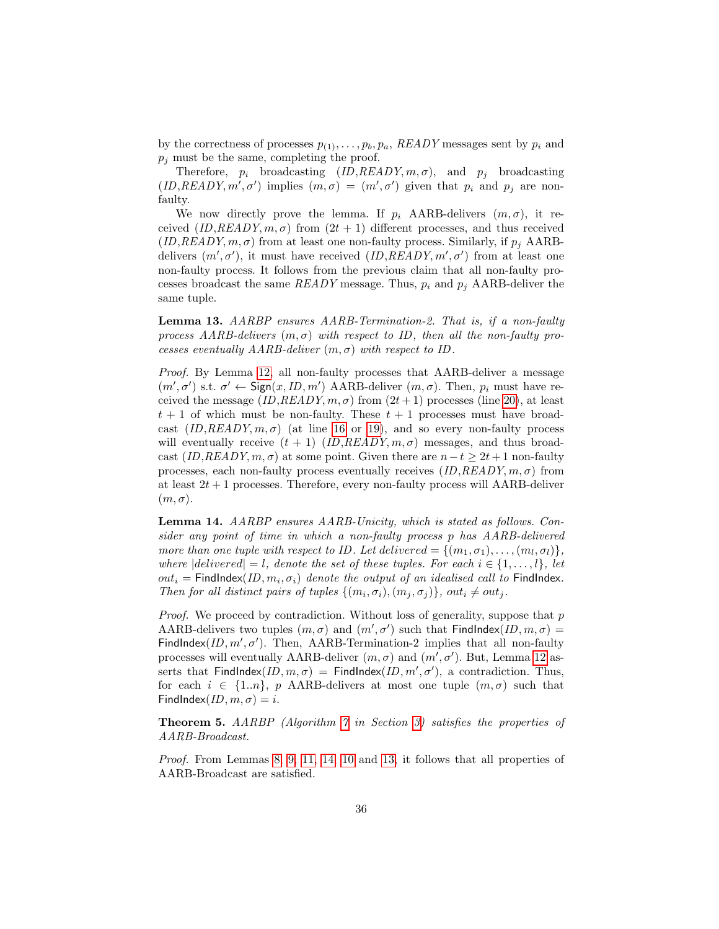by the correctness of processes  $p_{(1)}, \ldots, p_b, p_a$ , READY messages sent by  $p_i$  and  $p_i$  must be the same, completing the proof.

Therefore,  $p_i$  broadcasting  $(ID, READY, m, \sigma)$ , and  $p_j$  broadcasting  $(ID, READY, m', \sigma')$  implies  $(m, \sigma) = (m', \sigma')$  given that  $p_i$  and  $p_j$  are nonfaulty.

We now directly prove the lemma. If  $p_i$  AARB-delivers  $(m, \sigma)$ , it received  $(ID, READY, m, \sigma)$  from  $(2t + 1)$  different processes, and thus received  $(ID, READV, m, \sigma)$  from at least one non-faulty process. Similarly, if  $p_i$  AARBdelivers  $(m', \sigma')$ , it must have received  $(ID, READY, m', \sigma')$  from at least one non-faulty process. It follows from the previous claim that all non-faulty processes broadcast the same  $READV$  message. Thus,  $p_i$  and  $p_j$  AARB-deliver the same tuple.

<span id="page-35-1"></span>Lemma 13. AARBP ensures AARB-Termination-2. That is, if a non-faulty process AARB-delivers  $(m, \sigma)$  with respect to ID, then all the non-faulty processes eventually  $AARB$ -deliver  $(m, \sigma)$  with respect to ID.

Proof. By Lemma [12,](#page-34-0) all non-faulty processes that AARB-deliver a message  $(m', \sigma')$  s.t.  $\sigma' \leftarrow$  Sign $(x, ID, m')$  AARB-deliver  $(m, \sigma)$ . Then,  $p_i$  must have received the message  $(ID, READY, m, \sigma)$  from  $(2t + 1)$  processes (line [20\)](#page-30-0), at least  $t + 1$  of which must be non-faulty. These  $t + 1$  processes must have broadcast  $(ID, READY, m, \sigma)$  (at line [16](#page-30-0) or [19\)](#page-30-0), and so every non-faulty process will eventually receive  $(t + 1)$   $(ID, READY, m, \sigma)$  messages, and thus broadcast  $(ID, READY, m, \sigma)$  at some point. Given there are  $n-t \geq 2t+1$  non-faulty processes, each non-faulty process eventually receives  $(ID, READY, m, \sigma)$  from at least  $2t + 1$  processes. Therefore, every non-faulty process will AARB-deliver  $(m, \sigma)$ .

<span id="page-35-0"></span>Lemma 14. AARBP ensures AARB-Unicity, which is stated as follows. Consider any point of time in which a non-faulty process p has AARB-delivered more than one tuple with respect to ID. Let delivered =  $\{(m_1, \sigma_1), \ldots, (m_l, \sigma_l)\},\$ where  $|delivered| = l$ , denote the set of these tuples. For each  $i \in \{1, \ldots, l\}$ , let  $out_i =$  FindIndex $(ID, m_i, \sigma_i)$  denote the output of an idealised call to FindIndex. Then for all distinct pairs of tuples  $\{(m_i, \sigma_i), (m_j, \sigma_j)\}\$ , out<sub>i</sub>  $\neq out_j$ .

*Proof.* We proceed by contradiction. Without loss of generality, suppose that  $p$ AARB-delivers two tuples  $(m, \sigma)$  and  $(m', \sigma')$  such that FindIndex(ID,  $m, \sigma$ ) = FindIndex $(ID, m', \sigma')$ . Then, AARB-Termination-2 implies that all non-faulty processes will eventually AARB-deliver  $(m, \sigma)$  and  $(m', \sigma')$ . But, Lemma [12](#page-34-0) asserts that FindIndex $(ID, m, \sigma)$  = FindIndex $(ID, m', \sigma')$ , a contradiction. Thus, for each  $i \in \{1..n\},\ p$  AARB-delivers at most one tuple  $(m,\sigma)$  such that FindIndex(ID,  $m, \sigma$ ) = i.

Theorem 5. AARBP (Algorithm [7](#page-30-0) in Section [3\)](#page-5-0) satisfies the properties of AARB-Broadcast.

Proof. From Lemmas [8,](#page-31-0) [9,](#page-32-0) [11,](#page-33-2) [14,](#page-35-0) [10](#page-33-0) and [13,](#page-35-1) it follows that all properties of AARB-Broadcast are satisfied.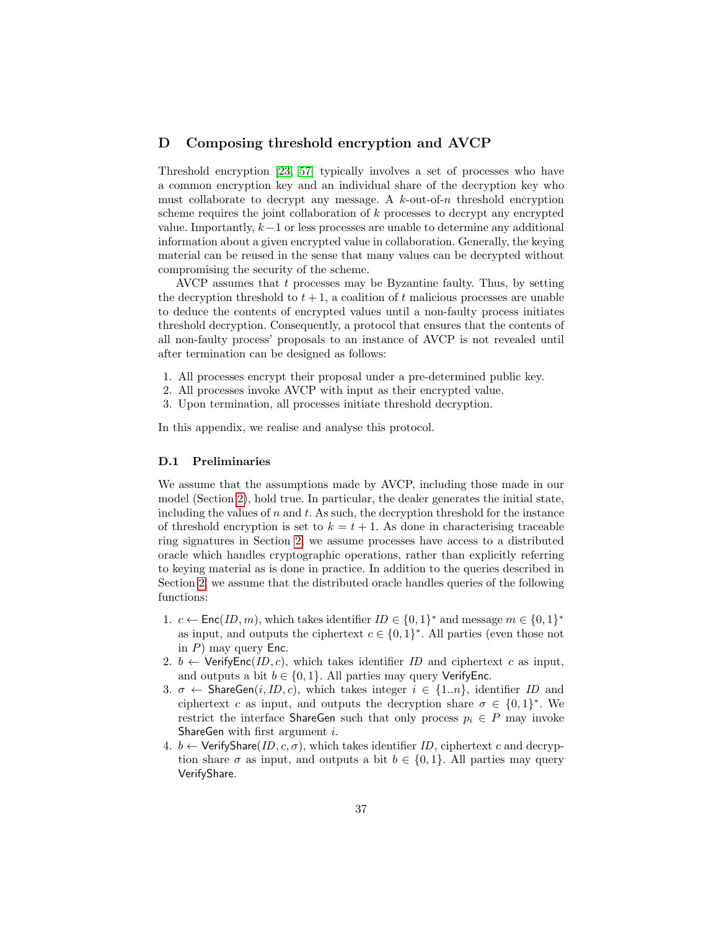## <span id="page-36-0"></span>D Composing threshold encryption and AVCP

Threshold encryption [\[23,](#page-21-8) [57\]](#page-23-5) typically involves a set of processes who have a common encryption key and an individual share of the decryption key who must collaborate to decrypt any message. A  $k$ -out-of-n threshold encryption scheme requires the joint collaboration of  $k$  processes to decrypt any encrypted value. Importantly,  $k-1$  or less processes are unable to determine any additional information about a given encrypted value in collaboration. Generally, the keying material can be reused in the sense that many values can be decrypted without compromising the security of the scheme.

AVCP assumes that  $t$  processes may be Byzantine faulty. Thus, by setting the decryption threshold to  $t + 1$ , a coalition of t malicious processes are unable to deduce the contents of encrypted values until a non-faulty process initiates threshold decryption. Consequently, a protocol that ensures that the contents of all non-faulty process' proposals to an instance of AVCP is not revealed until after termination can be designed as follows:

- 1. All processes encrypt their proposal under a pre-determined public key.
- 2. All processes invoke AVCP with input as their encrypted value.
- 3. Upon termination, all processes initiate threshold decryption.

In this appendix, we realise and analyse this protocol.

#### D.1 Preliminaries

We assume that the assumptions made by AVCP, including those made in our model (Section [2\)](#page-3-0), hold true. In particular, the dealer generates the initial state, including the values of n and t. As such, the decryption threshold for the instance of threshold encryption is set to  $k = t + 1$ . As done in characterising traceable ring signatures in Section [2,](#page-3-0) we assume processes have access to a distributed oracle which handles cryptographic operations, rather than explicitly referring to keying material as is done in practice. In addition to the queries described in Section [2,](#page-3-0) we assume that the distributed oracle handles queries of the following functions:

- 1.  $c \leftarrow \text{Enc}(ID, m)$ , which takes identifier  $ID \in \{0, 1\}^*$  and message  $m \in \{0, 1\}^*$ as input, and outputs the ciphertext  $c \in \{0,1\}^*$ . All parties (even those not in  $P$ ) may query Enc.
- 2.  $b \leftarrow$  VerifyEnc(*ID*, *c*), which takes identifier *ID* and ciphertext *c* as input, and outputs a bit  $b \in \{0, 1\}$ . All parties may query VerifyEnc.
- 3.  $\sigma \leftarrow$  ShareGen $(i, ID, c)$ , which takes integer  $i \in \{1..n\}$ , identifier ID and ciphertext c as input, and outputs the decryption share  $\sigma \in \{0,1\}^*$ . We restrict the interface ShareGen such that only process  $p_i \in P$  may invoke ShareGen with first argument i.
- 4.  $b \leftarrow$  VerifyShare(*ID*, c,  $\sigma$ ), which takes identifier *ID*, ciphertext c and decryption share  $\sigma$  as input, and outputs a bit  $b \in \{0, 1\}$ . All parties may query VerifyShare.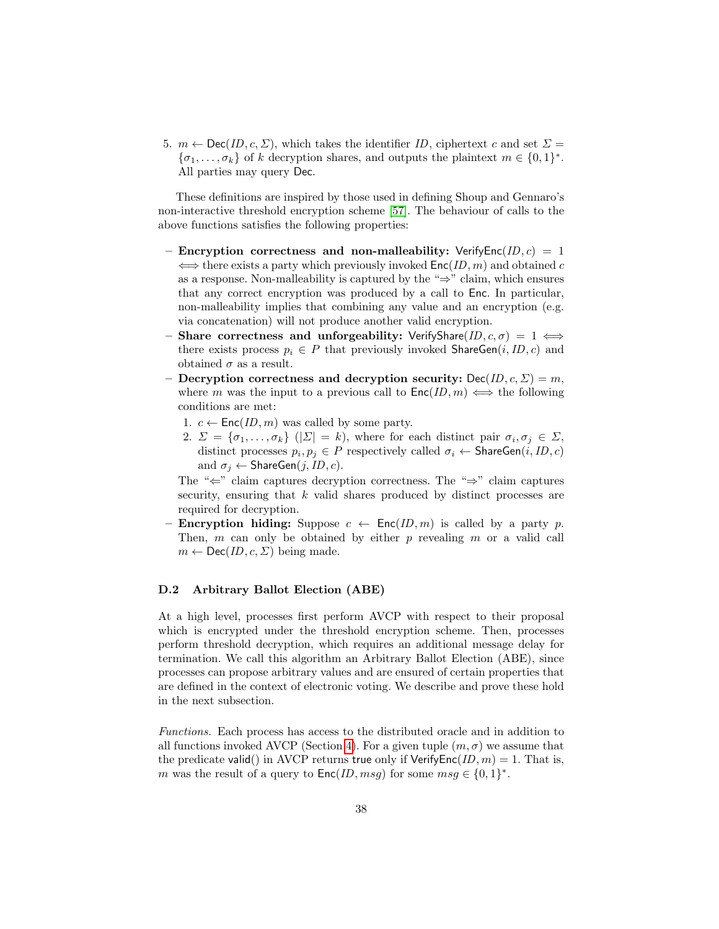5.  $m \leftarrow \text{Dec}(ID, c, \Sigma)$ , which takes the identifier ID, ciphertext c and set  $\Sigma =$  $\{\sigma_1, \ldots, \sigma_k\}$  of k decryption shares, and outputs the plaintext  $m \in \{0, 1\}^*$ . All parties may query Dec.

These definitions are inspired by those used in defining Shoup and Gennaro's non-interactive threshold encryption scheme [\[57\]](#page-23-5). The behaviour of calls to the above functions satisfies the following properties:

- Encryption correctness and non-malleability: VerifyEnc(ID,  $c$ ) = 1  $\iff$  there exists a party which previously invoked  $\mathsf{Enc}(ID, m)$  and obtained c as a response. Non-malleability is captured by the " $\Rightarrow$ " claim, which ensures that any correct encryption was produced by a call to Enc. In particular, non-malleability implies that combining any value and an encryption (e.g. via concatenation) will not produce another valid encryption.
- Share correctness and unforgeability: VerifyShare(ID,  $c, \sigma$ ) = 1  $\Longleftrightarrow$ there exists process  $p_i \in P$  that previously invoked ShareGen $(i, ID, c)$  and obtained  $\sigma$  as a result.
- Decryption correctness and decryption security:  $Dec(ID, c, \Sigma) = m$ , where m was the input to a previous call to  $\mathsf{Enc}(ID, m) \iff$  the following conditions are met:
	- 1.  $c \leftarrow \mathsf{Enc}(ID, m)$  was called by some party.
	- 2.  $\Sigma = {\sigma_1, \ldots, \sigma_k}$   $(|\Sigma| = k)$ , where for each distinct pair  $\sigma_i, \sigma_j \in \Sigma$ , distinct processes  $p_i, p_j \in P$  respectively called  $\sigma_i \leftarrow \mathsf{ShareGen}(i, ID, c)$ and  $\sigma_j \leftarrow$  ShareGen(j, ID, c).

The "⇐" claim captures decryption correctness. The "⇒" claim captures security, ensuring that k valid shares produced by distinct processes are required for decryption.

– **Encryption hiding:** Suppose  $c \leftarrow \text{Enc}(ID, m)$  is called by a party p. Then, m can only be obtained by either p revealing m or a valid call  $m \leftarrow \text{Dec}(ID, c, \Sigma)$  being made.

#### D.2 Arbitrary Ballot Election (ABE)

At a high level, processes first perform AVCP with respect to their proposal which is encrypted under the threshold encryption scheme. Then, processes perform threshold decryption, which requires an additional message delay for termination. We call this algorithm an Arbitrary Ballot Election (ABE), since processes can propose arbitrary values and are ensured of certain properties that are defined in the context of electronic voting. We describe and prove these hold in the next subsection.

Functions. Each process has access to the distributed oracle and in addition to all functions invoked AVCP (Section [4\)](#page-11-0). For a given tuple  $(m, \sigma)$  we assume that the predicate valid() in AVCP returns true only if VerifyEnc(ID,  $m$ ) = 1. That is, m was the result of a query to  $\mathsf{Enc}(ID, msg)$  for some  $msg \in \{0,1\}^*$ .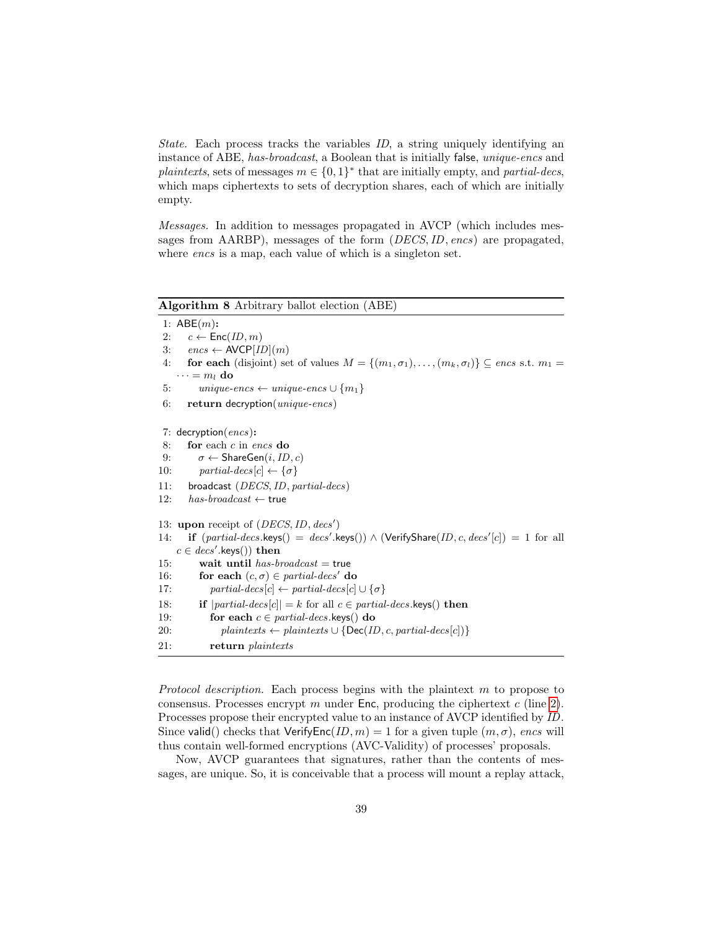State. Each process tracks the variables ID, a string uniquely identifying an instance of ABE, has-broadcast, a Boolean that is initially false, *unique-encs* and plaintexts, sets of messages  $m \in \{0,1\}^*$  that are initially empty, and partial-decs, which maps ciphertexts to sets of decryption shares, each of which are initially empty.

Messages. In addition to messages propagated in AVCP (which includes messages from AARBP), messages of the form (DECS,ID, encs) are propagated, where *encs* is a map, each value of which is a singleton set.

## <span id="page-38-0"></span>Algorithm 8 Arbitrary ballot election (ABE) 1:  $ABE(m)$ : 2:  $c \leftarrow \textsf{Enc}(ID, m)$ 3:  $encs \leftarrow \text{AVCP}[ID](m)$ 4: **for each** (disjoint) set of values  $M = \{(m_1, \sigma_1), \ldots, (m_k, \sigma_l)\} \subseteq$  encs s.t.  $m_1 =$  $\cdots = m_l$  do 5: unique-encs  $\leftarrow$  unique-encs  $\cup$   $\{m_1\}$ 6: return decryption(unique-encs) 7: decryption $(encs)$ : 8: for each  $c$  in encs do 9:  $\sigma \leftarrow$  ShareGen $(i, ID, c)$ 10:  $partial\text{-}desc[c] \leftarrow {\sigma}$ 11: broadcast (DECS, ID, partial-decs) 12:  $has-broadcast \leftarrow true$ 13: upon receipt of  $(DECS, ID, desc')$ 14: if  $(partial-decs.\text{keys}() = decs'.\text{keys}()) \wedge (\text{VerifyShare}(ID, c, decs'[c]) = 1$  for all  $c \in \text{desc}'.\text{keys}()$ ) then 15: wait until has-broadcast  $=$  true 16: for each  $(c, \sigma) \in partial\text{-}desc'$  do 17: partial-decs $[c] \leftarrow partial\text{-}desc[c] \cup {\sigma}$ 18: **if**  $|partial-decs[c]| = k$  for all  $c \in partial-decs$ .keys() **then** 19: for each  $c \in partial\text{-}desc.$ keys $()$  do 20: plaintexts ← plaintexts ∪ {Dec(ID, c, partial-decs[c])} 21: return plaintexts

Protocol description. Each process begins with the plaintext m to propose to consensus. Processes encrypt  $m$  under Enc, producing the ciphertext  $c$  (line [2\)](#page-38-0). Processes propose their encrypted value to an instance of AVCP identified by ID. Since valid() checks that  $VerifyEnc(ID, m) = 1$  for a given tuple  $(m, \sigma)$ , encs will thus contain well-formed encryptions (AVC-Validity) of processes' proposals.

Now, AVCP guarantees that signatures, rather than the contents of messages, are unique. So, it is conceivable that a process will mount a replay attack,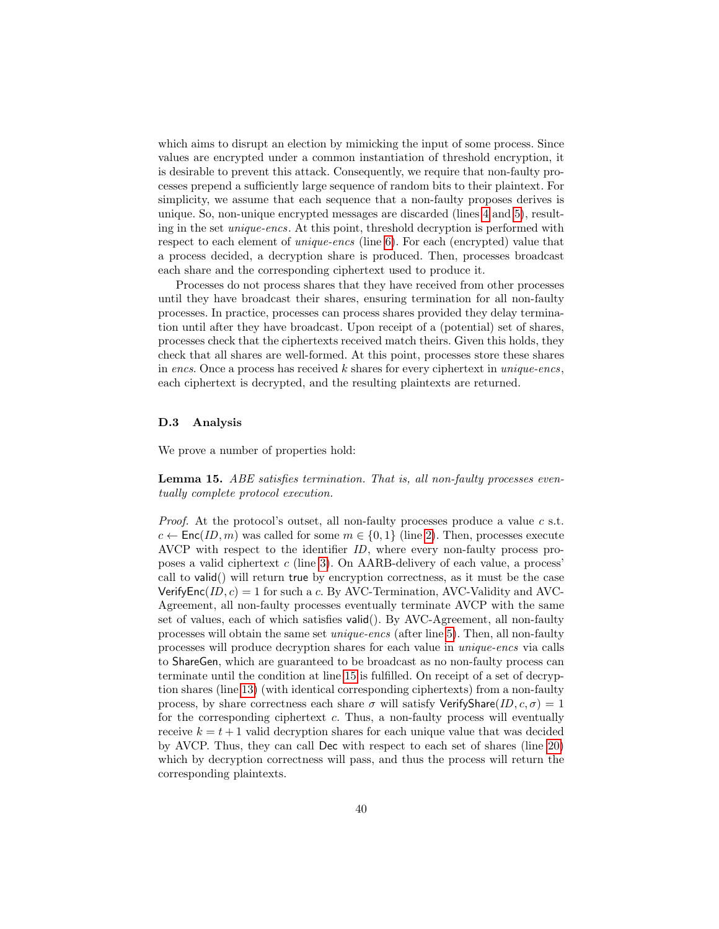which aims to disrupt an election by mimicking the input of some process. Since values are encrypted under a common instantiation of threshold encryption, it is desirable to prevent this attack. Consequently, we require that non-faulty processes prepend a sufficiently large sequence of random bits to their plaintext. For simplicity, we assume that each sequence that a non-faulty proposes derives is unique. So, non-unique encrypted messages are discarded (lines [4](#page-38-0) and [5\)](#page-38-0), resulting in the set unique-encs. At this point, threshold decryption is performed with respect to each element of *unique-encs* (line [6\)](#page-38-0). For each (encrypted) value that a process decided, a decryption share is produced. Then, processes broadcast each share and the corresponding ciphertext used to produce it.

Processes do not process shares that they have received from other processes until they have broadcast their shares, ensuring termination for all non-faulty processes. In practice, processes can process shares provided they delay termination until after they have broadcast. Upon receipt of a (potential) set of shares, processes check that the ciphertexts received match theirs. Given this holds, they check that all shares are well-formed. At this point, processes store these shares in encs. Once a process has received  $k$  shares for every ciphertext in unique-encs, each ciphertext is decrypted, and the resulting plaintexts are returned.

#### D.3 Analysis

We prove a number of properties hold:

Lemma 15. ABE satisfies termination. That is, all non-faulty processes eventually complete protocol execution.

*Proof.* At the protocol's outset, all non-faulty processes produce a value  $c$  s.t.  $c \leftarrow \mathsf{Enc}(ID, m)$  was called for some  $m \in \{0, 1\}$  (line [2\)](#page-38-0). Then, processes execute AVCP with respect to the identifier ID, where every non-faulty process proposes a valid ciphertext  $c$  (line [3\)](#page-38-0). On AARB-delivery of each value, a process' call to valid() will return true by encryption correctness, as it must be the case VerifyEnc( $ID, c$ ) = 1 for such a c. By AVC-Termination, AVC-Validity and AVC-Agreement, all non-faulty processes eventually terminate AVCP with the same set of values, each of which satisfies valid(). By AVC-Agreement, all non-faulty processes will obtain the same set unique-encs (after line [5\)](#page-38-0). Then, all non-faulty processes will produce decryption shares for each value in unique-encs via calls to ShareGen, which are guaranteed to be broadcast as no non-faulty process can terminate until the condition at line [15](#page-38-0) is fulfilled. On receipt of a set of decryption shares (line [13\)](#page-38-0) (with identical corresponding ciphertexts) from a non-faulty process, by share correctness each share  $\sigma$  will satisfy VerifyShare(ID,  $c, \sigma$ ) = 1 for the corresponding ciphertext  $c$ . Thus, a non-faulty process will eventually receive  $k = t + 1$  valid decryption shares for each unique value that was decided by AVCP. Thus, they can call Dec with respect to each set of shares (line [20\)](#page-38-0) which by decryption correctness will pass, and thus the process will return the corresponding plaintexts.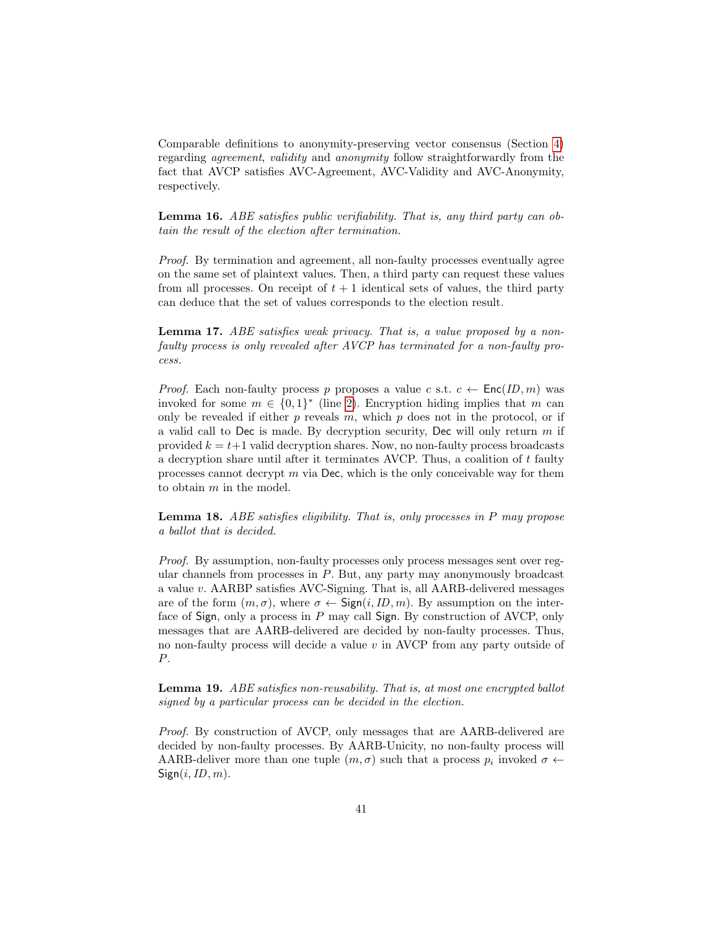Comparable definitions to anonymity-preserving vector consensus (Section [4\)](#page-11-0) regarding agreement, validity and anonymity follow straightforwardly from the fact that AVCP satisfies AVC-Agreement, AVC-Validity and AVC-Anonymity, respectively.

Lemma 16. ABE satisfies public verifiability. That is, any third party can obtain the result of the election after termination.

Proof. By termination and agreement, all non-faulty processes eventually agree on the same set of plaintext values. Then, a third party can request these values from all processes. On receipt of  $t + 1$  identical sets of values, the third party can deduce that the set of values corresponds to the election result.

Lemma 17. ABE satisfies weak privacy. That is, a value proposed by a nonfaulty process is only revealed after AVCP has terminated for a non-faulty process.

*Proof.* Each non-faulty process p proposes a value c s.t.  $c \leftarrow \text{Enc}(ID, m)$  was invoked for some  $m \in \{0,1\}^*$  (line [2\)](#page-38-0). Encryption hiding implies that m can only be revealed if either  $p$  reveals  $m$ , which  $p$  does not in the protocol, or if a valid call to Dec is made. By decryption security, Dec will only return  $m$  if provided  $k = t+1$  valid decryption shares. Now, no non-faulty process broadcasts a decryption share until after it terminates AVCP. Thus, a coalition of  $t$  faulty processes cannot decrypt  $m$  via Dec, which is the only conceivable way for them to obtain m in the model.

Lemma 18. ABE satisfies eligibility. That is, only processes in P may propose a ballot that is decided.

Proof. By assumption, non-faulty processes only process messages sent over regular channels from processes in  $P$ . But, any party may anonymously broadcast a value v. AARBP satisfies AVC-Signing. That is, all AARB-delivered messages are of the form  $(m, \sigma)$ , where  $\sigma \leftarrow$  Sign $(i, ID, m)$ . By assumption on the interface of Sign, only a process in P may call Sign. By construction of AVCP, only messages that are AARB-delivered are decided by non-faulty processes. Thus, no non-faulty process will decide a value  $v$  in AVCP from any party outside of P.

Lemma 19. ABE satisfies non-reusability. That is, at most one encrypted ballot signed by a particular process can be decided in the election.

Proof. By construction of AVCP, only messages that are AARB-delivered are decided by non-faulty processes. By AARB-Unicity, no non-faulty process will AARB-deliver more than one tuple  $(m, \sigma)$  such that a process  $p_i$  invoked  $\sigma \leftarrow$  $Sign(i, ID, m)$ .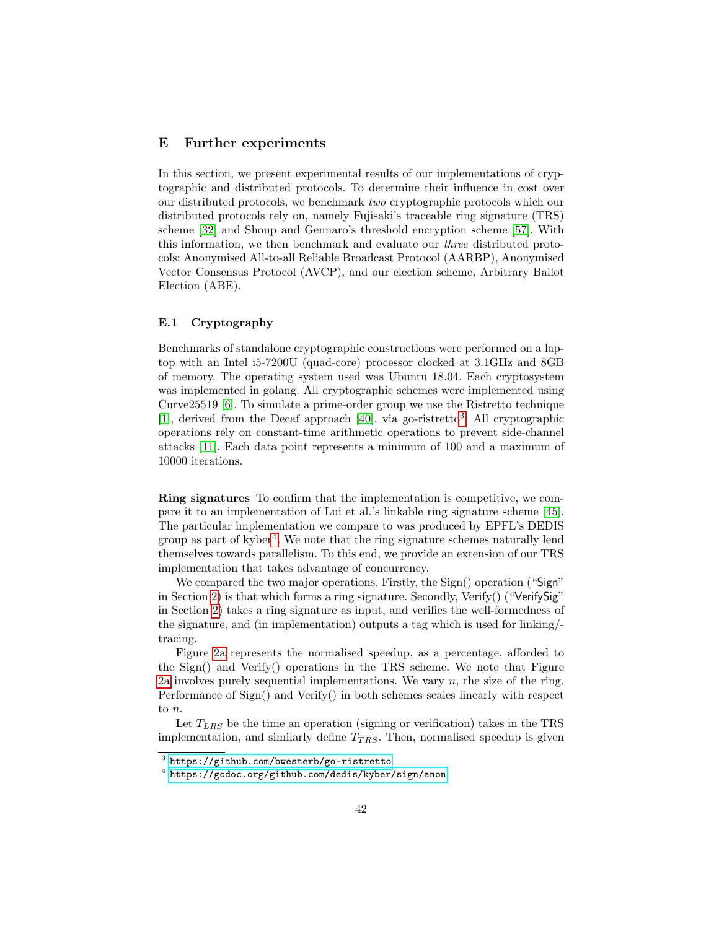## <span id="page-41-0"></span>E Further experiments

In this section, we present experimental results of our implementations of cryptographic and distributed protocols. To determine their influence in cost over our distributed protocols, we benchmark two cryptographic protocols which our distributed protocols rely on, namely Fujisaki's traceable ring signature (TRS) scheme [\[32\]](#page-22-2) and Shoup and Gennaro's threshold encryption scheme [\[57\]](#page-23-5). With this information, we then benchmark and evaluate our three distributed protocols: Anonymised All-to-all Reliable Broadcast Protocol (AARBP), Anonymised Vector Consensus Protocol (AVCP), and our election scheme, Arbitrary Ballot Election (ABE).

#### E.1 Cryptography

Benchmarks of standalone cryptographic constructions were performed on a laptop with an Intel i5-7200U (quad-core) processor clocked at 3.1GHz and 8GB of memory. The operating system used was Ubuntu 18.04. Each cryptosystem was implemented in golang. All cryptographic schemes were implemented using Curve25519 [\[6\]](#page-20-11). To simulate a prime-order group we use the Ristretto technique [\[1\]](#page-20-12), derived from the Decaf approach [\[40\]](#page-22-14), via go-ristretto<sup>[3](#page-0-0)</sup>. All cryptographic operations rely on constant-time arithmetic operations to prevent side-channel attacks [\[11\]](#page-20-13). Each data point represents a minimum of 100 and a maximum of 10000 iterations.

Ring signatures To confirm that the implementation is competitive, we compare it to an implementation of Lui et al.'s linkable ring signature scheme [\[45\]](#page-23-1). The particular implementation we compare to was produced by EPFL's DEDIS group as part of kyber<sup>[4](#page-0-0)</sup>. We note that the ring signature schemes naturally lend themselves towards parallelism. To this end, we provide an extension of our TRS implementation that takes advantage of concurrency.

We compared the two major operations. Firstly, the Sign() operation ("Sign" in Section [2\)](#page-3-0) is that which forms a ring signature. Secondly, Verify() ("Verify $\text{Sign}$ ") in Section [2\)](#page-3-0) takes a ring signature as input, and verifies the well-formedness of the signature, and (in implementation) outputs a tag which is used for linking/ tracing.

Figure [2a](#page-42-0) represents the normalised speedup, as a percentage, afforded to the Sign() and Verify() operations in the TRS scheme. We note that Figure [2a](#page-42-0) involves purely sequential implementations. We vary  $n$ , the size of the ring. Performance of Sign() and Verify() in both schemes scales linearly with respect to n.

Let  $T_{LRS}$  be the time an operation (signing or verification) takes in the TRS implementation, and similarly define  $T_{TRS}$ . Then, normalised speedup is given

 $^3$  <https://github.com/bwesterb/go-ristretto>

<sup>4</sup> <https://godoc.org/github.com/dedis/kyber/sign/anon>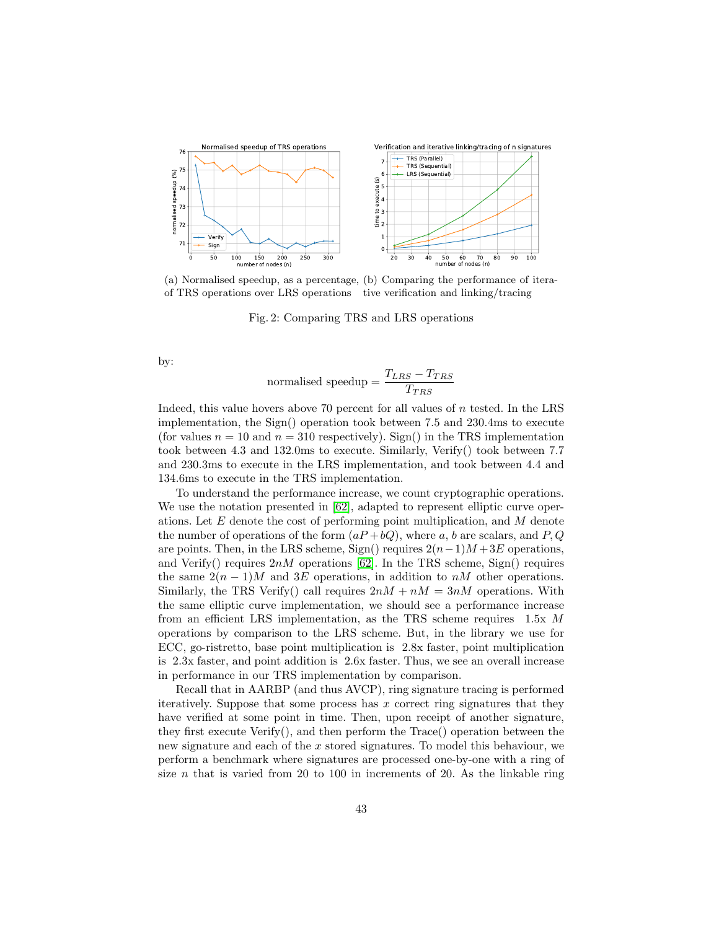<span id="page-42-0"></span>

(a) Normalised speedup, as a percentage, (b) Comparing the performance of iteraof TRS operations over LRS operations tive verification and linking/tracing

Fig. 2: Comparing TRS and LRS operations

by:

$$
normalised speedup = \frac{T_{LRS} - T_{TRS}}{T_{TRS}}
$$

Indeed, this value hovers above 70 percent for all values of  $n$  tested. In the LRS implementation, the Sign() operation took between 7.5 and 230.4ms to execute (for values  $n = 10$  and  $n = 310$  respectively). Sign() in the TRS implementation took between 4.3 and 132.0ms to execute. Similarly, Verify() took between 7.7 and 230.3ms to execute in the LRS implementation, and took between 4.4 and 134.6ms to execute in the TRS implementation.

To understand the performance increase, we count cryptographic operations. We use the notation presented in [\[62\]](#page-24-6), adapted to represent elliptic curve operations. Let E denote the cost of performing point multiplication, and M denote the number of operations of the form  $(aP + bQ)$ , where a, b are scalars, and P, Q are points. Then, in the LRS scheme, Sign() requires  $2(n-1)M + 3E$  operations, and Verify() requires  $2nM$  operations [\[62\]](#page-24-6). In the TRS scheme, Sign() requires the same  $2(n-1)M$  and 3E operations, in addition to nM other operations. Similarly, the TRS Verify() call requires  $2nM + nM = 3nM$  operations. With the same elliptic curve implementation, we should see a performance increase from an efficient LRS implementation, as the TRS scheme requires 1.5x M operations by comparison to the LRS scheme. But, in the library we use for ECC, go-ristretto, base point multiplication is 2.8x faster, point multiplication is 2.3x faster, and point addition is 2.6x faster. Thus, we see an overall increase in performance in our TRS implementation by comparison.

Recall that in AARBP (and thus AVCP), ring signature tracing is performed iteratively. Suppose that some process has  $x$  correct ring signatures that they have verified at some point in time. Then, upon receipt of another signature, they first execute  $Verify($ , and then perform the Trace() operation between the new signature and each of the x stored signatures. To model this behaviour, we perform a benchmark where signatures are processed one-by-one with a ring of size  $n$  that is varied from 20 to 100 in increments of 20. As the linkable ring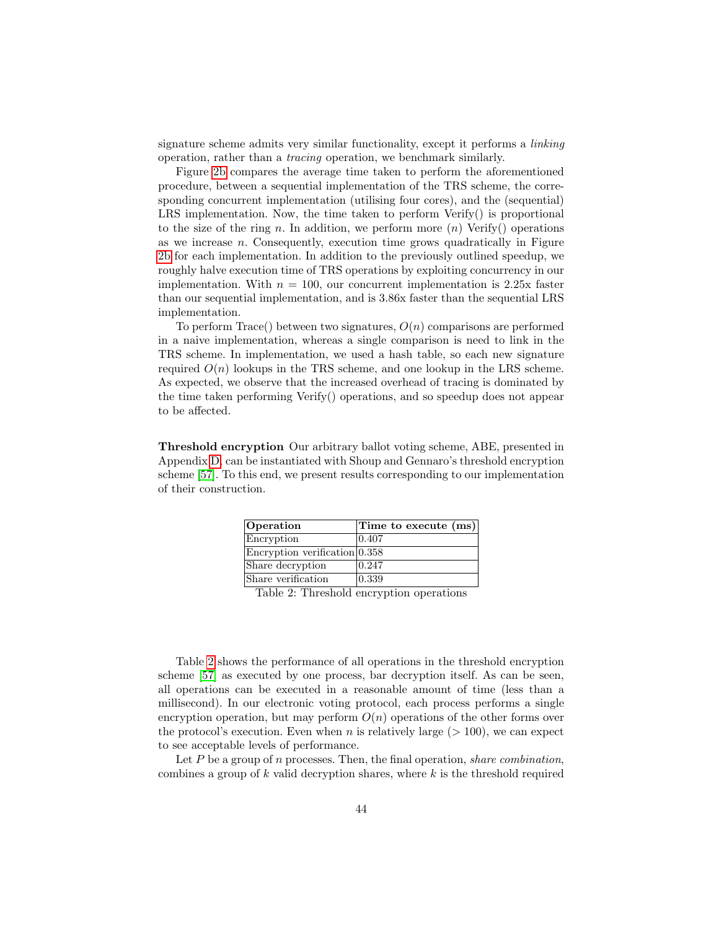signature scheme admits very similar functionality, except it performs a linking operation, rather than a tracing operation, we benchmark similarly.

Figure [2b](#page-42-0) compares the average time taken to perform the aforementioned procedure, between a sequential implementation of the TRS scheme, the corresponding concurrent implementation (utilising four cores), and the (sequential) LRS implementation. Now, the time taken to perform Verify() is proportional to the size of the ring n. In addition, we perform more  $(n)$  Verify() operations as we increase  $n$ . Consequently, execution time grows quadratically in Figure [2b](#page-42-0) for each implementation. In addition to the previously outlined speedup, we roughly halve execution time of TRS operations by exploiting concurrency in our implementation. With  $n = 100$ , our concurrent implementation is 2.25x faster than our sequential implementation, and is 3.86x faster than the sequential LRS implementation.

To perform Trace() between two signatures,  $O(n)$  comparisons are performed in a naive implementation, whereas a single comparison is need to link in the TRS scheme. In implementation, we used a hash table, so each new signature required  $O(n)$  lookups in the TRS scheme, and one lookup in the LRS scheme. As expected, we observe that the increased overhead of tracing is dominated by the time taken performing Verify() operations, and so speedup does not appear to be affected.

<span id="page-43-0"></span>Threshold encryption Our arbitrary ballot voting scheme, ABE, presented in Appendix [D,](#page-36-0) can be instantiated with Shoup and Gennaro's threshold encryption scheme [\[57\]](#page-23-5). To this end, we present results corresponding to our implementation of their construction.

| Operation                            | Time to execute (ms) |
|--------------------------------------|----------------------|
| Encryption                           | 0.407                |
| $\rm Encryption\ verification 0.358$ |                      |
| Share decryption                     | 0.247                |
| Share verification                   | $ 0.339\rangle$      |

## Table 2: Threshold encryption operations

Table [2](#page-43-0) shows the performance of all operations in the threshold encryption scheme [\[57\]](#page-23-5) as executed by one process, bar decryption itself. As can be seen, all operations can be executed in a reasonable amount of time (less than a millisecond). In our electronic voting protocol, each process performs a single encryption operation, but may perform  $O(n)$  operations of the other forms over the protocol's execution. Even when n is relatively large  $(> 100)$ , we can expect to see acceptable levels of performance.

Let  $P$  be a group of  $n$  processes. Then, the final operation, *share combination*, combines a group of  $k$  valid decryption shares, where  $k$  is the threshold required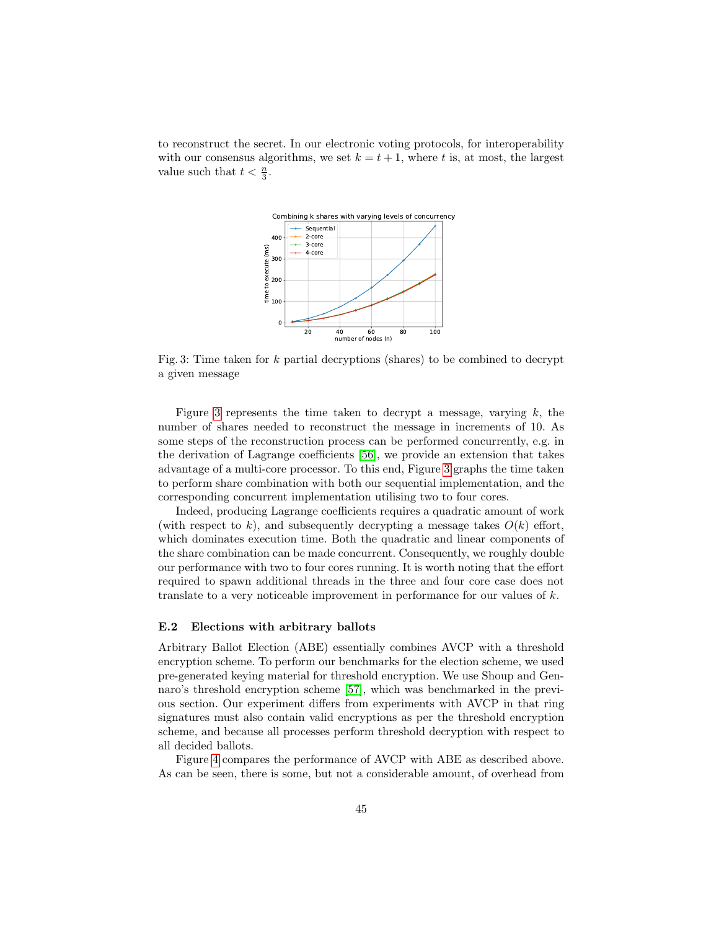<span id="page-44-0"></span>to reconstruct the secret. In our electronic voting protocols, for interoperability with our consensus algorithms, we set  $k = t + 1$ , where t is, at most, the largest value such that  $t < \frac{n}{3}$ .



Fig. 3: Time taken for  $k$  partial decryptions (shares) to be combined to decrypt a given message

Figure [3](#page-44-0) represents the time taken to decrypt a message, varying  $k$ , the number of shares needed to reconstruct the message in increments of 10. As some steps of the reconstruction process can be performed concurrently, e.g. in the derivation of Lagrange coefficients [\[56\]](#page-23-14), we provide an extension that takes advantage of a multi-core processor. To this end, Figure [3](#page-44-0) graphs the time taken to perform share combination with both our sequential implementation, and the corresponding concurrent implementation utilising two to four cores.

Indeed, producing Lagrange coefficients requires a quadratic amount of work (with respect to k), and subsequently decrypting a message takes  $O(k)$  effort, which dominates execution time. Both the quadratic and linear components of the share combination can be made concurrent. Consequently, we roughly double our performance with two to four cores running. It is worth noting that the effort required to spawn additional threads in the three and four core case does not translate to a very noticeable improvement in performance for our values of  $k$ .

#### E.2 Elections with arbitrary ballots

Arbitrary Ballot Election (ABE) essentially combines AVCP with a threshold encryption scheme. To perform our benchmarks for the election scheme, we used pre-generated keying material for threshold encryption. We use Shoup and Gennaro's threshold encryption scheme [\[57\]](#page-23-5), which was benchmarked in the previous section. Our experiment differs from experiments with AVCP in that ring signatures must also contain valid encryptions as per the threshold encryption scheme, and because all processes perform threshold decryption with respect to all decided ballots.

Figure [4](#page-45-0) compares the performance of AVCP with ABE as described above. As can be seen, there is some, but not a considerable amount, of overhead from